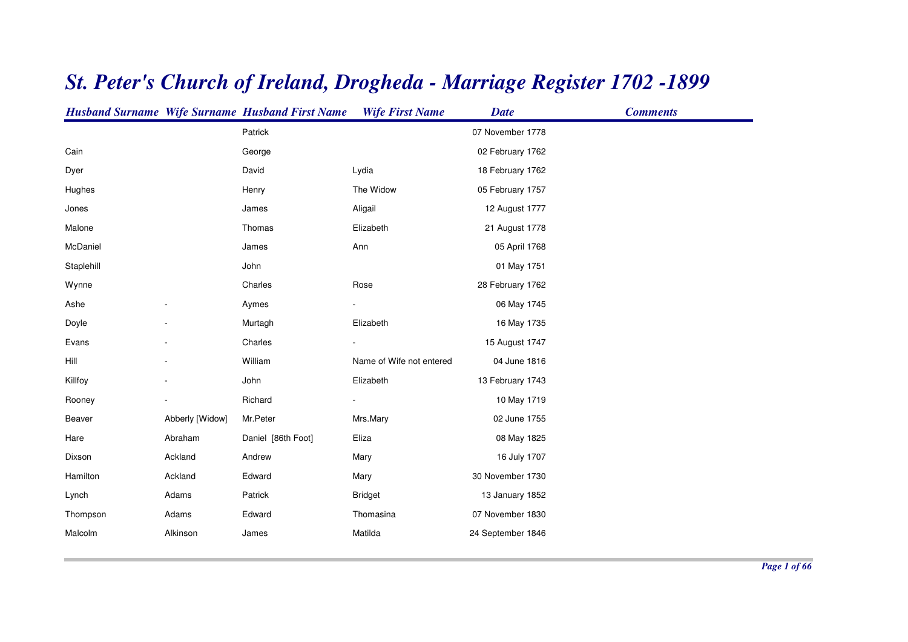|            |                 | <b>Husband Surname Wife Surname Husband First Name</b> | <b>Wife First Name</b>   | <b>Date</b>       | <b>Comments</b> |
|------------|-----------------|--------------------------------------------------------|--------------------------|-------------------|-----------------|
|            |                 | Patrick                                                |                          | 07 November 1778  |                 |
| Cain       |                 | George                                                 |                          | 02 February 1762  |                 |
| Dyer       |                 | David                                                  | Lydia                    | 18 February 1762  |                 |
| Hughes     |                 | Henry                                                  | The Widow                | 05 February 1757  |                 |
| Jones      |                 | James                                                  | Aligail                  | 12 August 1777    |                 |
| Malone     |                 | Thomas                                                 | Elizabeth                | 21 August 1778    |                 |
| McDaniel   |                 | James                                                  | Ann                      | 05 April 1768     |                 |
| Staplehill |                 | John                                                   |                          | 01 May 1751       |                 |
| Wynne      |                 | Charles                                                | Rose                     | 28 February 1762  |                 |
| Ashe       |                 | Aymes                                                  |                          | 06 May 1745       |                 |
| Doyle      |                 | Murtagh                                                | Elizabeth                | 16 May 1735       |                 |
| Evans      |                 | Charles                                                |                          | 15 August 1747    |                 |
| Hill       |                 | William                                                | Name of Wife not entered | 04 June 1816      |                 |
| Killfoy    |                 | John                                                   | Elizabeth                | 13 February 1743  |                 |
| Rooney     |                 | Richard                                                |                          | 10 May 1719       |                 |
| Beaver     | Abberly [Widow] | Mr.Peter                                               | Mrs.Mary                 | 02 June 1755      |                 |
| Hare       | Abraham         | Daniel [86th Foot]                                     | Eliza                    | 08 May 1825       |                 |
| Dixson     | Ackland         | Andrew                                                 | Mary                     | 16 July 1707      |                 |
| Hamilton   | Ackland         | Edward                                                 | Mary                     | 30 November 1730  |                 |
| Lynch      | Adams           | Patrick                                                | <b>Bridget</b>           | 13 January 1852   |                 |
| Thompson   | Adams           | Edward                                                 | Thomasina                | 07 November 1830  |                 |
| Malcolm    | Alkinson        | James                                                  | Matilda                  | 24 September 1846 |                 |
|            |                 |                                                        |                          |                   |                 |

## *St. Peter's Church of Ireland, Drogheda - Marriage Register 1702 -1899*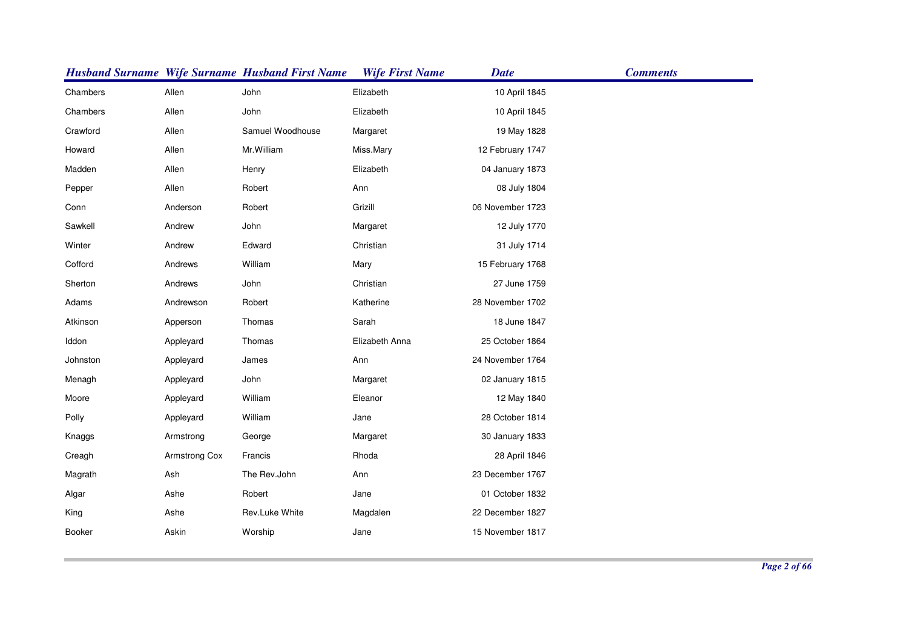|          |               | <b>Husband Surname Wife Surname Husband First Name</b> | <b>Wife First Name</b> | <b>Date</b>      | <b>Comments</b> |
|----------|---------------|--------------------------------------------------------|------------------------|------------------|-----------------|
| Chambers | Allen         | John                                                   | Elizabeth              | 10 April 1845    |                 |
| Chambers | Allen         | John                                                   | Elizabeth              | 10 April 1845    |                 |
| Crawford | Allen         | Samuel Woodhouse                                       | Margaret               | 19 May 1828      |                 |
| Howard   | Allen         | Mr. William                                            | Miss.Mary              | 12 February 1747 |                 |
| Madden   | Allen         | Henry                                                  | Elizabeth              | 04 January 1873  |                 |
| Pepper   | Allen         | Robert                                                 | Ann                    | 08 July 1804     |                 |
| Conn     | Anderson      | Robert                                                 | Grizill                | 06 November 1723 |                 |
| Sawkell  | Andrew        | John                                                   | Margaret               | 12 July 1770     |                 |
| Winter   | Andrew        | Edward                                                 | Christian              | 31 July 1714     |                 |
| Cofford  | Andrews       | William                                                | Mary                   | 15 February 1768 |                 |
| Sherton  | Andrews       | John                                                   | Christian              | 27 June 1759     |                 |
| Adams    | Andrewson     | Robert                                                 | Katherine              | 28 November 1702 |                 |
| Atkinson | Apperson      | Thomas                                                 | Sarah                  | 18 June 1847     |                 |
| Iddon    | Appleyard     | Thomas                                                 | Elizabeth Anna         | 25 October 1864  |                 |
| Johnston | Appleyard     | James                                                  | Ann                    | 24 November 1764 |                 |
| Menagh   | Appleyard     | John                                                   | Margaret               | 02 January 1815  |                 |
| Moore    | Appleyard     | William                                                | Eleanor                | 12 May 1840      |                 |
| Polly    | Appleyard     | William                                                | Jane                   | 28 October 1814  |                 |
| Knaggs   | Armstrong     | George                                                 | Margaret               | 30 January 1833  |                 |
| Creagh   | Armstrong Cox | Francis                                                | Rhoda                  | 28 April 1846    |                 |
| Magrath  | Ash           | The Rev.John                                           | Ann                    | 23 December 1767 |                 |
| Algar    | Ashe          | Robert                                                 | Jane                   | 01 October 1832  |                 |
| King     | Ashe          | Rev.Luke White                                         | Magdalen               | 22 December 1827 |                 |
| Booker   | Askin         | Worship                                                | Jane                   | 15 November 1817 |                 |
|          |               |                                                        |                        |                  |                 |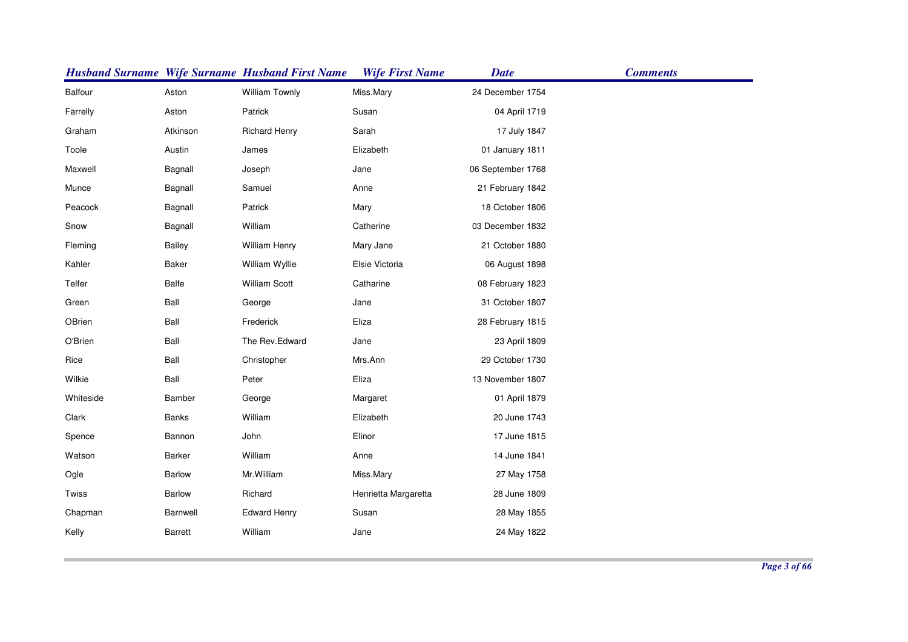|           |                | <b>Husband Surname Wife Surname Husband First Name</b> | <b>Wife First Name</b> | <b>Date</b>       | <b>Comments</b> |
|-----------|----------------|--------------------------------------------------------|------------------------|-------------------|-----------------|
| Balfour   | Aston          | William Townly                                         | Miss.Mary              | 24 December 1754  |                 |
| Farrelly  | Aston          | Patrick                                                | Susan                  | 04 April 1719     |                 |
| Graham    | Atkinson       | <b>Richard Henry</b>                                   | Sarah                  | 17 July 1847      |                 |
| Toole     | Austin         | James                                                  | Elizabeth              | 01 January 1811   |                 |
| Maxwell   | Bagnall        | Joseph                                                 | Jane                   | 06 September 1768 |                 |
| Munce     | Bagnall        | Samuel                                                 | Anne                   | 21 February 1842  |                 |
| Peacock   | Bagnall        | Patrick                                                | Mary                   | 18 October 1806   |                 |
| Snow      | Bagnall        | William                                                | Catherine              | 03 December 1832  |                 |
| Fleming   | Bailey         | <b>William Henry</b>                                   | Mary Jane              | 21 October 1880   |                 |
| Kahler    | <b>Baker</b>   | William Wyllie                                         | Elsie Victoria         | 06 August 1898    |                 |
| Telfer    | Balfe          | <b>William Scott</b>                                   | Catharine              | 08 February 1823  |                 |
| Green     | Ball           | George                                                 | Jane                   | 31 October 1807   |                 |
| OBrien    | Ball           | Frederick                                              | Eliza                  | 28 February 1815  |                 |
| O'Brien   | Ball           | The Rev.Edward                                         | Jane                   | 23 April 1809     |                 |
| Rice      | Ball           | Christopher                                            | Mrs.Ann                | 29 October 1730   |                 |
| Wilkie    | Ball           | Peter                                                  | Eliza                  | 13 November 1807  |                 |
| Whiteside | Bamber         | George                                                 | Margaret               | 01 April 1879     |                 |
| Clark     | <b>Banks</b>   | William                                                | Elizabeth              | 20 June 1743      |                 |
| Spence    | Bannon         | John                                                   | Elinor                 | 17 June 1815      |                 |
| Watson    | Barker         | William                                                | Anne                   | 14 June 1841      |                 |
| Ogle      | <b>Barlow</b>  | Mr. William                                            | Miss.Mary              | 27 May 1758       |                 |
| Twiss     | Barlow         | Richard                                                | Henrietta Margaretta   | 28 June 1809      |                 |
| Chapman   | Barnwell       | <b>Edward Henry</b>                                    | Susan                  | 28 May 1855       |                 |
| Kelly     | <b>Barrett</b> | William                                                | Jane                   | 24 May 1822       |                 |
|           |                |                                                        |                        |                   |                 |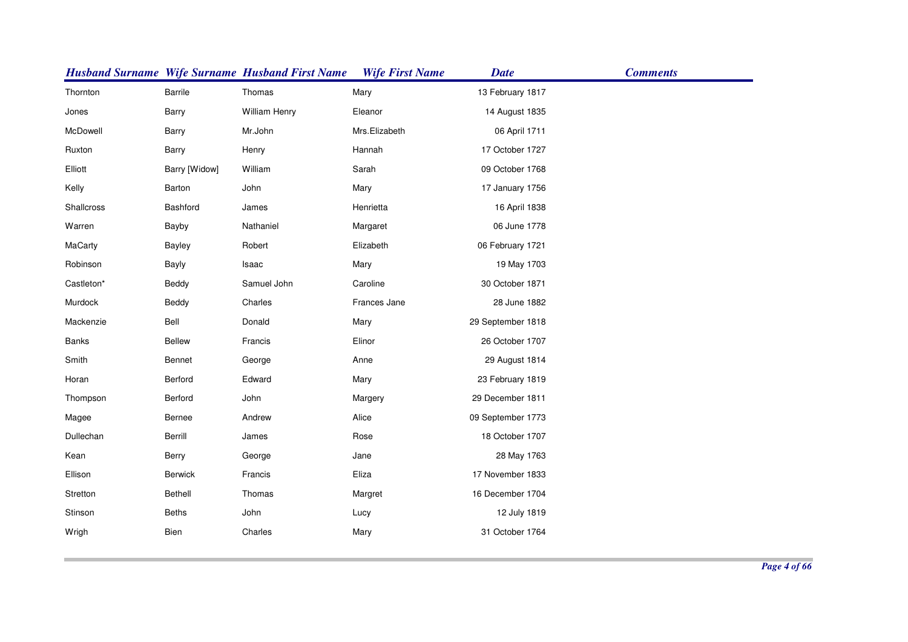|            |                | <b>Husband Surname Wife Surname Husband First Name</b> | <b>Wife First Name</b> | <b>Date</b>       | <b>Comments</b> |
|------------|----------------|--------------------------------------------------------|------------------------|-------------------|-----------------|
| Thornton   | Barrile        | Thomas                                                 | Mary                   | 13 February 1817  |                 |
| Jones      | Barry          | <b>William Henry</b>                                   | Eleanor                | 14 August 1835    |                 |
| McDowell   | Barry          | Mr.John                                                | Mrs.Elizabeth          | 06 April 1711     |                 |
| Ruxton     | Barry          | Henry                                                  | Hannah                 | 17 October 1727   |                 |
| Elliott    | Barry [Widow]  | William                                                | Sarah                  | 09 October 1768   |                 |
| Kelly      | Barton         | John                                                   | Mary                   | 17 January 1756   |                 |
| Shallcross | Bashford       | James                                                  | Henrietta              | 16 April 1838     |                 |
| Warren     | Bayby          | Nathaniel                                              | Margaret               | 06 June 1778      |                 |
| MaCarty    | <b>Bayley</b>  | Robert                                                 | Elizabeth              | 06 February 1721  |                 |
| Robinson   | <b>Bayly</b>   | Isaac                                                  | Mary                   | 19 May 1703       |                 |
| Castleton* | Beddy          | Samuel John                                            | Caroline               | 30 October 1871   |                 |
| Murdock    | Beddy          | Charles                                                | Frances Jane           | 28 June 1882      |                 |
| Mackenzie  | Bell           | Donald                                                 | Mary                   | 29 September 1818 |                 |
| Banks      | <b>Bellew</b>  | Francis                                                | Elinor                 | 26 October 1707   |                 |
| Smith      | Bennet         | George                                                 | Anne                   | 29 August 1814    |                 |
| Horan      | Berford        | Edward                                                 | Mary                   | 23 February 1819  |                 |
| Thompson   | Berford        | John                                                   | Margery                | 29 December 1811  |                 |
| Magee      | Bernee         | Andrew                                                 | Alice                  | 09 September 1773 |                 |
| Dullechan  | Berrill        | James                                                  | Rose                   | 18 October 1707   |                 |
| Kean       | Berry          | George                                                 | Jane                   | 28 May 1763       |                 |
| Ellison    | <b>Berwick</b> | Francis                                                | Eliza                  | 17 November 1833  |                 |
| Stretton   | <b>Bethell</b> | Thomas                                                 | Margret                | 16 December 1704  |                 |
| Stinson    | <b>Beths</b>   | John                                                   | Lucy                   | 12 July 1819      |                 |
| Wrigh      | Bien           | Charles                                                | Mary                   | 31 October 1764   |                 |
|            |                |                                                        |                        |                   |                 |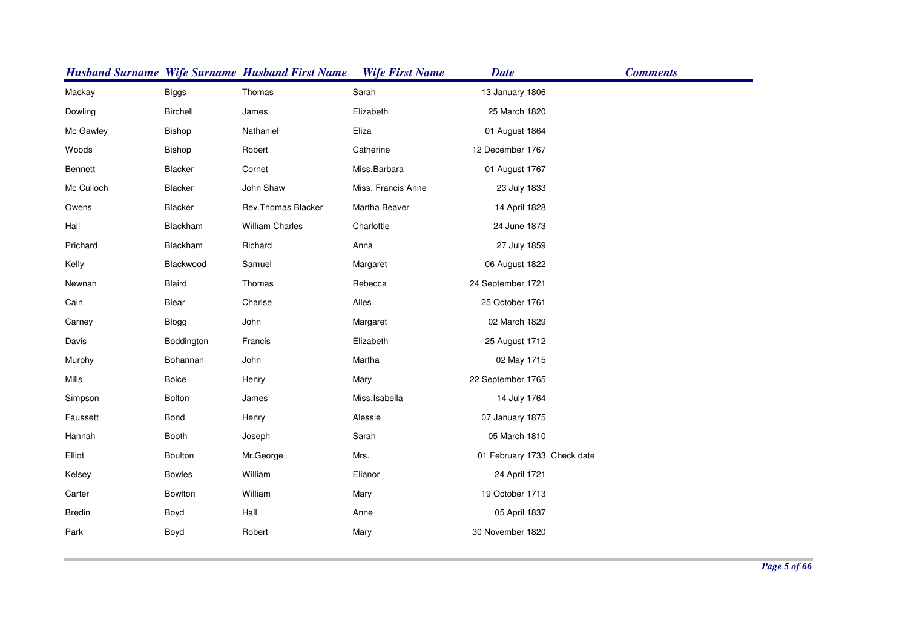|               |               | <b>Husband Surname Wife Surname Husband First Name</b> | <b>Wife First Name</b> | <b>Date</b>                 | <b>Comments</b> |
|---------------|---------------|--------------------------------------------------------|------------------------|-----------------------------|-----------------|
| Mackay        | <b>Biggs</b>  | Thomas                                                 | Sarah                  | 13 January 1806             |                 |
| Dowling       | Birchell      | James                                                  | Elizabeth              | 25 March 1820               |                 |
| Mc Gawley     | Bishop        | Nathaniel                                              | Eliza                  | 01 August 1864              |                 |
| Woods         | Bishop        | Robert                                                 | Catherine              | 12 December 1767            |                 |
| Bennett       | Blacker       | Cornet                                                 | Miss.Barbara           | 01 August 1767              |                 |
| Mc Culloch    | Blacker       | John Shaw                                              | Miss. Francis Anne     | 23 July 1833                |                 |
| Owens         | Blacker       | Rev. Thomas Blacker                                    | Martha Beaver          | 14 April 1828               |                 |
| Hall          | Blackham      | <b>William Charles</b>                                 | Charlottle             | 24 June 1873                |                 |
| Prichard      | Blackham      | Richard                                                | Anna                   | 27 July 1859                |                 |
| Kelly         | Blackwood     | Samuel                                                 | Margaret               | 06 August 1822              |                 |
| Newnan        | <b>Blaird</b> | Thomas                                                 | Rebecca                | 24 September 1721           |                 |
| Cain          | Blear         | Charlse                                                | Alles                  | 25 October 1761             |                 |
| Carney        | Blogg         | John                                                   | Margaret               | 02 March 1829               |                 |
| Davis         | Boddington    | Francis                                                | Elizabeth              | 25 August 1712              |                 |
| Murphy        | Bohannan      | John                                                   | Martha                 | 02 May 1715                 |                 |
| Mills         | Boice         | Henry                                                  | Mary                   | 22 September 1765           |                 |
| Simpson       | Bolton        | James                                                  | Miss.Isabella          | 14 July 1764                |                 |
| Faussett      | Bond          | Henry                                                  | Alessie                | 07 January 1875             |                 |
| Hannah        | Booth         | Joseph                                                 | Sarah                  | 05 March 1810               |                 |
| Elliot        | Boulton       | Mr.George                                              | Mrs.                   | 01 February 1733 Check date |                 |
| Kelsey        | <b>Bowles</b> | William                                                | Elianor                | 24 April 1721               |                 |
| Carter        | Bowlton       | William                                                | Mary                   | 19 October 1713             |                 |
| <b>Bredin</b> | Boyd          | Hall                                                   | Anne                   | 05 April 1837               |                 |
| Park          | Boyd          | Robert                                                 | Mary                   | 30 November 1820            |                 |
|               |               |                                                        |                        |                             |                 |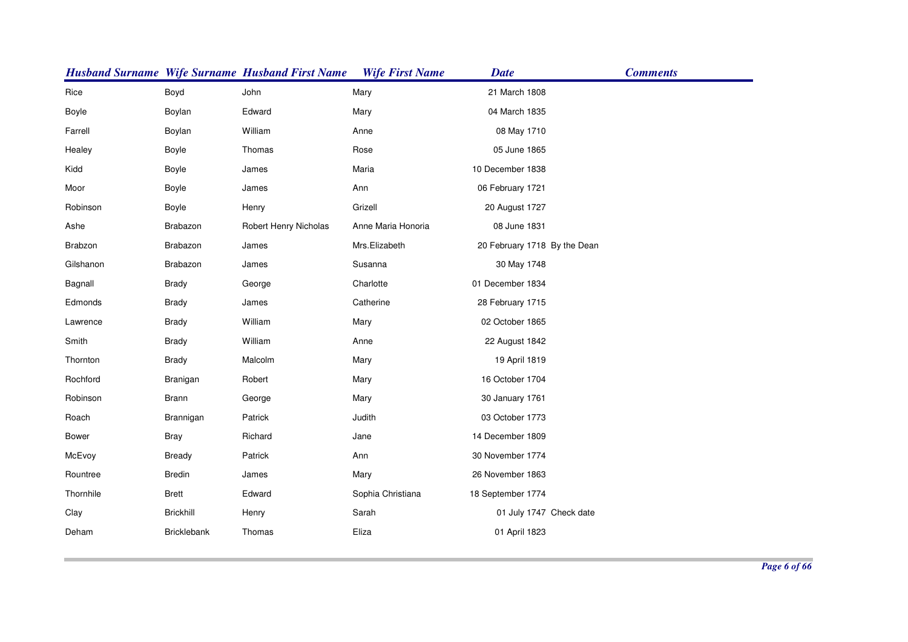|              |                    | <b>Husband Surname Wife Surname Husband First Name</b> | <b>Wife First Name</b> | <b>Date</b>                  | <b>Comments</b> |
|--------------|--------------------|--------------------------------------------------------|------------------------|------------------------------|-----------------|
| Rice         | Boyd               | John                                                   | Mary                   | 21 March 1808                |                 |
| Boyle        | Boylan             | Edward                                                 | Mary                   | 04 March 1835                |                 |
| Farrell      | Boylan             | William                                                | Anne                   | 08 May 1710                  |                 |
| Healey       | Boyle              | Thomas                                                 | Rose                   | 05 June 1865                 |                 |
| Kidd         | Boyle              | James                                                  | Maria                  | 10 December 1838             |                 |
| Moor         | Boyle              | James                                                  | Ann                    | 06 February 1721             |                 |
| Robinson     | Boyle              | Henry                                                  | Grizell                | 20 August 1727               |                 |
| Ashe         | Brabazon           | Robert Henry Nicholas                                  | Anne Maria Honoria     | 08 June 1831                 |                 |
| Brabzon      | Brabazon           | James                                                  | Mrs.Elizabeth          | 20 February 1718 By the Dean |                 |
| Gilshanon    | Brabazon           | James                                                  | Susanna                | 30 May 1748                  |                 |
| Bagnall      | <b>Brady</b>       | George                                                 | Charlotte              | 01 December 1834             |                 |
| Edmonds      | <b>Brady</b>       | James                                                  | Catherine              | 28 February 1715             |                 |
| Lawrence     | <b>Brady</b>       | William                                                | Mary                   | 02 October 1865              |                 |
| Smith        | <b>Brady</b>       | William                                                | Anne                   | 22 August 1842               |                 |
| Thornton     | <b>Brady</b>       | Malcolm                                                | Mary                   | 19 April 1819                |                 |
| Rochford     | Branigan           | Robert                                                 | Mary                   | 16 October 1704              |                 |
| Robinson     | <b>Brann</b>       | George                                                 | Mary                   | 30 January 1761              |                 |
| Roach        | Brannigan          | Patrick                                                | Judith                 | 03 October 1773              |                 |
| <b>Bower</b> | <b>Bray</b>        | Richard                                                | Jane                   | 14 December 1809             |                 |
| McEvoy       | Bready             | Patrick                                                | Ann                    | 30 November 1774             |                 |
| Rountree     | <b>Bredin</b>      | James                                                  | Mary                   | 26 November 1863             |                 |
| Thornhile    | <b>Brett</b>       | Edward                                                 | Sophia Christiana      | 18 September 1774            |                 |
| Clay         | <b>Brickhill</b>   | Henry                                                  | Sarah                  | 01 July 1747 Check date      |                 |
| Deham        | <b>Bricklebank</b> | Thomas                                                 | Eliza                  | 01 April 1823                |                 |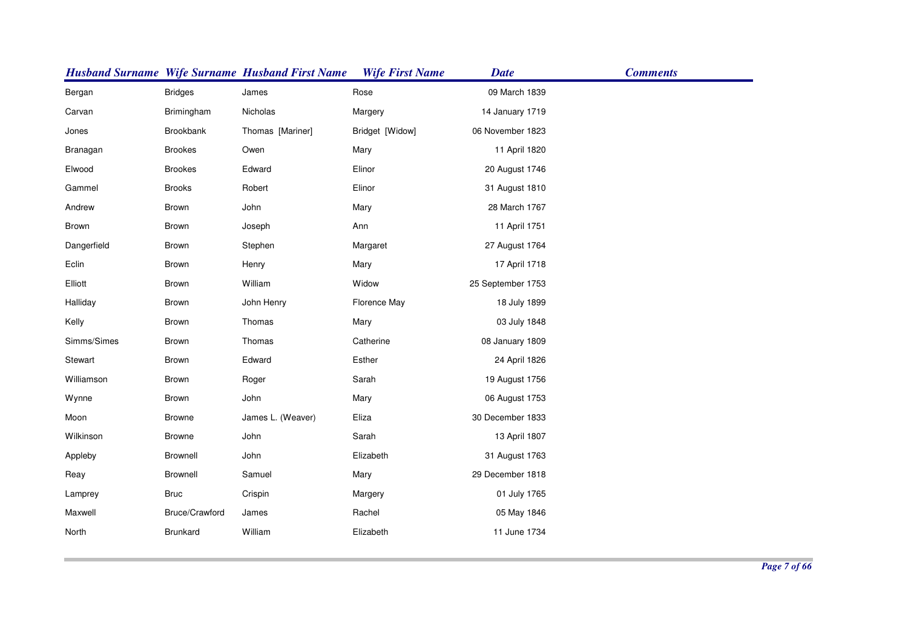|             |                  | <b>Husband Surname Wife Surname Husband First Name</b> | <b>Wife First Name</b> | <b>Date</b>       | <b>Comments</b> |
|-------------|------------------|--------------------------------------------------------|------------------------|-------------------|-----------------|
| Bergan      | <b>Bridges</b>   | James                                                  | Rose                   | 09 March 1839     |                 |
| Carvan      | Brimingham       | Nicholas                                               | Margery                | 14 January 1719   |                 |
| Jones       | <b>Brookbank</b> | Thomas [Mariner]                                       | Bridget [Widow]        | 06 November 1823  |                 |
| Branagan    | <b>Brookes</b>   | Owen                                                   | Mary                   | 11 April 1820     |                 |
| Elwood      | <b>Brookes</b>   | Edward                                                 | Elinor                 | 20 August 1746    |                 |
| Gammel      | <b>Brooks</b>    | Robert                                                 | Elinor                 | 31 August 1810    |                 |
| Andrew      | Brown            | John                                                   | Mary                   | 28 March 1767     |                 |
| Brown       | Brown            | Joseph                                                 | Ann                    | 11 April 1751     |                 |
| Dangerfield | Brown            | Stephen                                                | Margaret               | 27 August 1764    |                 |
| Eclin       | Brown            | Henry                                                  | Mary                   | 17 April 1718     |                 |
| Elliott     | Brown            | William                                                | Widow                  | 25 September 1753 |                 |
| Halliday    | Brown            | John Henry                                             | Florence May           | 18 July 1899      |                 |
| Kelly       | Brown            | Thomas                                                 | Mary                   | 03 July 1848      |                 |
| Simms/Simes | Brown            | Thomas                                                 | Catherine              | 08 January 1809   |                 |
| Stewart     | Brown            | Edward                                                 | Esther                 | 24 April 1826     |                 |
| Williamson  | Brown            | Roger                                                  | Sarah                  | 19 August 1756    |                 |
| Wynne       | Brown            | John                                                   | Mary                   | 06 August 1753    |                 |
| Moon        | <b>Browne</b>    | James L. (Weaver)                                      | Eliza                  | 30 December 1833  |                 |
| Wilkinson   | <b>Browne</b>    | John                                                   | Sarah                  | 13 April 1807     |                 |
| Appleby     | Brownell         | John                                                   | Elizabeth              | 31 August 1763    |                 |
| Reay        | <b>Brownell</b>  | Samuel                                                 | Mary                   | 29 December 1818  |                 |
| Lamprey     | <b>Bruc</b>      | Crispin                                                | Margery                | 01 July 1765      |                 |
| Maxwell     | Bruce/Crawford   | James                                                  | Rachel                 | 05 May 1846       |                 |
| North       | Brunkard         | William                                                | Elizabeth              | 11 June 1734      |                 |
|             |                  |                                                        |                        |                   |                 |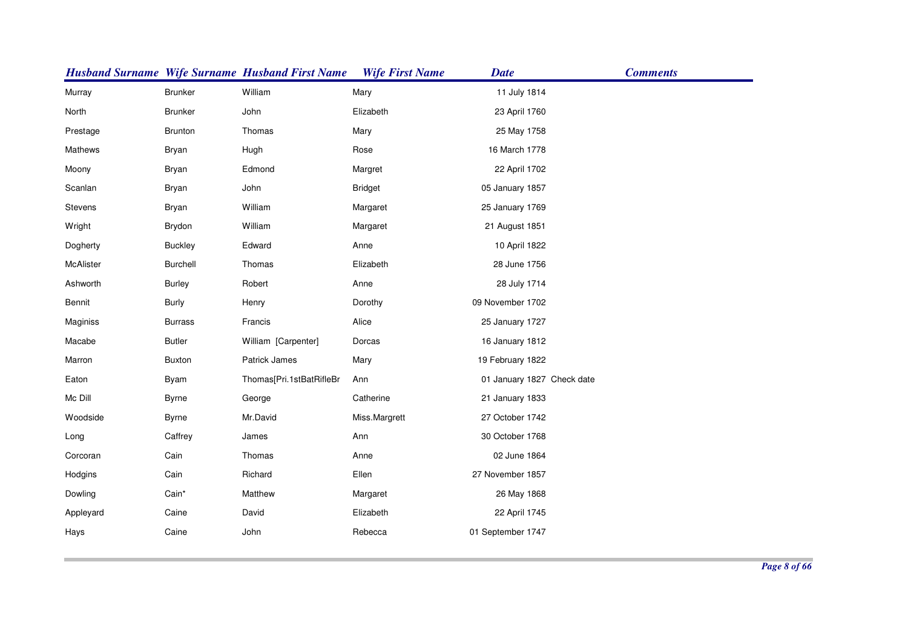|           |                | <b>Husband Surname Wife Surname Husband First Name</b> | <b>Wife First Name</b> | <b>Date</b>                | <b>Comments</b> |
|-----------|----------------|--------------------------------------------------------|------------------------|----------------------------|-----------------|
| Murray    | <b>Brunker</b> | William                                                | Mary                   | 11 July 1814               |                 |
| North     | <b>Brunker</b> | John                                                   | Elizabeth              | 23 April 1760              |                 |
| Prestage  | <b>Brunton</b> | Thomas                                                 | Mary                   | 25 May 1758                |                 |
| Mathews   | <b>Bryan</b>   | Hugh                                                   | Rose                   | 16 March 1778              |                 |
| Moony     | <b>Bryan</b>   | Edmond                                                 | Margret                | 22 April 1702              |                 |
| Scanlan   | <b>Bryan</b>   | John                                                   | <b>Bridget</b>         | 05 January 1857            |                 |
| Stevens   | <b>Bryan</b>   | William                                                | Margaret               | 25 January 1769            |                 |
| Wright    | Brydon         | William                                                | Margaret               | 21 August 1851             |                 |
| Dogherty  | <b>Buckley</b> | Edward                                                 | Anne                   | 10 April 1822              |                 |
| McAlister | Burchell       | Thomas                                                 | Elizabeth              | 28 June 1756               |                 |
| Ashworth  | <b>Burley</b>  | Robert                                                 | Anne                   | 28 July 1714               |                 |
| Bennit    | <b>Burly</b>   | Henry                                                  | Dorothy                | 09 November 1702           |                 |
| Maginiss  | <b>Burrass</b> | Francis                                                | Alice                  | 25 January 1727            |                 |
| Macabe    | <b>Butler</b>  | William [Carpenter]                                    | Dorcas                 | 16 January 1812            |                 |
| Marron    | <b>Buxton</b>  | Patrick James                                          | Mary                   | 19 February 1822           |                 |
| Eaton     | Byam           | Thomas[Pri.1stBatRifleBr                               | Ann                    | 01 January 1827 Check date |                 |
| Mc Dill   | <b>Byrne</b>   | George                                                 | Catherine              | 21 January 1833            |                 |
| Woodside  | <b>Byrne</b>   | Mr.David                                               | Miss.Margrett          | 27 October 1742            |                 |
| Long      | Caffrey        | James                                                  | Ann                    | 30 October 1768            |                 |
| Corcoran  | Cain           | Thomas                                                 | Anne                   | 02 June 1864               |                 |
| Hodgins   | Cain           | Richard                                                | Ellen                  | 27 November 1857           |                 |
| Dowling   | Cain*          | Matthew                                                | Margaret               | 26 May 1868                |                 |
| Appleyard | Caine          | David                                                  | Elizabeth              | 22 April 1745              |                 |
| Hays      | Caine          | John                                                   | Rebecca                | 01 September 1747          |                 |
|           |                |                                                        |                        |                            |                 |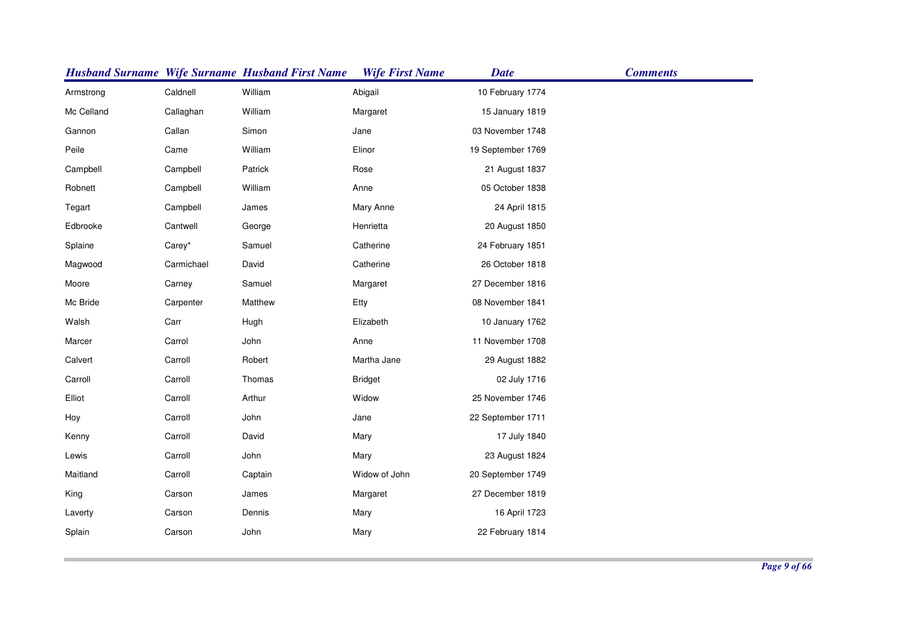|            |            | <b>Husband Surname Wife Surname Husband First Name</b> | <b>Wife First Name</b> | <b>Date</b>       | <b>Comments</b> |
|------------|------------|--------------------------------------------------------|------------------------|-------------------|-----------------|
| Armstrong  | Caldnell   | William                                                | Abigail                | 10 February 1774  |                 |
| Mc Celland | Callaghan  | William                                                | Margaret               | 15 January 1819   |                 |
| Gannon     | Callan     | Simon                                                  | Jane                   | 03 November 1748  |                 |
| Peile      | Came       | William                                                | Elinor                 | 19 September 1769 |                 |
| Campbell   | Campbell   | Patrick                                                | Rose                   | 21 August 1837    |                 |
| Robnett    | Campbell   | William                                                | Anne                   | 05 October 1838   |                 |
| Tegart     | Campbell   | James                                                  | Mary Anne              | 24 April 1815     |                 |
| Edbrooke   | Cantwell   | George                                                 | Henrietta              | 20 August 1850    |                 |
| Splaine    | Carey*     | Samuel                                                 | Catherine              | 24 February 1851  |                 |
| Magwood    | Carmichael | David                                                  | Catherine              | 26 October 1818   |                 |
| Moore      | Carney     | Samuel                                                 | Margaret               | 27 December 1816  |                 |
| Mc Bride   | Carpenter  | Matthew                                                | Etty                   | 08 November 1841  |                 |
| Walsh      | Carr       | Hugh                                                   | Elizabeth              | 10 January 1762   |                 |
| Marcer     | Carrol     | John                                                   | Anne                   | 11 November 1708  |                 |
| Calvert    | Carroll    | Robert                                                 | Martha Jane            | 29 August 1882    |                 |
| Carroll    | Carroll    | Thomas                                                 | <b>Bridget</b>         | 02 July 1716      |                 |
| Elliot     | Carroll    | Arthur                                                 | Widow                  | 25 November 1746  |                 |
| Hoy        | Carroll    | John                                                   | Jane                   | 22 September 1711 |                 |
| Kenny      | Carroll    | David                                                  | Mary                   | 17 July 1840      |                 |
| Lewis      | Carroll    | John                                                   | Mary                   | 23 August 1824    |                 |
| Maitland   | Carroll    | Captain                                                | Widow of John          | 20 September 1749 |                 |
| King       | Carson     | James                                                  | Margaret               | 27 December 1819  |                 |
| Laverty    | Carson     | Dennis                                                 | Mary                   | 16 April 1723     |                 |
| Splain     | Carson     | John                                                   | Mary                   | 22 February 1814  |                 |
|            |            |                                                        |                        |                   |                 |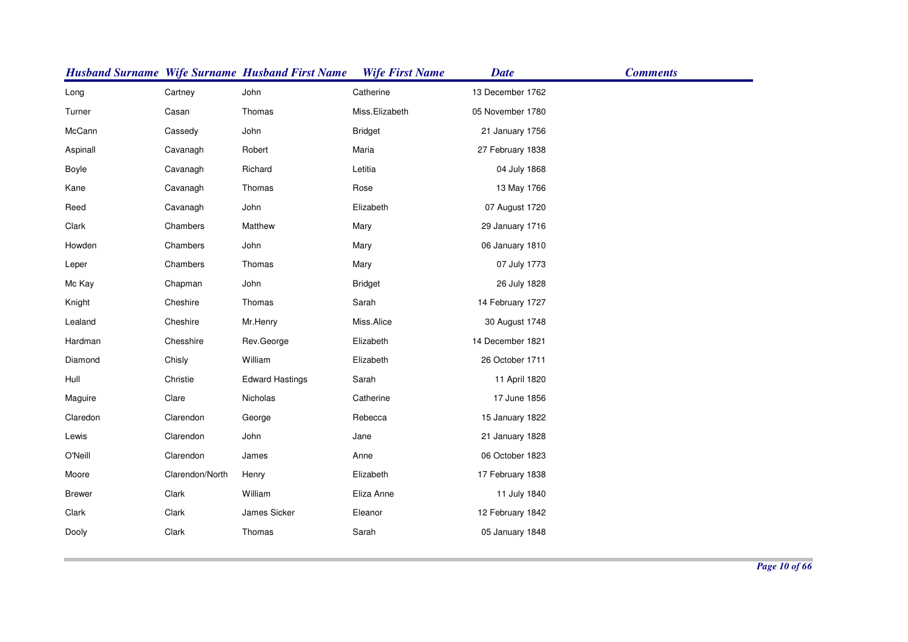|               |                 | <b>Husband Surname Wife Surname Husband First Name</b> | <b>Wife First Name</b> | <b>Date</b>      | <b>Comments</b> |
|---------------|-----------------|--------------------------------------------------------|------------------------|------------------|-----------------|
| Long          | Cartney         | John                                                   | Catherine              | 13 December 1762 |                 |
| Turner        | Casan           | Thomas                                                 | Miss.Elizabeth         | 05 November 1780 |                 |
| McCann        | Cassedy         | John                                                   | <b>Bridget</b>         | 21 January 1756  |                 |
| Aspinall      | Cavanagh        | Robert                                                 | Maria                  | 27 February 1838 |                 |
| Boyle         | Cavanagh        | Richard                                                | Letitia                | 04 July 1868     |                 |
| Kane          | Cavanagh        | Thomas                                                 | Rose                   | 13 May 1766      |                 |
| Reed          | Cavanagh        | John                                                   | Elizabeth              | 07 August 1720   |                 |
| Clark         | Chambers        | Matthew                                                | Mary                   | 29 January 1716  |                 |
| Howden        | Chambers        | John                                                   | Mary                   | 06 January 1810  |                 |
| Leper         | Chambers        | Thomas                                                 | Mary                   | 07 July 1773     |                 |
| Mc Kay        | Chapman         | John                                                   | <b>Bridget</b>         | 26 July 1828     |                 |
| Knight        | Cheshire        | Thomas                                                 | Sarah                  | 14 February 1727 |                 |
| Lealand       | Cheshire        | Mr.Henry                                               | Miss.Alice             | 30 August 1748   |                 |
| Hardman       | Chesshire       | Rev.George                                             | Elizabeth              | 14 December 1821 |                 |
| Diamond       | Chisly          | William                                                | Elizabeth              | 26 October 1711  |                 |
| Hull          | Christie        | <b>Edward Hastings</b>                                 | Sarah                  | 11 April 1820    |                 |
| Maguire       | Clare           | Nicholas                                               | Catherine              | 17 June 1856     |                 |
| Claredon      | Clarendon       | George                                                 | Rebecca                | 15 January 1822  |                 |
| Lewis         | Clarendon       | John                                                   | Jane                   | 21 January 1828  |                 |
| O'Neill       | Clarendon       | James                                                  | Anne                   | 06 October 1823  |                 |
| Moore         | Clarendon/North | Henry                                                  | Elizabeth              | 17 February 1838 |                 |
| <b>Brewer</b> | Clark           | William                                                | Eliza Anne             | 11 July 1840     |                 |
| Clark         | Clark           | James Sicker                                           | Eleanor                | 12 February 1842 |                 |
| Dooly         | Clark           | Thomas                                                 | Sarah                  | 05 January 1848  |                 |
|               |                 |                                                        |                        |                  |                 |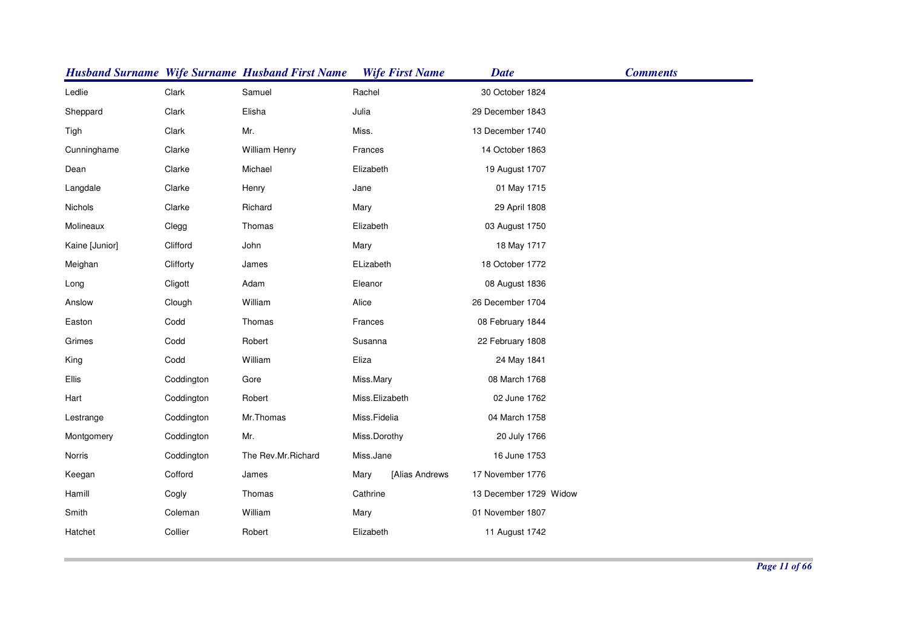|                |            | <b>Husband Surname Wife Surname Husband First Name</b> | <b>Wife First Name</b> | <b>Date</b>            | <b>Comments</b> |
|----------------|------------|--------------------------------------------------------|------------------------|------------------------|-----------------|
| Ledlie         | Clark      | Samuel                                                 | Rachel                 | 30 October 1824        |                 |
| Sheppard       | Clark      | Elisha                                                 | Julia                  | 29 December 1843       |                 |
| Tigh           | Clark      | Mr.                                                    | Miss.                  | 13 December 1740       |                 |
| Cunninghame    | Clarke     | William Henry                                          | Frances                | 14 October 1863        |                 |
| Dean           | Clarke     | Michael                                                | Elizabeth              | 19 August 1707         |                 |
| Langdale       | Clarke     | Henry                                                  | Jane                   | 01 May 1715            |                 |
| Nichols        | Clarke     | Richard                                                | Mary                   | 29 April 1808          |                 |
| Molineaux      | Clegg      | Thomas                                                 | Elizabeth              | 03 August 1750         |                 |
| Kaine [Junior] | Clifford   | John                                                   | Mary                   | 18 May 1717            |                 |
| Meighan        | Clifforty  | James                                                  | ELizabeth              | 18 October 1772        |                 |
| Long           | Cligott    | Adam                                                   | Eleanor                | 08 August 1836         |                 |
| Anslow         | Clough     | William                                                | Alice                  | 26 December 1704       |                 |
| Easton         | Codd       | Thomas                                                 | Frances                | 08 February 1844       |                 |
| Grimes         | Codd       | Robert                                                 | Susanna                | 22 February 1808       |                 |
| King           | Codd       | William                                                | Eliza                  | 24 May 1841            |                 |
| Ellis          | Coddington | Gore                                                   | Miss.Mary              | 08 March 1768          |                 |
| Hart           | Coddington | Robert                                                 | Miss.Elizabeth         | 02 June 1762           |                 |
| Lestrange      | Coddington | Mr.Thomas                                              | Miss.Fidelia           | 04 March 1758          |                 |
| Montgomery     | Coddington | Mr.                                                    | Miss.Dorothy           | 20 July 1766           |                 |
| Norris         | Coddington | The Rev.Mr.Richard                                     | Miss.Jane              | 16 June 1753           |                 |
| Keegan         | Cofford    | James                                                  | [Alias Andrews<br>Mary | 17 November 1776       |                 |
| Hamill         | Cogly      | Thomas                                                 | Cathrine               | 13 December 1729 Widow |                 |
| Smith          | Coleman    | William                                                | Mary                   | 01 November 1807       |                 |
| Hatchet        | Collier    | Robert                                                 | Elizabeth              | 11 August 1742         |                 |
|                |            |                                                        |                        |                        |                 |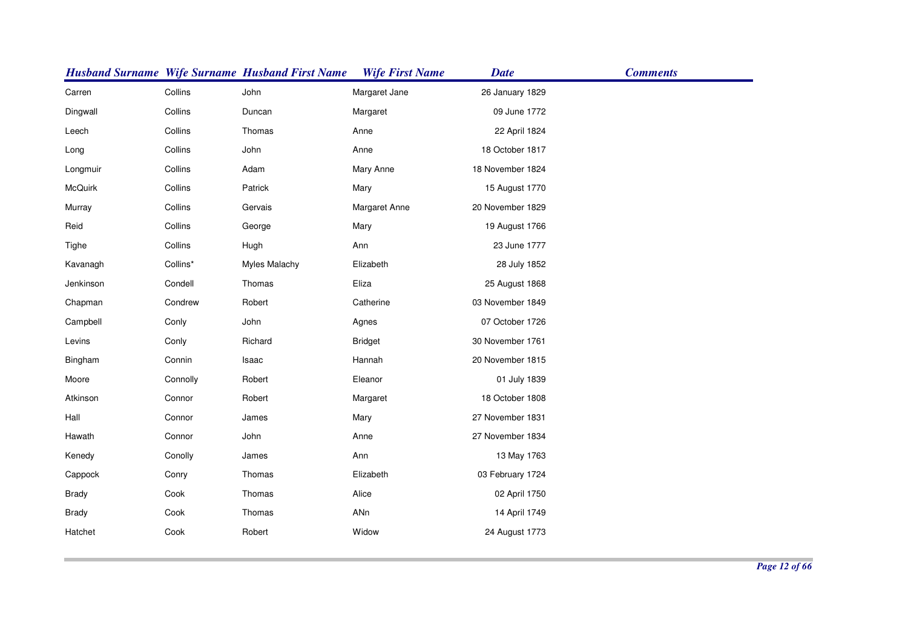|              |          | <b>Husband Surname Wife Surname Husband First Name</b> | <b>Wife First Name</b> | <b>Date</b>      | <b>Comments</b> |
|--------------|----------|--------------------------------------------------------|------------------------|------------------|-----------------|
| Carren       | Collins  | John                                                   | Margaret Jane          | 26 January 1829  |                 |
| Dingwall     | Collins  | Duncan                                                 | Margaret               | 09 June 1772     |                 |
| Leech        | Collins  | Thomas                                                 | Anne                   | 22 April 1824    |                 |
| Long         | Collins  | John                                                   | Anne                   | 18 October 1817  |                 |
| Longmuir     | Collins  | Adam                                                   | Mary Anne              | 18 November 1824 |                 |
| McQuirk      | Collins  | Patrick                                                | Mary                   | 15 August 1770   |                 |
| Murray       | Collins  | Gervais                                                | Margaret Anne          | 20 November 1829 |                 |
| Reid         | Collins  | George                                                 | Mary                   | 19 August 1766   |                 |
| Tighe        | Collins  | Hugh                                                   | Ann                    | 23 June 1777     |                 |
| Kavanagh     | Collins* | <b>Myles Malachy</b>                                   | Elizabeth              | 28 July 1852     |                 |
| Jenkinson    | Condell  | Thomas                                                 | Eliza                  | 25 August 1868   |                 |
| Chapman      | Condrew  | Robert                                                 | Catherine              | 03 November 1849 |                 |
| Campbell     | Conly    | John                                                   | Agnes                  | 07 October 1726  |                 |
| Levins       | Conly    | Richard                                                | <b>Bridget</b>         | 30 November 1761 |                 |
| Bingham      | Connin   | Isaac                                                  | Hannah                 | 20 November 1815 |                 |
| Moore        | Connolly | Robert                                                 | Eleanor                | 01 July 1839     |                 |
| Atkinson     | Connor   | Robert                                                 | Margaret               | 18 October 1808  |                 |
| Hall         | Connor   | James                                                  | Mary                   | 27 November 1831 |                 |
| Hawath       | Connor   | John                                                   | Anne                   | 27 November 1834 |                 |
| Kenedy       | Conolly  | James                                                  | Ann                    | 13 May 1763      |                 |
| Cappock      | Conry    | Thomas                                                 | Elizabeth              | 03 February 1724 |                 |
| <b>Brady</b> | Cook     | Thomas                                                 | Alice                  | 02 April 1750    |                 |
| <b>Brady</b> | Cook     | Thomas                                                 | ANn                    | 14 April 1749    |                 |
| Hatchet      | Cook     | Robert                                                 | Widow                  | 24 August 1773   |                 |
|              |          |                                                        |                        |                  |                 |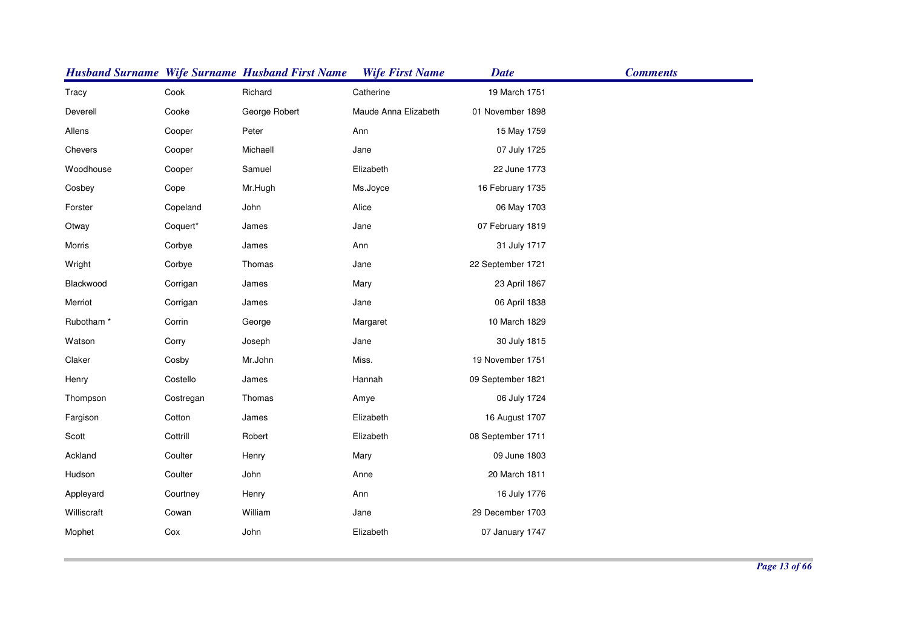|                       |           | <b>Husband Surname Wife Surname Husband First Name</b> | <b>Wife First Name</b> | <b>Date</b>       | <b>Comments</b> |
|-----------------------|-----------|--------------------------------------------------------|------------------------|-------------------|-----------------|
| Tracy                 | Cook      | Richard                                                | Catherine              | 19 March 1751     |                 |
| Deverell              | Cooke     | George Robert                                          | Maude Anna Elizabeth   | 01 November 1898  |                 |
| Allens                | Cooper    | Peter                                                  | Ann                    | 15 May 1759       |                 |
| Chevers               | Cooper    | Michaell                                               | Jane                   | 07 July 1725      |                 |
| Woodhouse             | Cooper    | Samuel                                                 | Elizabeth              | 22 June 1773      |                 |
| Cosbey                | Cope      | Mr.Hugh                                                | Ms.Joyce               | 16 February 1735  |                 |
| Forster               | Copeland  | John                                                   | Alice                  | 06 May 1703       |                 |
| Otway                 | Coquert*  | James                                                  | Jane                   | 07 February 1819  |                 |
| Morris                | Corbye    | James                                                  | Ann                    | 31 July 1717      |                 |
| Wright                | Corbye    | Thomas                                                 | Jane                   | 22 September 1721 |                 |
| Blackwood             | Corrigan  | James                                                  | Mary                   | 23 April 1867     |                 |
| Merriot               | Corrigan  | James                                                  | Jane                   | 06 April 1838     |                 |
| Rubotham <sup>*</sup> | Corrin    | George                                                 | Margaret               | 10 March 1829     |                 |
| Watson                | Corry     | Joseph                                                 | Jane                   | 30 July 1815      |                 |
| Claker                | Cosby     | Mr.John                                                | Miss.                  | 19 November 1751  |                 |
| Henry                 | Costello  | James                                                  | Hannah                 | 09 September 1821 |                 |
| Thompson              | Costregan | Thomas                                                 | Amye                   | 06 July 1724      |                 |
| Fargison              | Cotton    | James                                                  | Elizabeth              | 16 August 1707    |                 |
| Scott                 | Cottrill  | Robert                                                 | Elizabeth              | 08 September 1711 |                 |
| Ackland               | Coulter   | Henry                                                  | Mary                   | 09 June 1803      |                 |
| Hudson                | Coulter   | John                                                   | Anne                   | 20 March 1811     |                 |
| Appleyard             | Courtney  | Henry                                                  | Ann                    | 16 July 1776      |                 |
| Williscraft           | Cowan     | William                                                | Jane                   | 29 December 1703  |                 |
| Mophet                | Cox       | John                                                   | Elizabeth              | 07 January 1747   |                 |
|                       |           |                                                        |                        |                   |                 |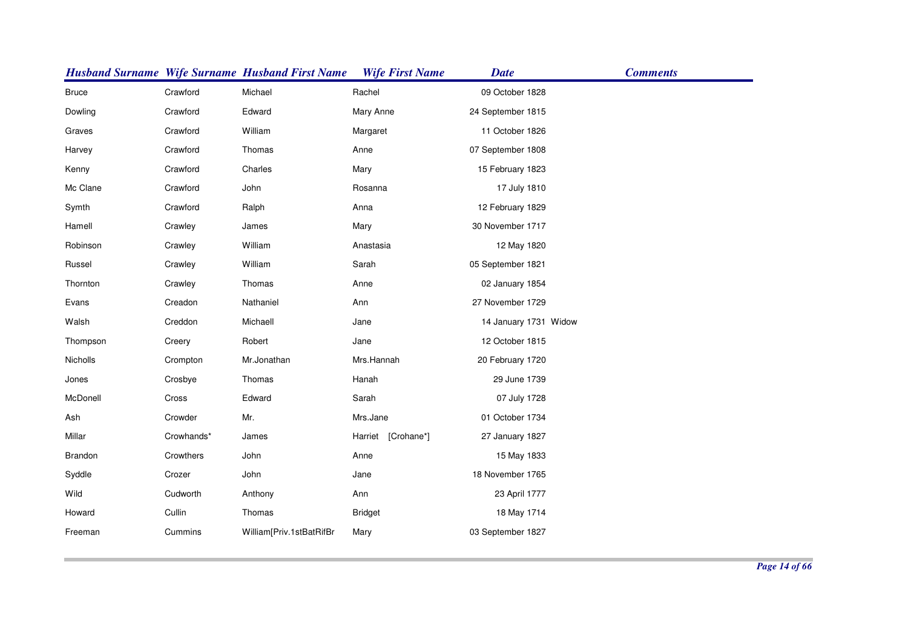|              |            | <b>Husband Surname Wife Surname Husband First Name</b> | <b>Wife First Name</b> | <b>Date</b>           | <b>Comments</b> |
|--------------|------------|--------------------------------------------------------|------------------------|-----------------------|-----------------|
| <b>Bruce</b> | Crawford   | Michael                                                | Rachel                 | 09 October 1828       |                 |
| Dowling      | Crawford   | Edward                                                 | Mary Anne              | 24 September 1815     |                 |
| Graves       | Crawford   | William                                                | Margaret               | 11 October 1826       |                 |
| Harvey       | Crawford   | Thomas                                                 | Anne                   | 07 September 1808     |                 |
| Kenny        | Crawford   | Charles                                                | Mary                   | 15 February 1823      |                 |
| Mc Clane     | Crawford   | John                                                   | Rosanna                | 17 July 1810          |                 |
| Symth        | Crawford   | Ralph                                                  | Anna                   | 12 February 1829      |                 |
| Hamell       | Crawley    | James                                                  | Mary                   | 30 November 1717      |                 |
| Robinson     | Crawley    | William                                                | Anastasia              | 12 May 1820           |                 |
| Russel       | Crawley    | William                                                | Sarah                  | 05 September 1821     |                 |
| Thornton     | Crawley    | Thomas                                                 | Anne                   | 02 January 1854       |                 |
| Evans        | Creadon    | Nathaniel                                              | Ann                    | 27 November 1729      |                 |
| Walsh        | Creddon    | Michaell                                               | Jane                   | 14 January 1731 Widow |                 |
| Thompson     | Creery     | Robert                                                 | Jane                   | 12 October 1815       |                 |
| Nicholls     | Crompton   | Mr.Jonathan                                            | Mrs.Hannah             | 20 February 1720      |                 |
| Jones        | Crosbye    | Thomas                                                 | Hanah                  | 29 June 1739          |                 |
| McDonell     | Cross      | Edward                                                 | Sarah                  | 07 July 1728          |                 |
| Ash          | Crowder    | Mr.                                                    | Mrs.Jane               | 01 October 1734       |                 |
| Millar       | Crowhands* | James                                                  | Harriet [Crohane*]     | 27 January 1827       |                 |
| Brandon      | Crowthers  | John                                                   | Anne                   | 15 May 1833           |                 |
| Syddle       | Crozer     | John                                                   | Jane                   | 18 November 1765      |                 |
| Wild         | Cudworth   | Anthony                                                | Ann                    | 23 April 1777         |                 |
| Howard       | Cullin     | Thomas                                                 | <b>Bridget</b>         | 18 May 1714           |                 |
| Freeman      | Cummins    | William[Priv.1stBatRifBr                               | Mary                   | 03 September 1827     |                 |
|              |            |                                                        |                        |                       |                 |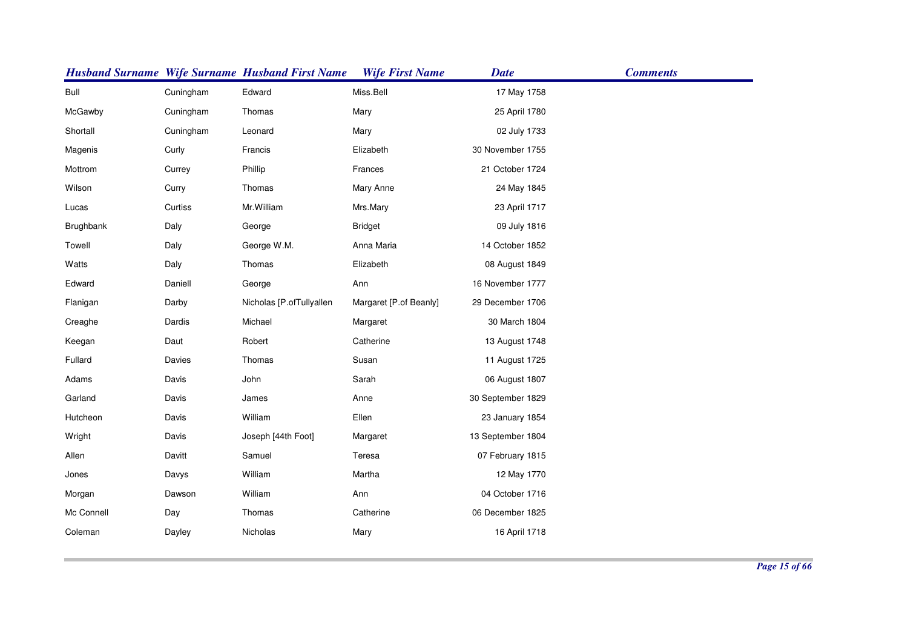|            |           | <b>Husband Surname Wife Surname Husband First Name</b> | <b>Wife First Name</b> | <b>Date</b>       | <b>Comments</b> |
|------------|-----------|--------------------------------------------------------|------------------------|-------------------|-----------------|
| Bull       | Cuningham | Edward                                                 | Miss.Bell              | 17 May 1758       |                 |
| McGawby    | Cuningham | Thomas                                                 | Mary                   | 25 April 1780     |                 |
| Shortall   | Cuningham | Leonard                                                | Mary                   | 02 July 1733      |                 |
| Magenis    | Curly     | Francis                                                | Elizabeth              | 30 November 1755  |                 |
| Mottrom    | Currey    | Phillip                                                | Frances                | 21 October 1724   |                 |
| Wilson     | Curry     | Thomas                                                 | Mary Anne              | 24 May 1845       |                 |
| Lucas      | Curtiss   | Mr. William                                            | Mrs.Mary               | 23 April 1717     |                 |
| Brughbank  | Daly      | George                                                 | <b>Bridget</b>         | 09 July 1816      |                 |
| Towell     | Daly      | George W.M.                                            | Anna Maria             | 14 October 1852   |                 |
| Watts      | Daly      | Thomas                                                 | Elizabeth              | 08 August 1849    |                 |
| Edward     | Daniell   | George                                                 | Ann                    | 16 November 1777  |                 |
| Flanigan   | Darby     | Nicholas [P.ofTullyallen                               | Margaret [P.of Beanly] | 29 December 1706  |                 |
| Creaghe    | Dardis    | Michael                                                | Margaret               | 30 March 1804     |                 |
| Keegan     | Daut      | Robert                                                 | Catherine              | 13 August 1748    |                 |
| Fullard    | Davies    | Thomas                                                 | Susan                  | 11 August 1725    |                 |
| Adams      | Davis     | John                                                   | Sarah                  | 06 August 1807    |                 |
| Garland    | Davis     | James                                                  | Anne                   | 30 September 1829 |                 |
| Hutcheon   | Davis     | William                                                | Ellen                  | 23 January 1854   |                 |
| Wright     | Davis     | Joseph [44th Foot]                                     | Margaret               | 13 September 1804 |                 |
| Allen      | Davitt    | Samuel                                                 | Teresa                 | 07 February 1815  |                 |
| Jones      | Davys     | William                                                | Martha                 | 12 May 1770       |                 |
| Morgan     | Dawson    | William                                                | Ann                    | 04 October 1716   |                 |
| Mc Connell | Day       | Thomas                                                 | Catherine              | 06 December 1825  |                 |
| Coleman    | Dayley    | Nicholas                                               | Mary                   | 16 April 1718     |                 |
|            |           |                                                        |                        |                   |                 |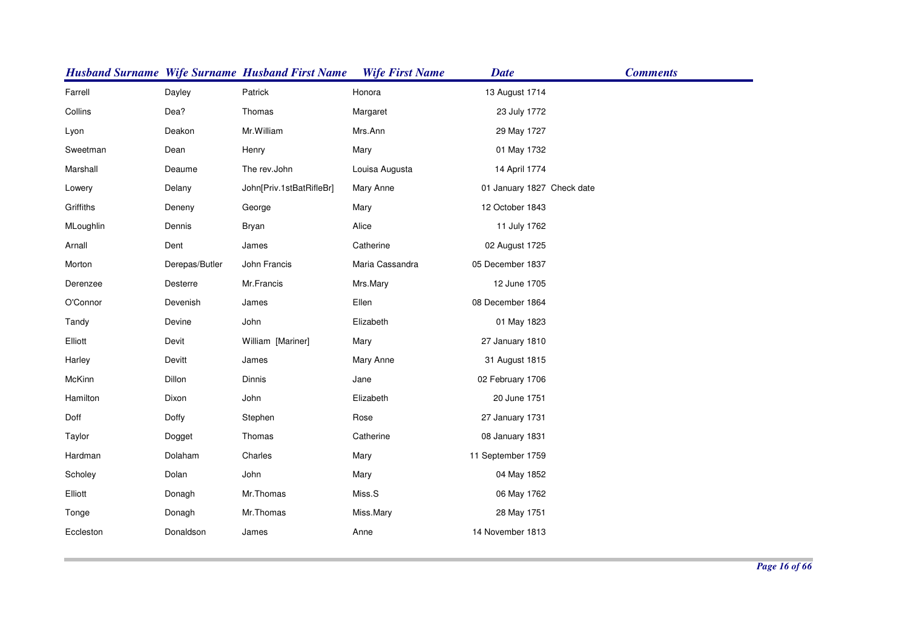|           |                | <b>Husband Surname Wife Surname Husband First Name</b> | <b>Wife First Name</b> | <b>Date</b>                | <b>Comments</b> |
|-----------|----------------|--------------------------------------------------------|------------------------|----------------------------|-----------------|
| Farrell   | Dayley         | Patrick                                                | Honora                 | 13 August 1714             |                 |
| Collins   | Dea?           | Thomas                                                 | Margaret               | 23 July 1772               |                 |
| Lyon      | Deakon         | Mr. William                                            | Mrs.Ann                | 29 May 1727                |                 |
| Sweetman  | Dean           | Henry                                                  | Mary                   | 01 May 1732                |                 |
| Marshall  | Deaume         | The rev.John                                           | Louisa Augusta         | 14 April 1774              |                 |
| Lowery    | Delany         | John[Priv.1stBatRifleBr]                               | Mary Anne              | 01 January 1827 Check date |                 |
| Griffiths | Deneny         | George                                                 | Mary                   | 12 October 1843            |                 |
| MLoughlin | Dennis         | Bryan                                                  | Alice                  | 11 July 1762               |                 |
| Arnall    | Dent           | James                                                  | Catherine              | 02 August 1725             |                 |
| Morton    | Derepas/Butler | John Francis                                           | Maria Cassandra        | 05 December 1837           |                 |
| Derenzee  | Desterre       | Mr.Francis                                             | Mrs.Mary               | 12 June 1705               |                 |
| O'Connor  | Devenish       | James                                                  | Ellen                  | 08 December 1864           |                 |
| Tandy     | Devine         | John                                                   | Elizabeth              | 01 May 1823                |                 |
| Elliott   | Devit          | William [Mariner]                                      | Mary                   | 27 January 1810            |                 |
| Harley    | Devitt         | James                                                  | Mary Anne              | 31 August 1815             |                 |
| McKinn    | Dillon         | Dinnis                                                 | Jane                   | 02 February 1706           |                 |
| Hamilton  | Dixon          | John                                                   | Elizabeth              | 20 June 1751               |                 |
| Doff      | Doffy          | Stephen                                                | Rose                   | 27 January 1731            |                 |
| Taylor    | Dogget         | Thomas                                                 | Catherine              | 08 January 1831            |                 |
| Hardman   | Dolaham        | Charles                                                | Mary                   | 11 September 1759          |                 |
| Scholey   | Dolan          | John                                                   | Mary                   | 04 May 1852                |                 |
| Elliott   | Donagh         | Mr.Thomas                                              | Miss.S                 | 06 May 1762                |                 |
| Tonge     | Donagh         | Mr.Thomas                                              | Miss.Mary              | 28 May 1751                |                 |
| Eccleston | Donaldson      | James                                                  | Anne                   | 14 November 1813           |                 |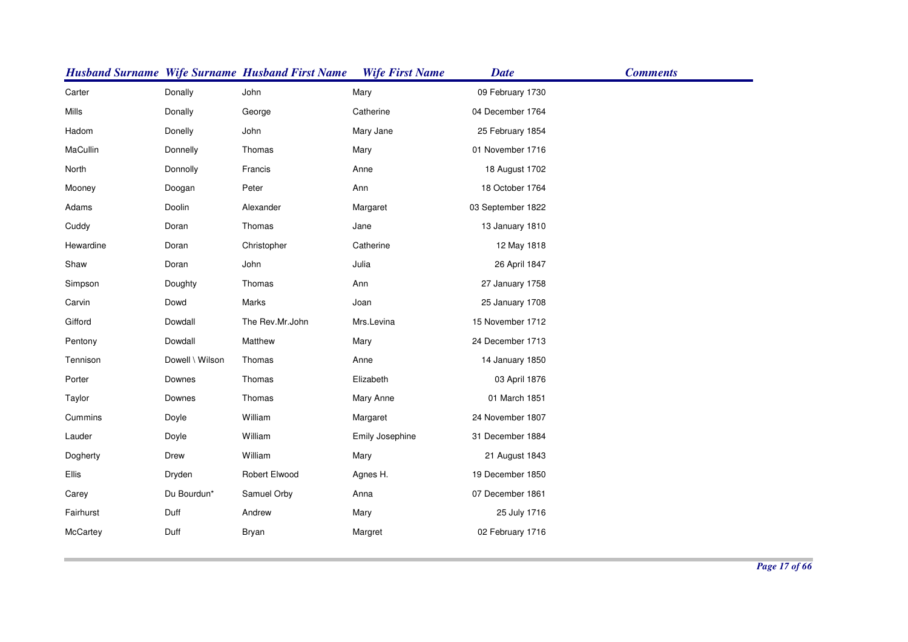|           |                 | <b>Husband Surname Wife Surname Husband First Name</b> | <b>Wife First Name</b> | <b>Date</b>       | <b>Comments</b> |
|-----------|-----------------|--------------------------------------------------------|------------------------|-------------------|-----------------|
| Carter    | Donally         | John                                                   | Mary                   | 09 February 1730  |                 |
| Mills     | Donally         | George                                                 | Catherine              | 04 December 1764  |                 |
| Hadom     | Donelly         | John                                                   | Mary Jane              | 25 February 1854  |                 |
| MaCullin  | Donnelly        | Thomas                                                 | Mary                   | 01 November 1716  |                 |
| North     | Donnolly        | Francis                                                | Anne                   | 18 August 1702    |                 |
| Mooney    | Doogan          | Peter                                                  | Ann                    | 18 October 1764   |                 |
| Adams     | Doolin          | Alexander                                              | Margaret               | 03 September 1822 |                 |
| Cuddy     | Doran           | Thomas                                                 | Jane                   | 13 January 1810   |                 |
| Hewardine | Doran           | Christopher                                            | Catherine              | 12 May 1818       |                 |
| Shaw      | Doran           | John                                                   | Julia                  | 26 April 1847     |                 |
| Simpson   | Doughty         | Thomas                                                 | Ann                    | 27 January 1758   |                 |
| Carvin    | Dowd            | Marks                                                  | Joan                   | 25 January 1708   |                 |
| Gifford   | Dowdall         | The Rev.Mr.John                                        | Mrs.Levina             | 15 November 1712  |                 |
| Pentony   | Dowdall         | Matthew                                                | Mary                   | 24 December 1713  |                 |
| Tennison  | Dowell \ Wilson | Thomas                                                 | Anne                   | 14 January 1850   |                 |
| Porter    | Downes          | Thomas                                                 | Elizabeth              | 03 April 1876     |                 |
| Taylor    | Downes          | Thomas                                                 | Mary Anne              | 01 March 1851     |                 |
| Cummins   | Doyle           | William                                                | Margaret               | 24 November 1807  |                 |
| Lauder    | Doyle           | William                                                | Emily Josephine        | 31 December 1884  |                 |
| Dogherty  | Drew            | William                                                | Mary                   | 21 August 1843    |                 |
| Ellis     | Dryden          | Robert Elwood                                          | Agnes H.               | 19 December 1850  |                 |
| Carey     | Du Bourdun*     | Samuel Orby                                            | Anna                   | 07 December 1861  |                 |
| Fairhurst | Duff            | Andrew                                                 | Mary                   | 25 July 1716      |                 |
| McCartey  | Duff            | Bryan                                                  | Margret                | 02 February 1716  |                 |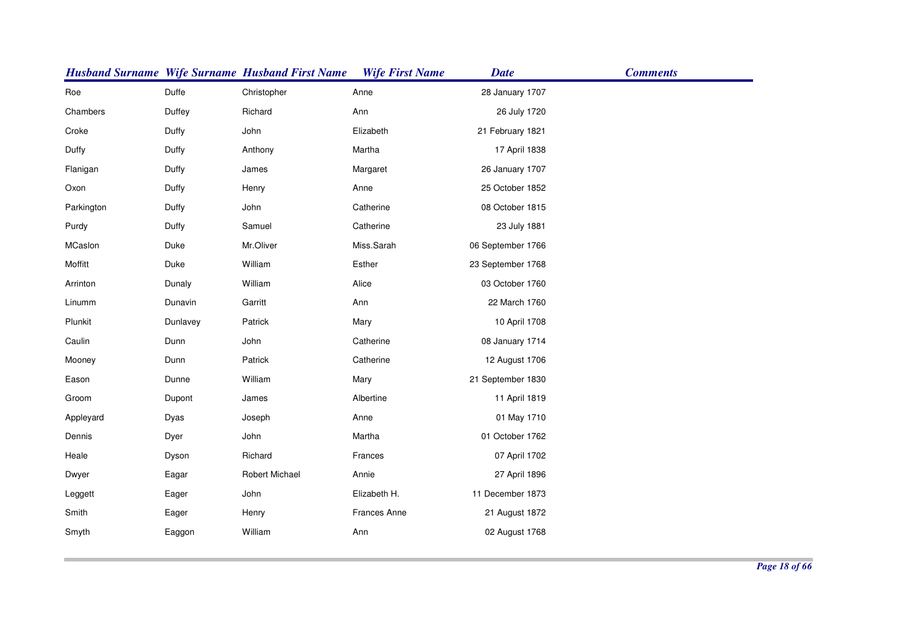|            |          | <b>Husband Surname Wife Surname Husband First Name</b> | <b>Wife First Name</b> | <b>Date</b>       | <b>Comments</b> |
|------------|----------|--------------------------------------------------------|------------------------|-------------------|-----------------|
| Roe        | Duffe    | Christopher                                            | Anne                   | 28 January 1707   |                 |
| Chambers   | Duffey   | Richard                                                | Ann                    | 26 July 1720      |                 |
| Croke      | Duffy    | John                                                   | Elizabeth              | 21 February 1821  |                 |
| Duffy      | Duffy    | Anthony                                                | Martha                 | 17 April 1838     |                 |
| Flanigan   | Duffy    | James                                                  | Margaret               | 26 January 1707   |                 |
| Oxon       | Duffy    | Henry                                                  | Anne                   | 25 October 1852   |                 |
| Parkington | Duffy    | John                                                   | Catherine              | 08 October 1815   |                 |
| Purdy      | Duffy    | Samuel                                                 | Catherine              | 23 July 1881      |                 |
| MCaslon    | Duke     | Mr.Oliver                                              | Miss.Sarah             | 06 September 1766 |                 |
| Moffitt    | Duke     | William                                                | Esther                 | 23 September 1768 |                 |
| Arrinton   | Dunaly   | William                                                | Alice                  | 03 October 1760   |                 |
| Linumm     | Dunavin  | Garritt                                                | Ann                    | 22 March 1760     |                 |
| Plunkit    | Dunlavey | Patrick                                                | Mary                   | 10 April 1708     |                 |
| Caulin     | Dunn     | John                                                   | Catherine              | 08 January 1714   |                 |
| Mooney     | Dunn     | Patrick                                                | Catherine              | 12 August 1706    |                 |
| Eason      | Dunne    | William                                                | Mary                   | 21 September 1830 |                 |
| Groom      | Dupont   | James                                                  | Albertine              | 11 April 1819     |                 |
| Appleyard  | Dyas     | Joseph                                                 | Anne                   | 01 May 1710       |                 |
| Dennis     | Dyer     | John                                                   | Martha                 | 01 October 1762   |                 |
| Heale      | Dyson    | Richard                                                | Frances                | 07 April 1702     |                 |
| Dwyer      | Eagar    | <b>Robert Michael</b>                                  | Annie                  | 27 April 1896     |                 |
| Leggett    | Eager    | John                                                   | Elizabeth H.           | 11 December 1873  |                 |
| Smith      | Eager    | Henry                                                  | Frances Anne           | 21 August 1872    |                 |
| Smyth      | Eaggon   | William                                                | Ann                    | 02 August 1768    |                 |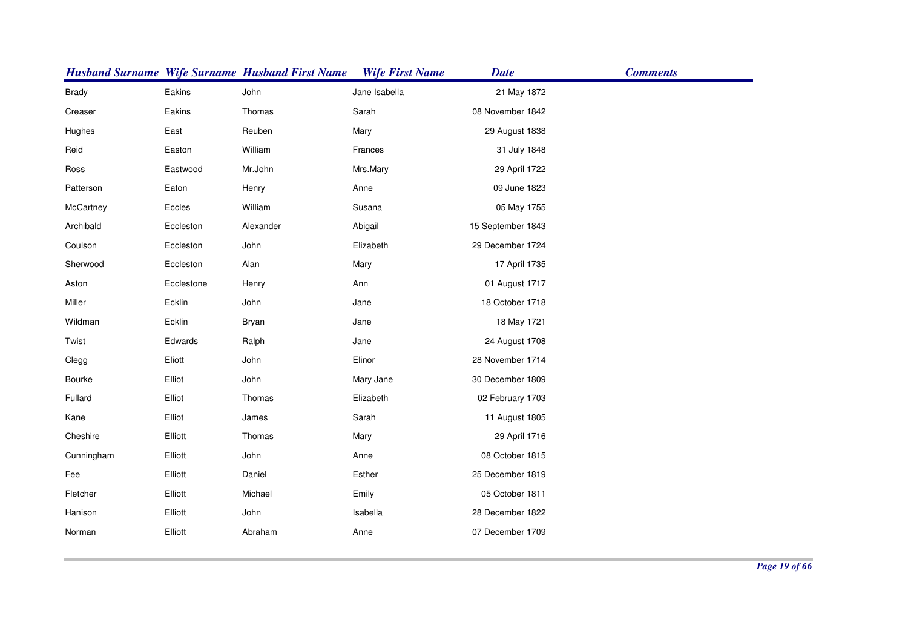|              |            | <b>Husband Surname Wife Surname Husband First Name</b> | <b>Wife First Name</b> | <b>Date</b>       | <b>Comments</b> |
|--------------|------------|--------------------------------------------------------|------------------------|-------------------|-----------------|
| <b>Brady</b> | Eakins     | John                                                   | Jane Isabella          | 21 May 1872       |                 |
| Creaser      | Eakins     | Thomas                                                 | Sarah                  | 08 November 1842  |                 |
| Hughes       | East       | Reuben                                                 | Mary                   | 29 August 1838    |                 |
| Reid         | Easton     | William                                                | Frances                | 31 July 1848      |                 |
| Ross         | Eastwood   | Mr.John                                                | Mrs.Mary               | 29 April 1722     |                 |
| Patterson    | Eaton      | Henry                                                  | Anne                   | 09 June 1823      |                 |
| McCartney    | Eccles     | William                                                | Susana                 | 05 May 1755       |                 |
| Archibald    | Eccleston  | Alexander                                              | Abigail                | 15 September 1843 |                 |
| Coulson      | Eccleston  | John                                                   | Elizabeth              | 29 December 1724  |                 |
| Sherwood     | Eccleston  | Alan                                                   | Mary                   | 17 April 1735     |                 |
| Aston        | Ecclestone | Henry                                                  | Ann                    | 01 August 1717    |                 |
| Miller       | Ecklin     | John                                                   | Jane                   | 18 October 1718   |                 |
| Wildman      | Ecklin     | <b>Bryan</b>                                           | Jane                   | 18 May 1721       |                 |
| Twist        | Edwards    | Ralph                                                  | Jane                   | 24 August 1708    |                 |
| Clegg        | Eliott     | John                                                   | Elinor                 | 28 November 1714  |                 |
| Bourke       | Elliot     | John                                                   | Mary Jane              | 30 December 1809  |                 |
| Fullard      | Elliot     | Thomas                                                 | Elizabeth              | 02 February 1703  |                 |
| Kane         | Elliot     | James                                                  | Sarah                  | 11 August 1805    |                 |
| Cheshire     | Elliott    | Thomas                                                 | Mary                   | 29 April 1716     |                 |
| Cunningham   | Elliott    | John                                                   | Anne                   | 08 October 1815   |                 |
| Fee          | Elliott    | Daniel                                                 | Esther                 | 25 December 1819  |                 |
| Fletcher     | Elliott    | Michael                                                | Emily                  | 05 October 1811   |                 |
| Hanison      | Elliott    | John                                                   | Isabella               | 28 December 1822  |                 |
| Norman       | Elliott    | Abraham                                                | Anne                   | 07 December 1709  |                 |
|              |            |                                                        |                        |                   |                 |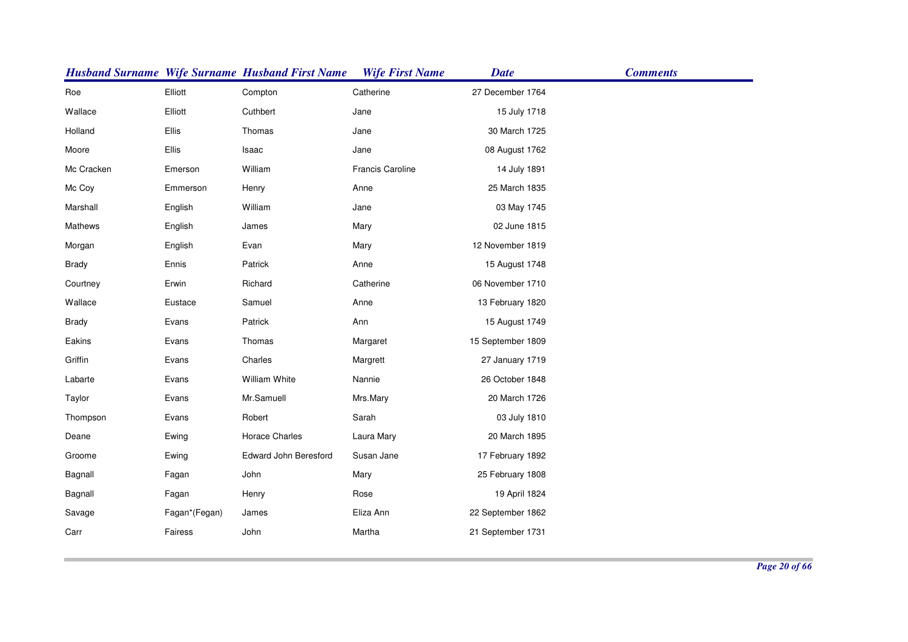|              |               | <b>Husband Surname Wife Surname Husband First Name</b> | <b>Wife First Name</b> | <b>Date</b>       | <b>Comments</b> |
|--------------|---------------|--------------------------------------------------------|------------------------|-------------------|-----------------|
| Roe          | Elliott       | Compton                                                | Catherine              | 27 December 1764  |                 |
| Wallace      | Elliott       | Cuthbert                                               | Jane                   | 15 July 1718      |                 |
| Holland      | Ellis         | Thomas                                                 | Jane                   | 30 March 1725     |                 |
| Moore        | <b>Ellis</b>  | Isaac                                                  | Jane                   | 08 August 1762    |                 |
| Mc Cracken   | Emerson       | William                                                | Francis Caroline       | 14 July 1891      |                 |
| Mc Coy       | Emmerson      | Henry                                                  | Anne                   | 25 March 1835     |                 |
| Marshall     | English       | William                                                | Jane                   | 03 May 1745       |                 |
| Mathews      | English       | James                                                  | Mary                   | 02 June 1815      |                 |
| Morgan       | English       | Evan                                                   | Mary                   | 12 November 1819  |                 |
| <b>Brady</b> | Ennis         | Patrick                                                | Anne                   | 15 August 1748    |                 |
| Courtney     | Erwin         | Richard                                                | Catherine              | 06 November 1710  |                 |
| Wallace      | Eustace       | Samuel                                                 | Anne                   | 13 February 1820  |                 |
| <b>Brady</b> | Evans         | Patrick                                                | Ann                    | 15 August 1749    |                 |
| Eakins       | Evans         | Thomas                                                 | Margaret               | 15 September 1809 |                 |
| Griffin      | Evans         | Charles                                                | Margrett               | 27 January 1719   |                 |
| Labarte      | Evans         | William White                                          | Nannie                 | 26 October 1848   |                 |
| Taylor       | Evans         | Mr.Samuell                                             | Mrs.Mary               | 20 March 1726     |                 |
| Thompson     | Evans         | Robert                                                 | Sarah                  | 03 July 1810      |                 |
| Deane        | Ewing         | Horace Charles                                         | Laura Mary             | 20 March 1895     |                 |
| Groome       | Ewing         | Edward John Beresford                                  | Susan Jane             | 17 February 1892  |                 |
| Bagnall      | Fagan         | John                                                   | Mary                   | 25 February 1808  |                 |
| Bagnall      | Fagan         | Henry                                                  | Rose                   | 19 April 1824     |                 |
| Savage       | Fagan*(Fegan) | James                                                  | Eliza Ann              | 22 September 1862 |                 |
| Carr         | Fairess       | John                                                   | Martha                 | 21 September 1731 |                 |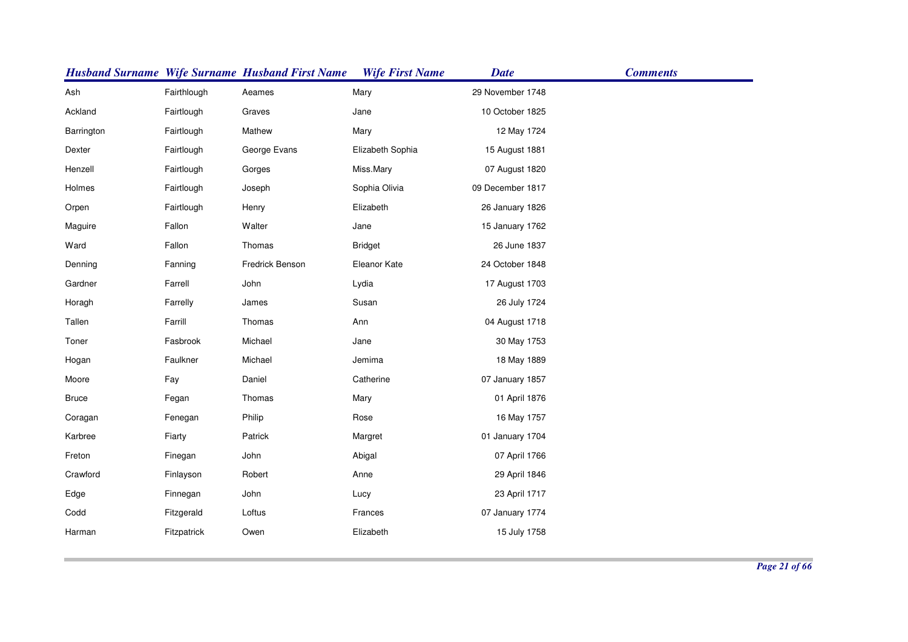|              |             | <b>Husband Surname Wife Surname Husband First Name</b> | <b>Wife First Name</b> | <b>Date</b>      | <b>Comments</b> |
|--------------|-------------|--------------------------------------------------------|------------------------|------------------|-----------------|
| Ash          | Fairthlough | Aeames                                                 | Mary                   | 29 November 1748 |                 |
| Ackland      | Fairtlough  | Graves                                                 | Jane                   | 10 October 1825  |                 |
| Barrington   | Fairtlough  | Mathew                                                 | Mary                   | 12 May 1724      |                 |
| Dexter       | Fairtlough  | George Evans                                           | Elizabeth Sophia       | 15 August 1881   |                 |
| Henzell      | Fairtlough  | Gorges                                                 | Miss.Mary              | 07 August 1820   |                 |
| Holmes       | Fairtlough  | Joseph                                                 | Sophia Olivia          | 09 December 1817 |                 |
| Orpen        | Fairtlough  | Henry                                                  | Elizabeth              | 26 January 1826  |                 |
| Maguire      | Fallon      | Walter                                                 | Jane                   | 15 January 1762  |                 |
| Ward         | Fallon      | Thomas                                                 | <b>Bridget</b>         | 26 June 1837     |                 |
| Denning      | Fanning     | Fredrick Benson                                        | Eleanor Kate           | 24 October 1848  |                 |
| Gardner      | Farrell     | John                                                   | Lydia                  | 17 August 1703   |                 |
| Horagh       | Farrelly    | James                                                  | Susan                  | 26 July 1724     |                 |
| Tallen       | Farrill     | Thomas                                                 | Ann                    | 04 August 1718   |                 |
| Toner        | Fasbrook    | Michael                                                | Jane                   | 30 May 1753      |                 |
| Hogan        | Faulkner    | Michael                                                | Jemima                 | 18 May 1889      |                 |
| Moore        | Fay         | Daniel                                                 | Catherine              | 07 January 1857  |                 |
| <b>Bruce</b> | Fegan       | Thomas                                                 | Mary                   | 01 April 1876    |                 |
| Coragan      | Fenegan     | Philip                                                 | Rose                   | 16 May 1757      |                 |
| Karbree      | Fiarty      | Patrick                                                | Margret                | 01 January 1704  |                 |
| Freton       | Finegan     | John                                                   | Abigal                 | 07 April 1766    |                 |
| Crawford     | Finlayson   | Robert                                                 | Anne                   | 29 April 1846    |                 |
| Edge         | Finnegan    | John                                                   | Lucy                   | 23 April 1717    |                 |
| Codd         | Fitzgerald  | Loftus                                                 | Frances                | 07 January 1774  |                 |
| Harman       | Fitzpatrick | Owen                                                   | Elizabeth              | 15 July 1758     |                 |
|              |             |                                                        |                        |                  |                 |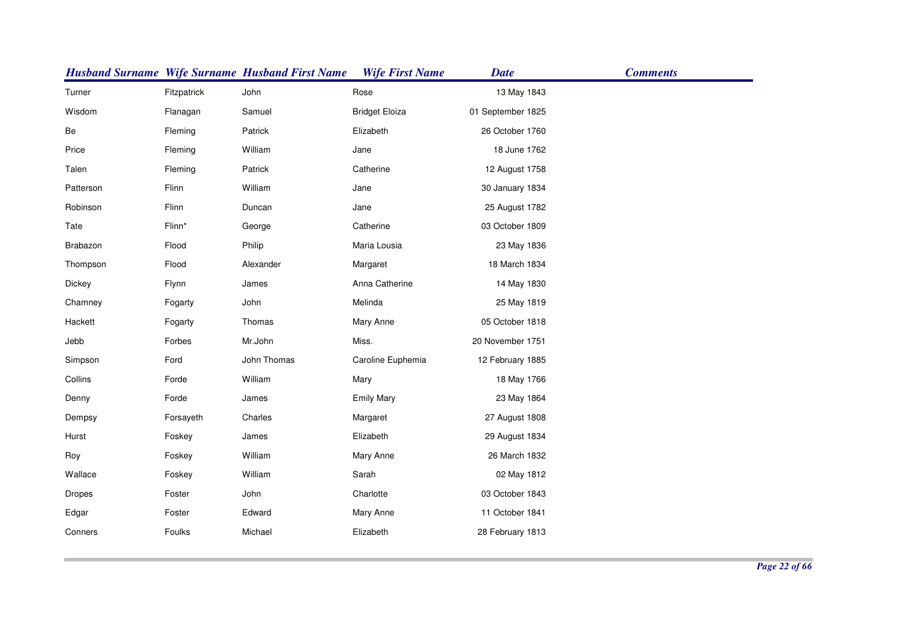|           |             | <b>Husband Surname Wife Surname Husband First Name</b> | <b>Wife First Name</b> | <b>Date</b>       | <b>Comments</b> |
|-----------|-------------|--------------------------------------------------------|------------------------|-------------------|-----------------|
| Turner    | Fitzpatrick | John                                                   | Rose                   | 13 May 1843       |                 |
| Wisdom    | Flanagan    | Samuel                                                 | <b>Bridget Eloiza</b>  | 01 September 1825 |                 |
| Be        | Fleming     | Patrick                                                | Elizabeth              | 26 October 1760   |                 |
| Price     | Fleming     | William                                                | Jane                   | 18 June 1762      |                 |
| Talen     | Fleming     | Patrick                                                | Catherine              | 12 August 1758    |                 |
| Patterson | Flinn       | William                                                | Jane                   | 30 January 1834   |                 |
| Robinson  | Flinn       | Duncan                                                 | Jane                   | 25 August 1782    |                 |
| Tate      | Flinn*      | George                                                 | Catherine              | 03 October 1809   |                 |
| Brabazon  | Flood       | Philip                                                 | Maria Lousia           | 23 May 1836       |                 |
| Thompson  | Flood       | Alexander                                              | Margaret               | 18 March 1834     |                 |
| Dickey    | Flynn       | James                                                  | Anna Catherine         | 14 May 1830       |                 |
| Chamney   | Fogarty     | John                                                   | Melinda                | 25 May 1819       |                 |
| Hackett   | Fogarty     | Thomas                                                 | Mary Anne              | 05 October 1818   |                 |
| Jebb      | Forbes      | Mr.John                                                | Miss.                  | 20 November 1751  |                 |
| Simpson   | Ford        | John Thomas                                            | Caroline Euphemia      | 12 February 1885  |                 |
| Collins   | Forde       | William                                                | Mary                   | 18 May 1766       |                 |
| Denny     | Forde       | James                                                  | <b>Emily Mary</b>      | 23 May 1864       |                 |
| Dempsy    | Forsayeth   | Charles                                                | Margaret               | 27 August 1808    |                 |
| Hurst     | Foskey      | James                                                  | Elizabeth              | 29 August 1834    |                 |
| Roy       | Foskey      | William                                                | Mary Anne              | 26 March 1832     |                 |
| Wallace   | Foskey      | William                                                | Sarah                  | 02 May 1812       |                 |
| Dropes    | Foster      | John                                                   | Charlotte              | 03 October 1843   |                 |
| Edgar     | Foster      | Edward                                                 | Mary Anne              | 11 October 1841   |                 |
| Conners   | Foulks      | Michael                                                | Elizabeth              | 28 February 1813  |                 |
|           |             |                                                        |                        |                   |                 |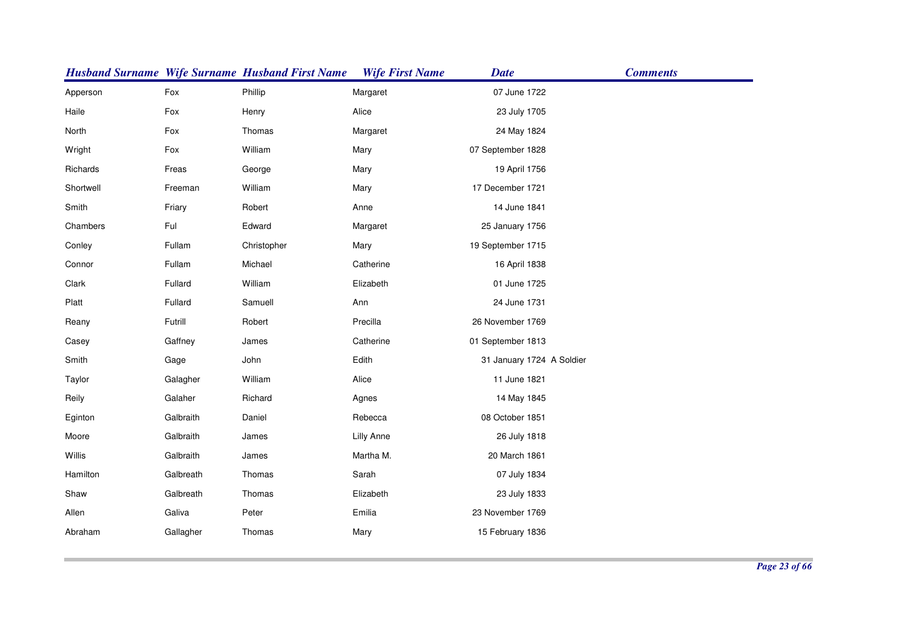|           |           | <b>Husband Surname Wife Surname Husband First Name</b> | <b>Wife First Name</b> | <b>Date</b>               | <b>Comments</b> |
|-----------|-----------|--------------------------------------------------------|------------------------|---------------------------|-----------------|
| Apperson  | Fox       | Phillip                                                | Margaret               | 07 June 1722              |                 |
| Haile     | Fox       | Henry                                                  | Alice                  | 23 July 1705              |                 |
| North     | Fox       | Thomas                                                 | Margaret               | 24 May 1824               |                 |
| Wright    | Fox       | William                                                | Mary                   | 07 September 1828         |                 |
| Richards  | Freas     | George                                                 | Mary                   | 19 April 1756             |                 |
| Shortwell | Freeman   | William                                                | Mary                   | 17 December 1721          |                 |
| Smith     | Friary    | Robert                                                 | Anne                   | 14 June 1841              |                 |
| Chambers  | Ful       | Edward                                                 | Margaret               | 25 January 1756           |                 |
| Conley    | Fullam    | Christopher                                            | Mary                   | 19 September 1715         |                 |
| Connor    | Fullam    | Michael                                                | Catherine              | 16 April 1838             |                 |
| Clark     | Fullard   | William                                                | Elizabeth              | 01 June 1725              |                 |
| Platt     | Fullard   | Samuell                                                | Ann                    | 24 June 1731              |                 |
| Reany     | Futrill   | Robert                                                 | Precilla               | 26 November 1769          |                 |
| Casey     | Gaffney   | James                                                  | Catherine              | 01 September 1813         |                 |
| Smith     | Gage      | John                                                   | Edith                  | 31 January 1724 A Soldier |                 |
| Taylor    | Galagher  | William                                                | Alice                  | 11 June 1821              |                 |
| Reily     | Galaher   | Richard                                                | Agnes                  | 14 May 1845               |                 |
| Eginton   | Galbraith | Daniel                                                 | Rebecca                | 08 October 1851           |                 |
| Moore     | Galbraith | James                                                  | <b>Lilly Anne</b>      | 26 July 1818              |                 |
| Willis    | Galbraith | James                                                  | Martha M.              | 20 March 1861             |                 |
| Hamilton  | Galbreath | Thomas                                                 | Sarah                  | 07 July 1834              |                 |
| Shaw      | Galbreath | Thomas                                                 | Elizabeth              | 23 July 1833              |                 |
| Allen     | Galiva    | Peter                                                  | Emilia                 | 23 November 1769          |                 |
| Abraham   | Gallagher | Thomas                                                 | Mary                   | 15 February 1836          |                 |
|           |           |                                                        |                        |                           |                 |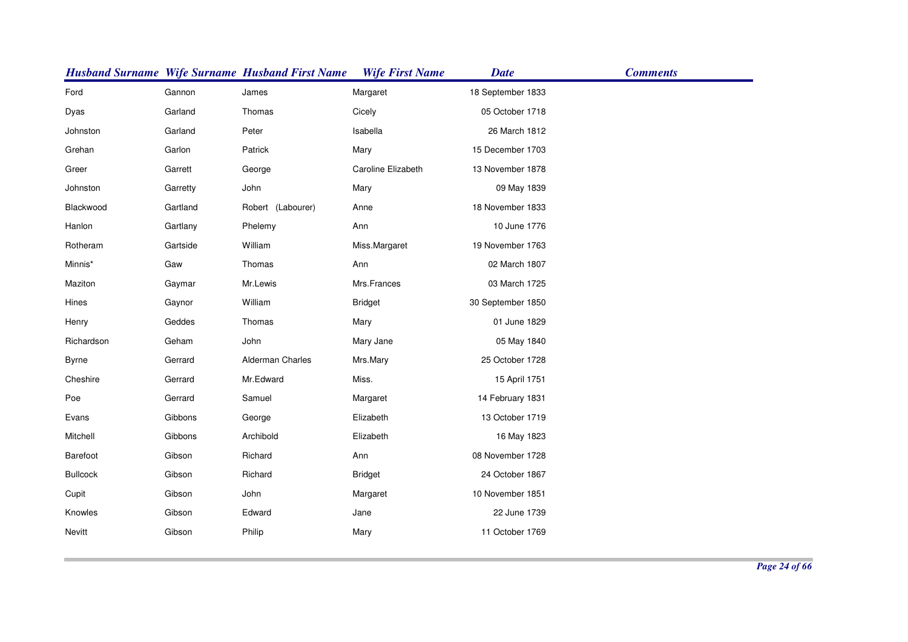|                 |          | <b>Husband Surname Wife Surname Husband First Name</b> | <b>Wife First Name</b> | <b>Date</b>       | <b>Comments</b> |
|-----------------|----------|--------------------------------------------------------|------------------------|-------------------|-----------------|
| Ford            | Gannon   | James                                                  | Margaret               | 18 September 1833 |                 |
| Dyas            | Garland  | Thomas                                                 | Cicely                 | 05 October 1718   |                 |
| Johnston        | Garland  | Peter                                                  | Isabella               | 26 March 1812     |                 |
| Grehan          | Garlon   | Patrick                                                | Mary                   | 15 December 1703  |                 |
| Greer           | Garrett  | George                                                 | Caroline Elizabeth     | 13 November 1878  |                 |
| Johnston        | Garretty | John                                                   | Mary                   | 09 May 1839       |                 |
| Blackwood       | Gartland | Robert (Labourer)                                      | Anne                   | 18 November 1833  |                 |
| Hanlon          | Gartlany | Phelemy                                                | Ann                    | 10 June 1776      |                 |
| Rotheram        | Gartside | William                                                | Miss.Margaret          | 19 November 1763  |                 |
| Minnis*         | Gaw      | Thomas                                                 | Ann                    | 02 March 1807     |                 |
| Maziton         | Gaymar   | Mr.Lewis                                               | Mrs.Frances            | 03 March 1725     |                 |
| Hines           | Gaynor   | William                                                | <b>Bridget</b>         | 30 September 1850 |                 |
| Henry           | Geddes   | Thomas                                                 | Mary                   | 01 June 1829      |                 |
| Richardson      | Geham    | John                                                   | Mary Jane              | 05 May 1840       |                 |
| <b>Byrne</b>    | Gerrard  | Alderman Charles                                       | Mrs.Mary               | 25 October 1728   |                 |
| Cheshire        | Gerrard  | Mr.Edward                                              | Miss.                  | 15 April 1751     |                 |
| Poe             | Gerrard  | Samuel                                                 | Margaret               | 14 February 1831  |                 |
| Evans           | Gibbons  | George                                                 | Elizabeth              | 13 October 1719   |                 |
| Mitchell        | Gibbons  | Archibold                                              | Elizabeth              | 16 May 1823       |                 |
| Barefoot        | Gibson   | Richard                                                | Ann                    | 08 November 1728  |                 |
| <b>Bullcock</b> | Gibson   | Richard                                                | <b>Bridget</b>         | 24 October 1867   |                 |
| Cupit           | Gibson   | John                                                   | Margaret               | 10 November 1851  |                 |
| Knowles         | Gibson   | Edward                                                 | Jane                   | 22 June 1739      |                 |
| Nevitt          | Gibson   | Philip                                                 | Mary                   | 11 October 1769   |                 |
|                 |          |                                                        |                        |                   |                 |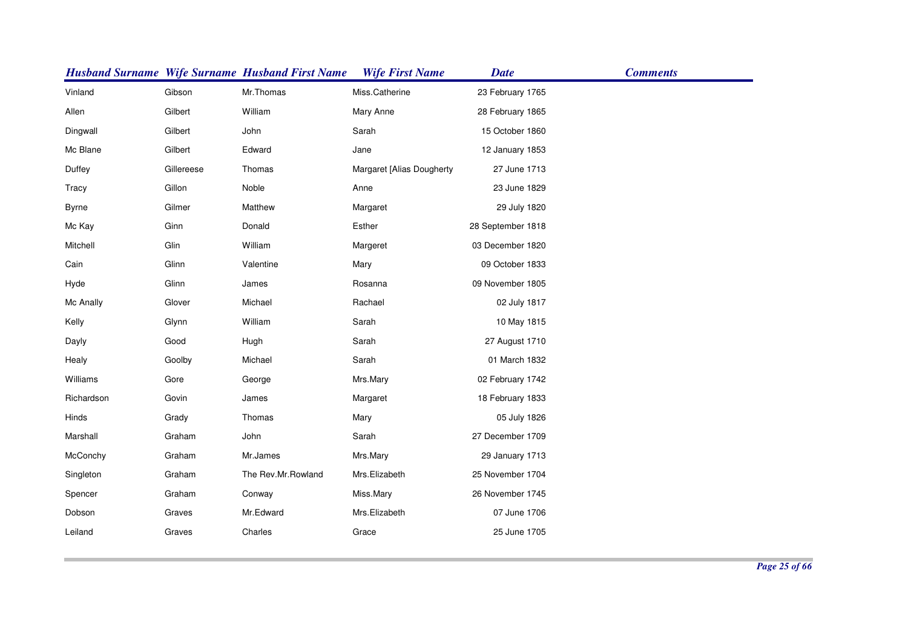|              |            | <b>Husband Surname Wife Surname Husband First Name</b> | <b>Wife First Name</b>    | <b>Date</b>       | <b>Comments</b> |
|--------------|------------|--------------------------------------------------------|---------------------------|-------------------|-----------------|
| Vinland      | Gibson     | Mr.Thomas                                              | Miss.Catherine            | 23 February 1765  |                 |
| Allen        | Gilbert    | William                                                | Mary Anne                 | 28 February 1865  |                 |
| Dingwall     | Gilbert    | John                                                   | Sarah                     | 15 October 1860   |                 |
| Mc Blane     | Gilbert    | Edward                                                 | Jane                      | 12 January 1853   |                 |
| Duffey       | Gillereese | Thomas                                                 | Margaret [Alias Dougherty | 27 June 1713      |                 |
| Tracy        | Gillon     | Noble                                                  | Anne                      | 23 June 1829      |                 |
| <b>Byrne</b> | Gilmer     | Matthew                                                | Margaret                  | 29 July 1820      |                 |
| Mc Kay       | Ginn       | Donald                                                 | Esther                    | 28 September 1818 |                 |
| Mitchell     | Glin       | William                                                | Margeret                  | 03 December 1820  |                 |
| Cain         | Glinn      | Valentine                                              | Mary                      | 09 October 1833   |                 |
| Hyde         | Glinn      | James                                                  | Rosanna                   | 09 November 1805  |                 |
| Mc Anally    | Glover     | Michael                                                | Rachael                   | 02 July 1817      |                 |
| Kelly        | Glynn      | William                                                | Sarah                     | 10 May 1815       |                 |
| Dayly        | Good       | Hugh                                                   | Sarah                     | 27 August 1710    |                 |
| Healy        | Goolby     | Michael                                                | Sarah                     | 01 March 1832     |                 |
| Williams     | Gore       | George                                                 | Mrs.Mary                  | 02 February 1742  |                 |
| Richardson   | Govin      | James                                                  | Margaret                  | 18 February 1833  |                 |
| Hinds        | Grady      | Thomas                                                 | Mary                      | 05 July 1826      |                 |
| Marshall     | Graham     | John                                                   | Sarah                     | 27 December 1709  |                 |
| McConchy     | Graham     | Mr.James                                               | Mrs.Mary                  | 29 January 1713   |                 |
| Singleton    | Graham     | The Rev.Mr.Rowland                                     | Mrs.Elizabeth             | 25 November 1704  |                 |
| Spencer      | Graham     | Conway                                                 | Miss.Mary                 | 26 November 1745  |                 |
| Dobson       | Graves     | Mr.Edward                                              | Mrs.Elizabeth             | 07 June 1706      |                 |
| Leiland      | Graves     | Charles                                                | Grace                     | 25 June 1705      |                 |
|              |            |                                                        |                           |                   |                 |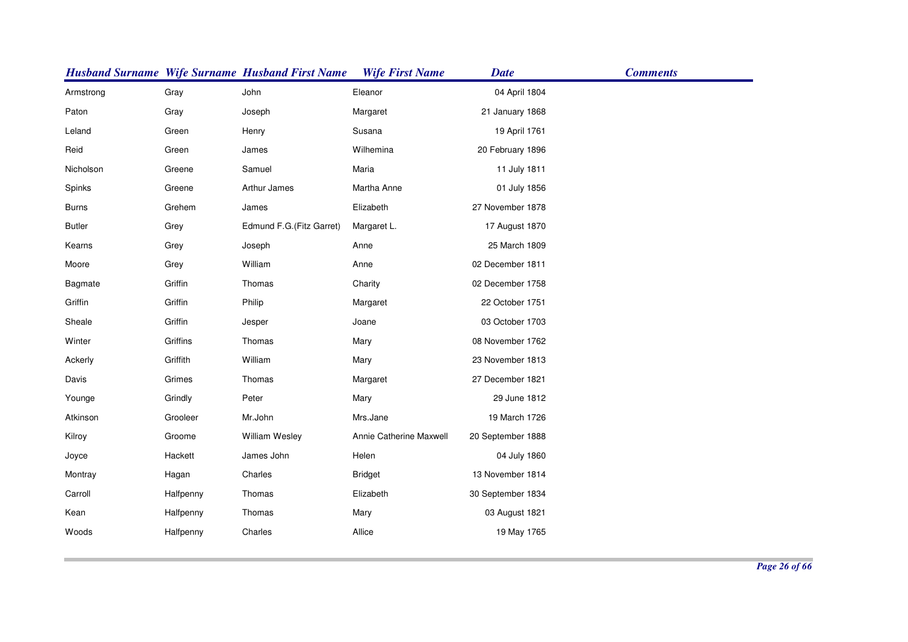|               |           | <b>Husband Surname Wife Surname Husband First Name</b> | <b>Wife First Name</b>  | <b>Date</b>       | <b>Comments</b> |
|---------------|-----------|--------------------------------------------------------|-------------------------|-------------------|-----------------|
| Armstrong     | Gray      | John                                                   | Eleanor                 | 04 April 1804     |                 |
| Paton         | Gray      | Joseph                                                 | Margaret                | 21 January 1868   |                 |
| Leland        | Green     | Henry                                                  | Susana                  | 19 April 1761     |                 |
| Reid          | Green     | James                                                  | Wilhemina               | 20 February 1896  |                 |
| Nicholson     | Greene    | Samuel                                                 | Maria                   | 11 July 1811      |                 |
| Spinks        | Greene    | Arthur James                                           | Martha Anne             | 01 July 1856      |                 |
| <b>Burns</b>  | Grehem    | James                                                  | Elizabeth               | 27 November 1878  |                 |
| <b>Butler</b> | Grey      | Edmund F.G. (Fitz Garret)                              | Margaret L.             | 17 August 1870    |                 |
| Kearns        | Grey      | Joseph                                                 | Anne                    | 25 March 1809     |                 |
| Moore         | Grey      | William                                                | Anne                    | 02 December 1811  |                 |
| Bagmate       | Griffin   | Thomas                                                 | Charity                 | 02 December 1758  |                 |
| Griffin       | Griffin   | Philip                                                 | Margaret                | 22 October 1751   |                 |
| Sheale        | Griffin   | Jesper                                                 | Joane                   | 03 October 1703   |                 |
| Winter        | Griffins  | Thomas                                                 | Mary                    | 08 November 1762  |                 |
| Ackerly       | Griffith  | William                                                | Mary                    | 23 November 1813  |                 |
| Davis         | Grimes    | Thomas                                                 | Margaret                | 27 December 1821  |                 |
| Younge        | Grindly   | Peter                                                  | Mary                    | 29 June 1812      |                 |
| Atkinson      | Grooleer  | Mr.John                                                | Mrs.Jane                | 19 March 1726     |                 |
| Kilroy        | Groome    | <b>William Wesley</b>                                  | Annie Catherine Maxwell | 20 September 1888 |                 |
| Joyce         | Hackett   | James John                                             | Helen                   | 04 July 1860      |                 |
| Montray       | Hagan     | Charles                                                | <b>Bridget</b>          | 13 November 1814  |                 |
| Carroll       | Halfpenny | Thomas                                                 | Elizabeth               | 30 September 1834 |                 |
| Kean          | Halfpenny | Thomas                                                 | Mary                    | 03 August 1821    |                 |
| Woods         | Halfpenny | Charles                                                | Allice                  | 19 May 1765       |                 |
|               |           |                                                        |                         |                   |                 |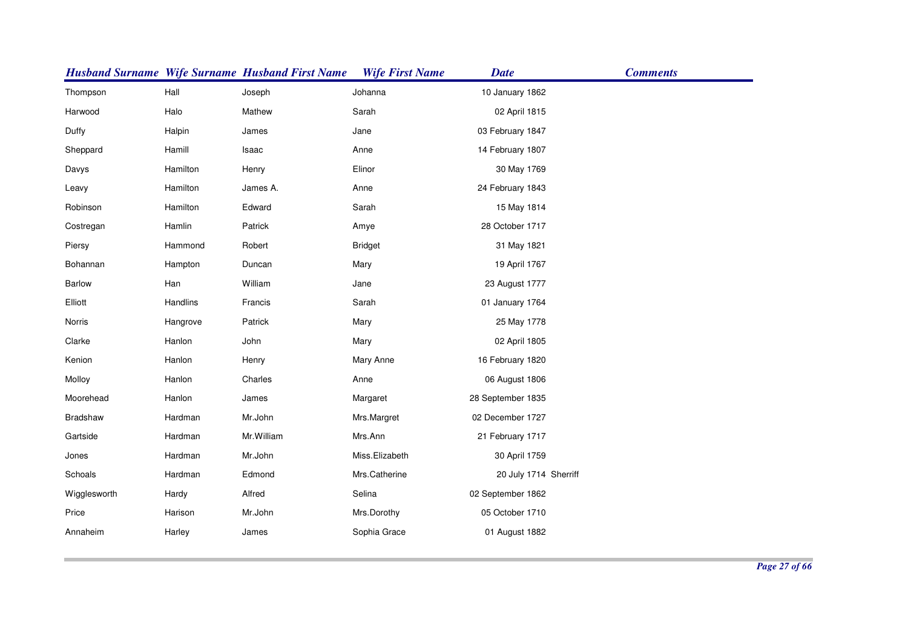|               |          | <b>Husband Surname Wife Surname Husband First Name</b> | <b>Wife First Name</b> | <b>Date</b>           | <b>Comments</b> |
|---------------|----------|--------------------------------------------------------|------------------------|-----------------------|-----------------|
| Thompson      | Hall     | Joseph                                                 | Johanna                | 10 January 1862       |                 |
| Harwood       | Halo     | Mathew                                                 | Sarah                  | 02 April 1815         |                 |
| Duffy         | Halpin   | James                                                  | Jane                   | 03 February 1847      |                 |
| Sheppard      | Hamill   | Isaac                                                  | Anne                   | 14 February 1807      |                 |
| Davys         | Hamilton | Henry                                                  | Elinor                 | 30 May 1769           |                 |
| Leavy         | Hamilton | James A.                                               | Anne                   | 24 February 1843      |                 |
| Robinson      | Hamilton | Edward                                                 | Sarah                  | 15 May 1814           |                 |
| Costregan     | Hamlin   | Patrick                                                | Amye                   | 28 October 1717       |                 |
| Piersy        | Hammond  | Robert                                                 | <b>Bridget</b>         | 31 May 1821           |                 |
| Bohannan      | Hampton  | Duncan                                                 | Mary                   | 19 April 1767         |                 |
| <b>Barlow</b> | Han      | William                                                | Jane                   | 23 August 1777        |                 |
| Elliott       | Handlins | Francis                                                | Sarah                  | 01 January 1764       |                 |
| Norris        | Hangrove | Patrick                                                | Mary                   | 25 May 1778           |                 |
| Clarke        | Hanlon   | John                                                   | Mary                   | 02 April 1805         |                 |
| Kenion        | Hanlon   | Henry                                                  | Mary Anne              | 16 February 1820      |                 |
| Molloy        | Hanlon   | Charles                                                | Anne                   | 06 August 1806        |                 |
| Moorehead     | Hanlon   | James                                                  | Margaret               | 28 September 1835     |                 |
| Bradshaw      | Hardman  | Mr.John                                                | Mrs.Margret            | 02 December 1727      |                 |
| Gartside      | Hardman  | Mr. William                                            | Mrs.Ann                | 21 February 1717      |                 |
| Jones         | Hardman  | Mr.John                                                | Miss.Elizabeth         | 30 April 1759         |                 |
| Schoals       | Hardman  | Edmond                                                 | Mrs.Catherine          | 20 July 1714 Sherriff |                 |
| Wigglesworth  | Hardy    | Alfred                                                 | Selina                 | 02 September 1862     |                 |
| Price         | Harison  | Mr.John                                                | Mrs.Dorothy            | 05 October 1710       |                 |
| Annaheim      | Harley   | James                                                  | Sophia Grace           | 01 August 1882        |                 |
|               |          |                                                        |                        |                       |                 |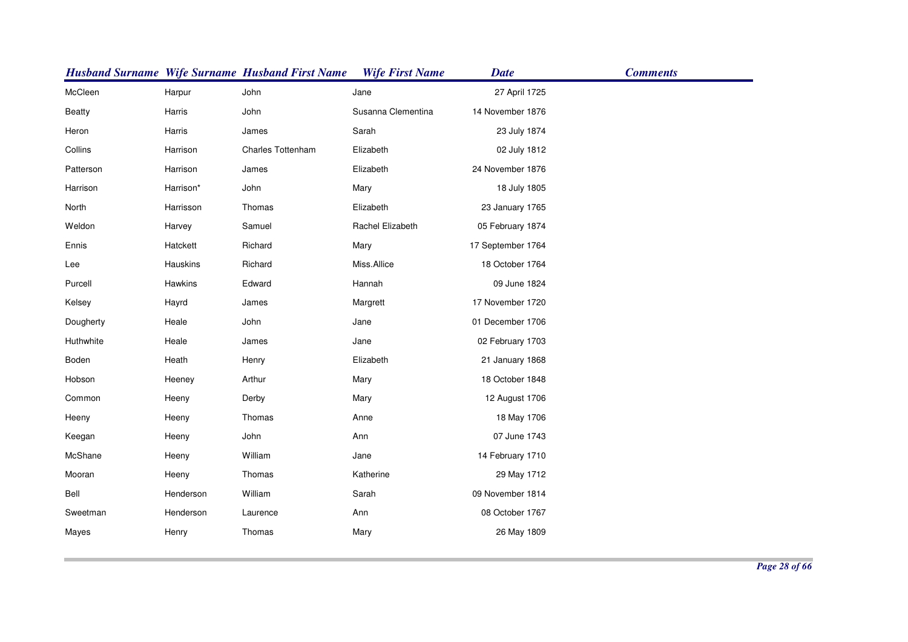|               |           | <b>Husband Surname Wife Surname Husband First Name</b> | <b>Wife First Name</b> | <b>Date</b>       | <b>Comments</b> |
|---------------|-----------|--------------------------------------------------------|------------------------|-------------------|-----------------|
| McCleen       | Harpur    | John                                                   | Jane                   | 27 April 1725     |                 |
| <b>Beatty</b> | Harris    | John                                                   | Susanna Clementina     | 14 November 1876  |                 |
| Heron         | Harris    | James                                                  | Sarah                  | 23 July 1874      |                 |
| Collins       | Harrison  | <b>Charles Tottenham</b>                               | Elizabeth              | 02 July 1812      |                 |
| Patterson     | Harrison  | James                                                  | Elizabeth              | 24 November 1876  |                 |
| Harrison      | Harrison* | John                                                   | Mary                   | 18 July 1805      |                 |
| North         | Harrisson | Thomas                                                 | Elizabeth              | 23 January 1765   |                 |
| Weldon        | Harvey    | Samuel                                                 | Rachel Elizabeth       | 05 February 1874  |                 |
| Ennis         | Hatckett  | Richard                                                | Mary                   | 17 September 1764 |                 |
| Lee           | Hauskins  | Richard                                                | Miss.Allice            | 18 October 1764   |                 |
| Purcell       | Hawkins   | Edward                                                 | Hannah                 | 09 June 1824      |                 |
| Kelsey        | Hayrd     | James                                                  | Margrett               | 17 November 1720  |                 |
| Dougherty     | Heale     | John                                                   | Jane                   | 01 December 1706  |                 |
| Huthwhite     | Heale     | James                                                  | Jane                   | 02 February 1703  |                 |
| Boden         | Heath     | Henry                                                  | Elizabeth              | 21 January 1868   |                 |
| Hobson        | Heeney    | Arthur                                                 | Mary                   | 18 October 1848   |                 |
| Common        | Heeny     | Derby                                                  | Mary                   | 12 August 1706    |                 |
| Heeny         | Heeny     | Thomas                                                 | Anne                   | 18 May 1706       |                 |
| Keegan        | Heeny     | John                                                   | Ann                    | 07 June 1743      |                 |
| McShane       | Heeny     | William                                                | Jane                   | 14 February 1710  |                 |
| Mooran        | Heeny     | Thomas                                                 | Katherine              | 29 May 1712       |                 |
| Bell          | Henderson | William                                                | Sarah                  | 09 November 1814  |                 |
| Sweetman      | Henderson | Laurence                                               | Ann                    | 08 October 1767   |                 |
| Mayes         | Henry     | Thomas                                                 | Mary                   | 26 May 1809       |                 |
|               |           |                                                        |                        |                   |                 |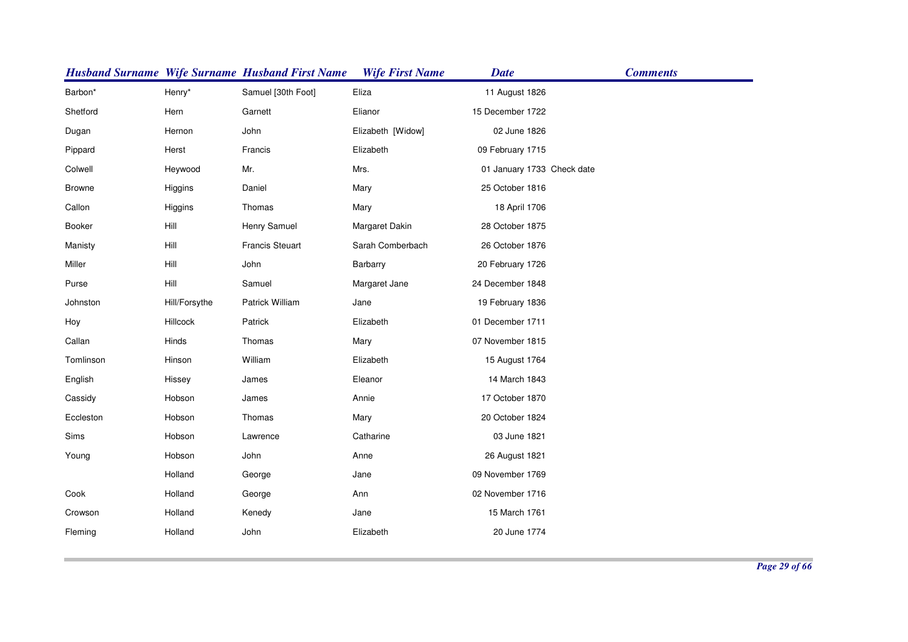|               |               | <b>Husband Surname Wife Surname Husband First Name</b> | <b>Wife First Name</b> | <b>Date</b>                | <b>Comments</b> |
|---------------|---------------|--------------------------------------------------------|------------------------|----------------------------|-----------------|
| Barbon*       | Henry*        | Samuel [30th Foot]                                     | Eliza                  | 11 August 1826             |                 |
| Shetford      | Hern          | Garnett                                                | Elianor                | 15 December 1722           |                 |
| Dugan         | Hernon        | John                                                   | Elizabeth [Widow]      | 02 June 1826               |                 |
| Pippard       | Herst         | Francis                                                | Elizabeth              | 09 February 1715           |                 |
| Colwell       | Heywood       | Mr.                                                    | Mrs.                   | 01 January 1733 Check date |                 |
| <b>Browne</b> | Higgins       | Daniel                                                 | Mary                   | 25 October 1816            |                 |
| Callon        | Higgins       | Thomas                                                 | Mary                   | 18 April 1706              |                 |
| <b>Booker</b> | Hill          | Henry Samuel                                           | Margaret Dakin         | 28 October 1875            |                 |
| Manisty       | Hill          | <b>Francis Steuart</b>                                 | Sarah Comberbach       | 26 October 1876            |                 |
| Miller        | Hill          | John                                                   | Barbarry               | 20 February 1726           |                 |
| Purse         | Hill          | Samuel                                                 | Margaret Jane          | 24 December 1848           |                 |
| Johnston      | Hill/Forsythe | Patrick William                                        | Jane                   | 19 February 1836           |                 |
| Hoy           | Hillcock      | Patrick                                                | Elizabeth              | 01 December 1711           |                 |
| Callan        | Hinds         | Thomas                                                 | Mary                   | 07 November 1815           |                 |
| Tomlinson     | Hinson        | William                                                | Elizabeth              | 15 August 1764             |                 |
| English       | Hissey        | James                                                  | Eleanor                | 14 March 1843              |                 |
| Cassidy       | Hobson        | James                                                  | Annie                  | 17 October 1870            |                 |
| Eccleston     | Hobson        | Thomas                                                 | Mary                   | 20 October 1824            |                 |
| Sims          | Hobson        | Lawrence                                               | Catharine              | 03 June 1821               |                 |
| Young         | Hobson        | John                                                   | Anne                   | 26 August 1821             |                 |
|               | Holland       | George                                                 | Jane                   | 09 November 1769           |                 |
| Cook          | Holland       | George                                                 | Ann                    | 02 November 1716           |                 |
| Crowson       | Holland       | Kenedy                                                 | Jane                   | 15 March 1761              |                 |
| Fleming       | Holland       | John                                                   | Elizabeth              | 20 June 1774               |                 |
|               |               |                                                        |                        |                            |                 |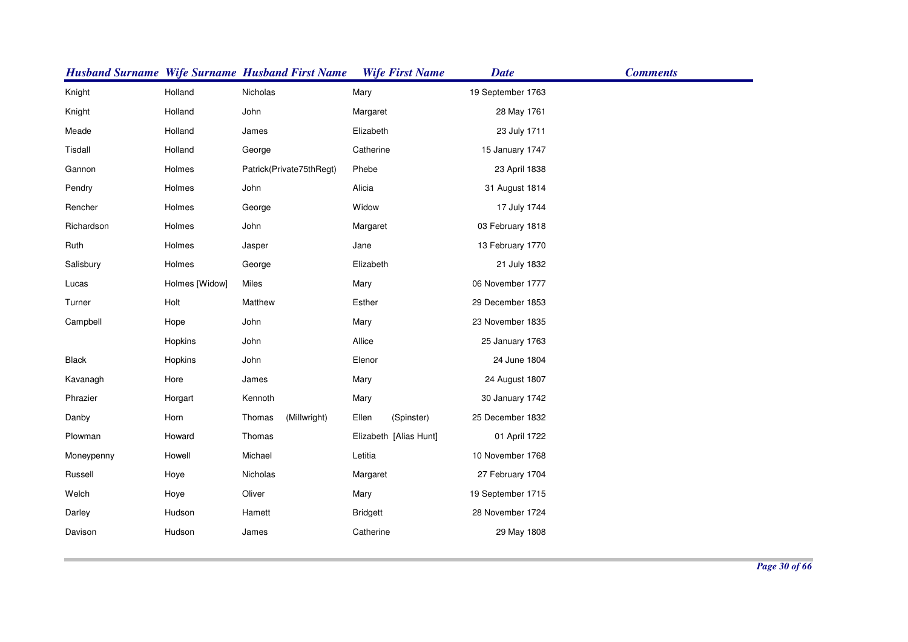|            |                | <b>Husband Surname Wife Surname Husband First Name</b> | <b>Wife First Name</b> | <b>Date</b>       | <b>Comments</b> |
|------------|----------------|--------------------------------------------------------|------------------------|-------------------|-----------------|
| Knight     | Holland        | Nicholas                                               | Mary                   | 19 September 1763 |                 |
| Knight     | Holland        | John                                                   | Margaret               | 28 May 1761       |                 |
| Meade      | Holland        | James                                                  | Elizabeth              | 23 July 1711      |                 |
| Tisdall    | Holland        | George                                                 | Catherine              | 15 January 1747   |                 |
| Gannon     | Holmes         | Patrick(Private75thRegt)                               | Phebe                  | 23 April 1838     |                 |
| Pendry     | Holmes         | John                                                   | Alicia                 | 31 August 1814    |                 |
| Rencher    | Holmes         | George                                                 | Widow                  | 17 July 1744      |                 |
| Richardson | Holmes         | John                                                   | Margaret               | 03 February 1818  |                 |
| Ruth       | Holmes         | Jasper                                                 | Jane                   | 13 February 1770  |                 |
| Salisbury  | Holmes         | George                                                 | Elizabeth              | 21 July 1832      |                 |
| Lucas      | Holmes [Widow] | Miles                                                  | Mary                   | 06 November 1777  |                 |
| Turner     | Holt           | Matthew                                                | Esther                 | 29 December 1853  |                 |
| Campbell   | Hope           | John                                                   | Mary                   | 23 November 1835  |                 |
|            | Hopkins        | John                                                   | Allice                 | 25 January 1763   |                 |
| Black      | Hopkins        | John                                                   | Elenor                 | 24 June 1804      |                 |
| Kavanagh   | Hore           | James                                                  | Mary                   | 24 August 1807    |                 |
| Phrazier   | Horgart        | Kennoth                                                | Mary                   | 30 January 1742   |                 |
| Danby      | Horn           | Thomas<br>(Millwright)                                 | Ellen<br>(Spinster)    | 25 December 1832  |                 |
| Plowman    | Howard         | Thomas                                                 | Elizabeth [Alias Hunt] | 01 April 1722     |                 |
| Moneypenny | Howell         | Michael                                                | Letitia                | 10 November 1768  |                 |
| Russell    | Hoye           | Nicholas                                               | Margaret               | 27 February 1704  |                 |
| Welch      | Hoye           | Oliver                                                 | Mary                   | 19 September 1715 |                 |
| Darley     | Hudson         | Hamett                                                 | <b>Bridgett</b>        | 28 November 1724  |                 |
| Davison    | Hudson         | James                                                  | Catherine              | 29 May 1808       |                 |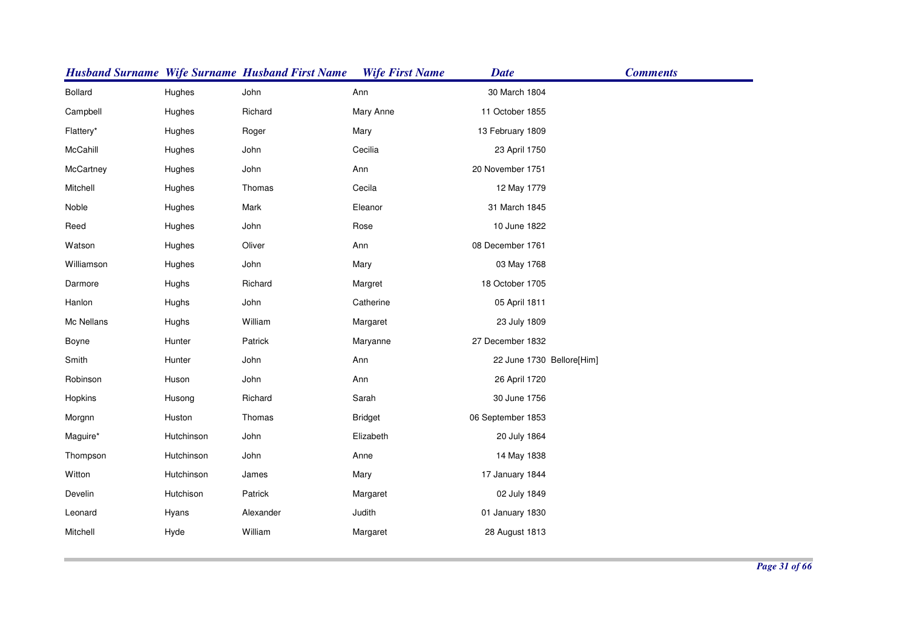|                |            | <b>Husband Surname Wife Surname Husband First Name</b> | <b>Wife First Name</b> | <b>Date</b>               | <b>Comments</b> |
|----------------|------------|--------------------------------------------------------|------------------------|---------------------------|-----------------|
| <b>Bollard</b> | Hughes     | John                                                   | Ann                    | 30 March 1804             |                 |
| Campbell       | Hughes     | Richard                                                | Mary Anne              | 11 October 1855           |                 |
| Flattery*      | Hughes     | Roger                                                  | Mary                   | 13 February 1809          |                 |
| McCahill       | Hughes     | John                                                   | Cecilia                | 23 April 1750             |                 |
| McCartney      | Hughes     | John                                                   | Ann                    | 20 November 1751          |                 |
| Mitchell       | Hughes     | Thomas                                                 | Cecila                 | 12 May 1779               |                 |
| Noble          | Hughes     | Mark                                                   | Eleanor                | 31 March 1845             |                 |
| Reed           | Hughes     | John                                                   | Rose                   | 10 June 1822              |                 |
| Watson         | Hughes     | Oliver                                                 | Ann                    | 08 December 1761          |                 |
| Williamson     | Hughes     | John                                                   | Mary                   | 03 May 1768               |                 |
| Darmore        | Hughs      | Richard                                                | Margret                | 18 October 1705           |                 |
| Hanlon         | Hughs      | John                                                   | Catherine              | 05 April 1811             |                 |
| Mc Nellans     | Hughs      | William                                                | Margaret               | 23 July 1809              |                 |
| Boyne          | Hunter     | Patrick                                                | Maryanne               | 27 December 1832          |                 |
| Smith          | Hunter     | John                                                   | Ann                    | 22 June 1730 Bellore[Him] |                 |
| Robinson       | Huson      | John                                                   | Ann                    | 26 April 1720             |                 |
| Hopkins        | Husong     | Richard                                                | Sarah                  | 30 June 1756              |                 |
| Morgnn         | Huston     | Thomas                                                 | <b>Bridget</b>         | 06 September 1853         |                 |
| Maguire*       | Hutchinson | John                                                   | Elizabeth              | 20 July 1864              |                 |
| Thompson       | Hutchinson | John                                                   | Anne                   | 14 May 1838               |                 |
| Witton         | Hutchinson | James                                                  | Mary                   | 17 January 1844           |                 |
| Develin        | Hutchison  | Patrick                                                | Margaret               | 02 July 1849              |                 |
| Leonard        | Hyans      | Alexander                                              | Judith                 | 01 January 1830           |                 |
| Mitchell       | Hyde       | William                                                | Margaret               | 28 August 1813            |                 |
|                |            |                                                        |                        |                           |                 |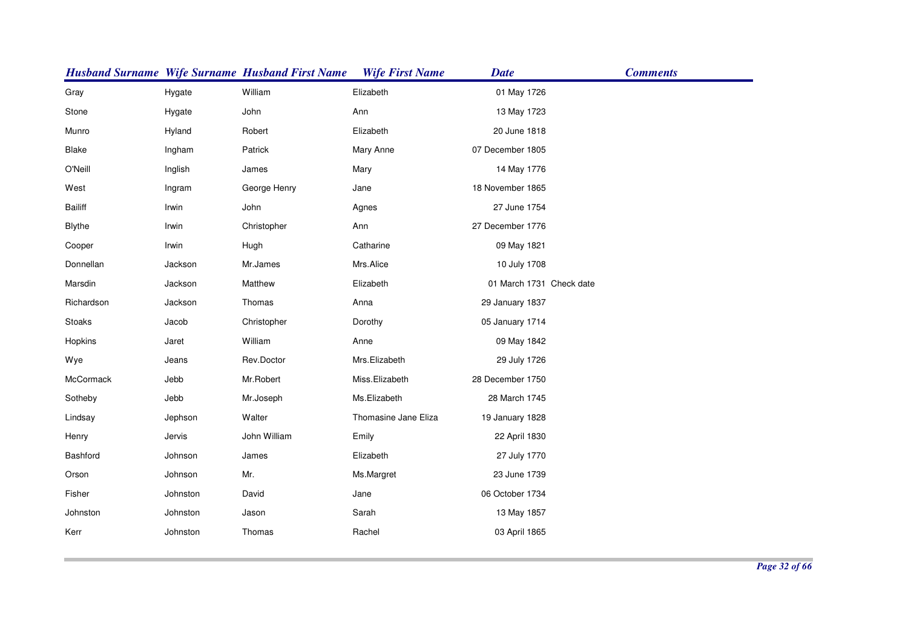|                |          | <b>Husband Surname Wife Surname Husband First Name</b> | <b>Wife First Name</b> | <b>Date</b>              | <b>Comments</b> |
|----------------|----------|--------------------------------------------------------|------------------------|--------------------------|-----------------|
| Gray           | Hygate   | William                                                | Elizabeth              | 01 May 1726              |                 |
| Stone          | Hygate   | John                                                   | Ann                    | 13 May 1723              |                 |
| Munro          | Hyland   | Robert                                                 | Elizabeth              | 20 June 1818             |                 |
| Blake          | Ingham   | Patrick                                                | Mary Anne              | 07 December 1805         |                 |
| O'Neill        | Inglish  | James                                                  | Mary                   | 14 May 1776              |                 |
| West           | Ingram   | George Henry                                           | Jane                   | 18 November 1865         |                 |
| <b>Bailiff</b> | Irwin    | John                                                   | Agnes                  | 27 June 1754             |                 |
| <b>Blythe</b>  | Irwin    | Christopher                                            | Ann                    | 27 December 1776         |                 |
| Cooper         | Irwin    | Hugh                                                   | Catharine              | 09 May 1821              |                 |
| Donnellan      | Jackson  | Mr.James                                               | Mrs.Alice              | 10 July 1708             |                 |
| Marsdin        | Jackson  | Matthew                                                | Elizabeth              | 01 March 1731 Check date |                 |
| Richardson     | Jackson  | Thomas                                                 | Anna                   | 29 January 1837          |                 |
| Stoaks         | Jacob    | Christopher                                            | Dorothy                | 05 January 1714          |                 |
| Hopkins        | Jaret    | William                                                | Anne                   | 09 May 1842              |                 |
| Wye            | Jeans    | Rev.Doctor                                             | Mrs.Elizabeth          | 29 July 1726             |                 |
| McCormack      | Jebb     | Mr.Robert                                              | Miss.Elizabeth         | 28 December 1750         |                 |
| Sotheby        | Jebb     | Mr.Joseph                                              | Ms.Elizabeth           | 28 March 1745            |                 |
| Lindsay        | Jephson  | Walter                                                 | Thomasine Jane Eliza   | 19 January 1828          |                 |
| Henry          | Jervis   | John William                                           | Emily                  | 22 April 1830            |                 |
| Bashford       | Johnson  | James                                                  | Elizabeth              | 27 July 1770             |                 |
| Orson          | Johnson  | Mr.                                                    | Ms.Margret             | 23 June 1739             |                 |
| Fisher         | Johnston | David                                                  | Jane                   | 06 October 1734          |                 |
| Johnston       | Johnston | Jason                                                  | Sarah                  | 13 May 1857              |                 |
| Kerr           | Johnston | Thomas                                                 | Rachel                 | 03 April 1865            |                 |
|                |          |                                                        |                        |                          |                 |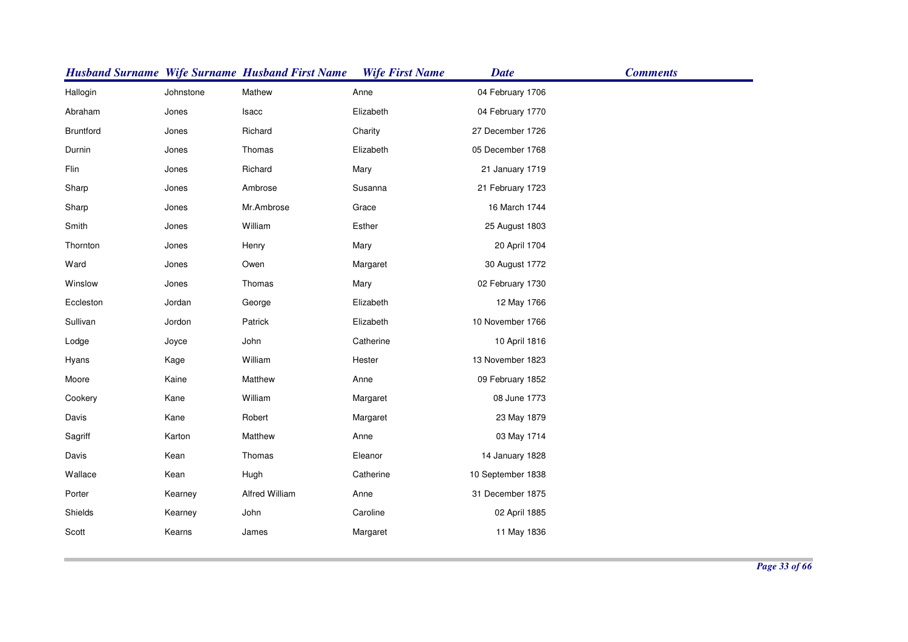|           |           | <b>Husband Surname Wife Surname Husband First Name</b> | <b>Wife First Name</b> | <b>Date</b>       | <b>Comments</b> |
|-----------|-----------|--------------------------------------------------------|------------------------|-------------------|-----------------|
| Hallogin  | Johnstone | Mathew                                                 | Anne                   | 04 February 1706  |                 |
| Abraham   | Jones     | Isacc                                                  | Elizabeth              | 04 February 1770  |                 |
| Bruntford | Jones     | Richard                                                | Charity                | 27 December 1726  |                 |
| Durnin    | Jones     | Thomas                                                 | Elizabeth              | 05 December 1768  |                 |
| Flin      | Jones     | Richard                                                | Mary                   | 21 January 1719   |                 |
| Sharp     | Jones     | Ambrose                                                | Susanna                | 21 February 1723  |                 |
| Sharp     | Jones     | Mr.Ambrose                                             | Grace                  | 16 March 1744     |                 |
| Smith     | Jones     | William                                                | Esther                 | 25 August 1803    |                 |
| Thornton  | Jones     | Henry                                                  | Mary                   | 20 April 1704     |                 |
| Ward      | Jones     | Owen                                                   | Margaret               | 30 August 1772    |                 |
| Winslow   | Jones     | Thomas                                                 | Mary                   | 02 February 1730  |                 |
| Eccleston | Jordan    | George                                                 | Elizabeth              | 12 May 1766       |                 |
| Sullivan  | Jordon    | Patrick                                                | Elizabeth              | 10 November 1766  |                 |
| Lodge     | Joyce     | John                                                   | Catherine              | 10 April 1816     |                 |
| Hyans     | Kage      | William                                                | Hester                 | 13 November 1823  |                 |
| Moore     | Kaine     | Matthew                                                | Anne                   | 09 February 1852  |                 |
| Cookery   | Kane      | William                                                | Margaret               | 08 June 1773      |                 |
| Davis     | Kane      | Robert                                                 | Margaret               | 23 May 1879       |                 |
| Sagriff   | Karton    | Matthew                                                | Anne                   | 03 May 1714       |                 |
| Davis     | Kean      | Thomas                                                 | Eleanor                | 14 January 1828   |                 |
| Wallace   | Kean      | Hugh                                                   | Catherine              | 10 September 1838 |                 |
| Porter    | Kearney   | Alfred William                                         | Anne                   | 31 December 1875  |                 |
| Shields   | Kearney   | John                                                   | Caroline               | 02 April 1885     |                 |
| Scott     | Kearns    | James                                                  | Margaret               | 11 May 1836       |                 |
|           |           |                                                        |                        |                   |                 |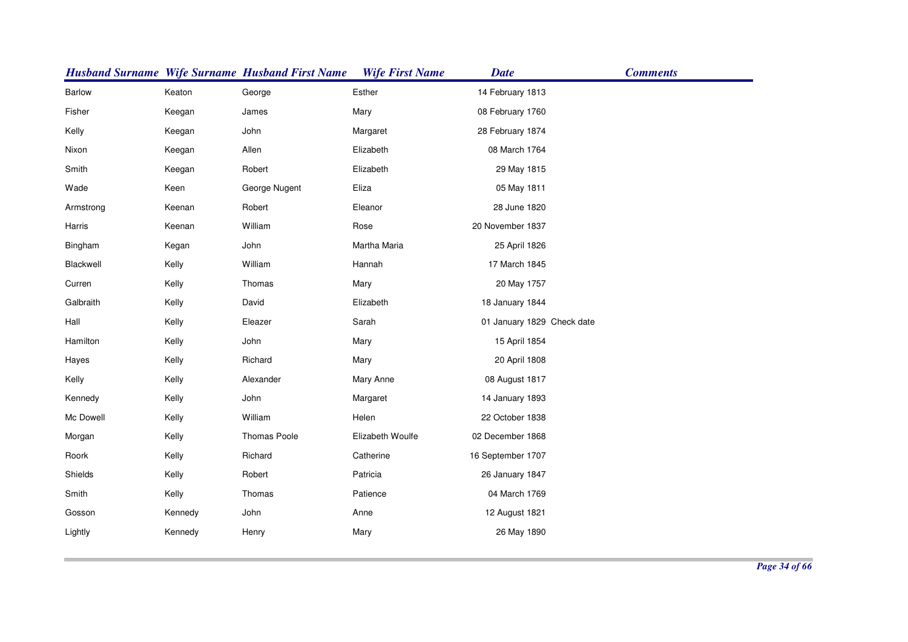|               |         | <b>Husband Surname Wife Surname Husband First Name</b> | <b>Wife First Name</b> | <b>Date</b>                | <b>Comments</b> |
|---------------|---------|--------------------------------------------------------|------------------------|----------------------------|-----------------|
| <b>Barlow</b> | Keaton  | George                                                 | Esther                 | 14 February 1813           |                 |
| Fisher        | Keegan  | James                                                  | Mary                   | 08 February 1760           |                 |
| Kelly         | Keegan  | John                                                   | Margaret               | 28 February 1874           |                 |
| Nixon         | Keegan  | Allen                                                  | Elizabeth              | 08 March 1764              |                 |
| Smith         | Keegan  | Robert                                                 | Elizabeth              | 29 May 1815                |                 |
| Wade          | Keen    | George Nugent                                          | Eliza                  | 05 May 1811                |                 |
| Armstrong     | Keenan  | Robert                                                 | Eleanor                | 28 June 1820               |                 |
| Harris        | Keenan  | William                                                | Rose                   | 20 November 1837           |                 |
| Bingham       | Kegan   | John                                                   | Martha Maria           | 25 April 1826              |                 |
| Blackwell     | Kelly   | William                                                | Hannah                 | 17 March 1845              |                 |
| Curren        | Kelly   | Thomas                                                 | Mary                   | 20 May 1757                |                 |
| Galbraith     | Kelly   | David                                                  | Elizabeth              | 18 January 1844            |                 |
| Hall          | Kelly   | Eleazer                                                | Sarah                  | 01 January 1829 Check date |                 |
| Hamilton      | Kelly   | John                                                   | Mary                   | 15 April 1854              |                 |
| Hayes         | Kelly   | Richard                                                | Mary                   | 20 April 1808              |                 |
| Kelly         | Kelly   | Alexander                                              | Mary Anne              | 08 August 1817             |                 |
| Kennedy       | Kelly   | John                                                   | Margaret               | 14 January 1893            |                 |
| Mc Dowell     | Kelly   | William                                                | Helen                  | 22 October 1838            |                 |
| Morgan        | Kelly   | Thomas Poole                                           | Elizabeth Woulfe       | 02 December 1868           |                 |
| Roork         | Kelly   | Richard                                                | Catherine              | 16 September 1707          |                 |
| Shields       | Kelly   | Robert                                                 | Patricia               | 26 January 1847            |                 |
| Smith         | Kelly   | Thomas                                                 | Patience               | 04 March 1769              |                 |
| Gosson        | Kennedy | John                                                   | Anne                   | 12 August 1821             |                 |
| Lightly       | Kennedy | Henry                                                  | Mary                   | 26 May 1890                |                 |
|               |         |                                                        |                        |                            |                 |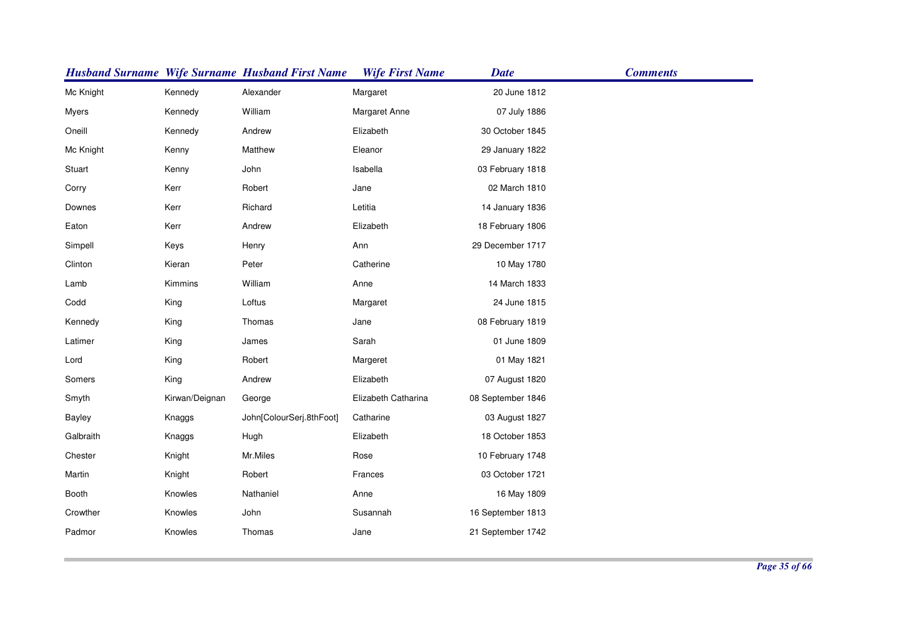|           |                | <b>Husband Surname Wife Surname Husband First Name</b> | <b>Wife First Name</b> | <b>Date</b>       | <b>Comments</b> |
|-----------|----------------|--------------------------------------------------------|------------------------|-------------------|-----------------|
| Mc Knight | Kennedy        | Alexander                                              | Margaret               | 20 June 1812      |                 |
| Myers     | Kennedy        | William                                                | Margaret Anne          | 07 July 1886      |                 |
| Oneill    | Kennedy        | Andrew                                                 | Elizabeth              | 30 October 1845   |                 |
| Mc Knight | Kenny          | Matthew                                                | Eleanor                | 29 January 1822   |                 |
| Stuart    | Kenny          | John                                                   | Isabella               | 03 February 1818  |                 |
| Corry     | Kerr           | Robert                                                 | Jane                   | 02 March 1810     |                 |
| Downes    | Kerr           | Richard                                                | Letitia                | 14 January 1836   |                 |
| Eaton     | Kerr           | Andrew                                                 | Elizabeth              | 18 February 1806  |                 |
| Simpell   | Keys           | Henry                                                  | Ann                    | 29 December 1717  |                 |
| Clinton   | Kieran         | Peter                                                  | Catherine              | 10 May 1780       |                 |
| Lamb      | Kimmins        | William                                                | Anne                   | 14 March 1833     |                 |
| Codd      | King           | Loftus                                                 | Margaret               | 24 June 1815      |                 |
| Kennedy   | King           | Thomas                                                 | Jane                   | 08 February 1819  |                 |
| Latimer   | King           | James                                                  | Sarah                  | 01 June 1809      |                 |
| Lord      | King           | Robert                                                 | Margeret               | 01 May 1821       |                 |
| Somers    | King           | Andrew                                                 | Elizabeth              | 07 August 1820    |                 |
| Smyth     | Kirwan/Deignan | George                                                 | Elizabeth Catharina    | 08 September 1846 |                 |
| Bayley    | Knaggs         | John[ColourSerj.8thFoot]                               | Catharine              | 03 August 1827    |                 |
| Galbraith | Knaggs         | Hugh                                                   | Elizabeth              | 18 October 1853   |                 |
| Chester   | Knight         | Mr.Miles                                               | Rose                   | 10 February 1748  |                 |
| Martin    | Knight         | Robert                                                 | Frances                | 03 October 1721   |                 |
| Booth     | Knowles        | Nathaniel                                              | Anne                   | 16 May 1809       |                 |
| Crowther  | Knowles        | John                                                   | Susannah               | 16 September 1813 |                 |
| Padmor    | Knowles        | Thomas                                                 | Jane                   | 21 September 1742 |                 |
|           |                |                                                        |                        |                   |                 |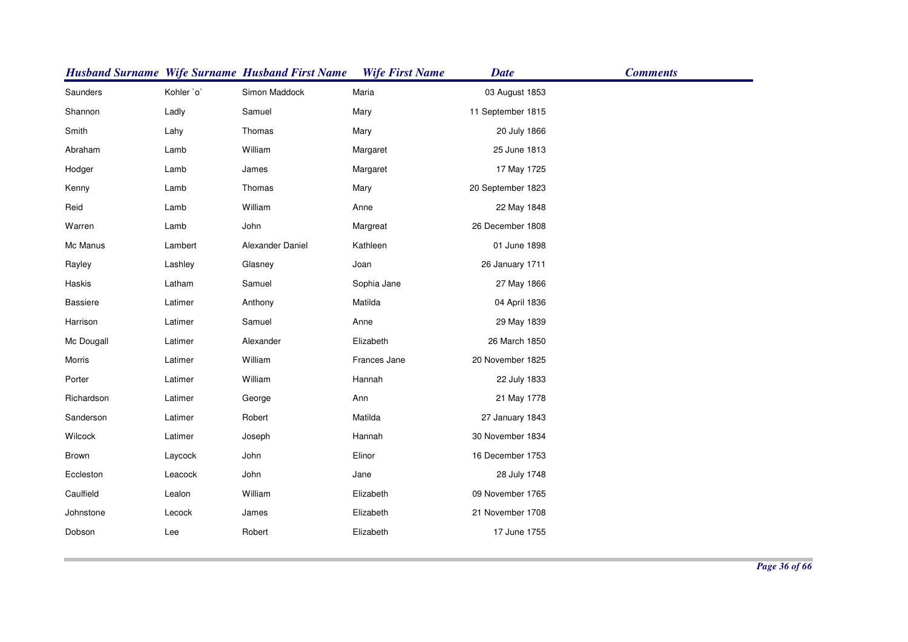|                 |            | <b>Husband Surname Wife Surname Husband First Name</b> | <b>Wife First Name</b> | <b>Date</b>       | <b>Comments</b> |
|-----------------|------------|--------------------------------------------------------|------------------------|-------------------|-----------------|
| Saunders        | Kohler `o` | Simon Maddock                                          | Maria                  | 03 August 1853    |                 |
| Shannon         | Ladly      | Samuel                                                 | Mary                   | 11 September 1815 |                 |
| Smith           | Lahy       | Thomas                                                 | Mary                   | 20 July 1866      |                 |
| Abraham         | Lamb       | William                                                | Margaret               | 25 June 1813      |                 |
| Hodger          | Lamb       | James                                                  | Margaret               | 17 May 1725       |                 |
| Kenny           | Lamb       | Thomas                                                 | Mary                   | 20 September 1823 |                 |
| Reid            | Lamb       | William                                                | Anne                   | 22 May 1848       |                 |
| Warren          | Lamb       | John                                                   | Margreat               | 26 December 1808  |                 |
| Mc Manus        | Lambert    | Alexander Daniel                                       | Kathleen               | 01 June 1898      |                 |
| Rayley          | Lashley    | Glasney                                                | Joan                   | 26 January 1711   |                 |
| Haskis          | Latham     | Samuel                                                 | Sophia Jane            | 27 May 1866       |                 |
| <b>Bassiere</b> | Latimer    | Anthony                                                | Matilda                | 04 April 1836     |                 |
| Harrison        | Latimer    | Samuel                                                 | Anne                   | 29 May 1839       |                 |
| Mc Dougall      | Latimer    | Alexander                                              | Elizabeth              | 26 March 1850     |                 |
| Morris          | Latimer    | William                                                | Frances Jane           | 20 November 1825  |                 |
| Porter          | Latimer    | William                                                | Hannah                 | 22 July 1833      |                 |
| Richardson      | Latimer    | George                                                 | Ann                    | 21 May 1778       |                 |
| Sanderson       | Latimer    | Robert                                                 | Matilda                | 27 January 1843   |                 |
| Wilcock         | Latimer    | Joseph                                                 | Hannah                 | 30 November 1834  |                 |
| Brown           | Laycock    | John                                                   | Elinor                 | 16 December 1753  |                 |
| Eccleston       | Leacock    | John                                                   | Jane                   | 28 July 1748      |                 |
| Caulfield       | Lealon     | William                                                | Elizabeth              | 09 November 1765  |                 |
| Johnstone       | Lecock     | James                                                  | Elizabeth              | 21 November 1708  |                 |
| Dobson          | Lee        | Robert                                                 | Elizabeth              | 17 June 1755      |                 |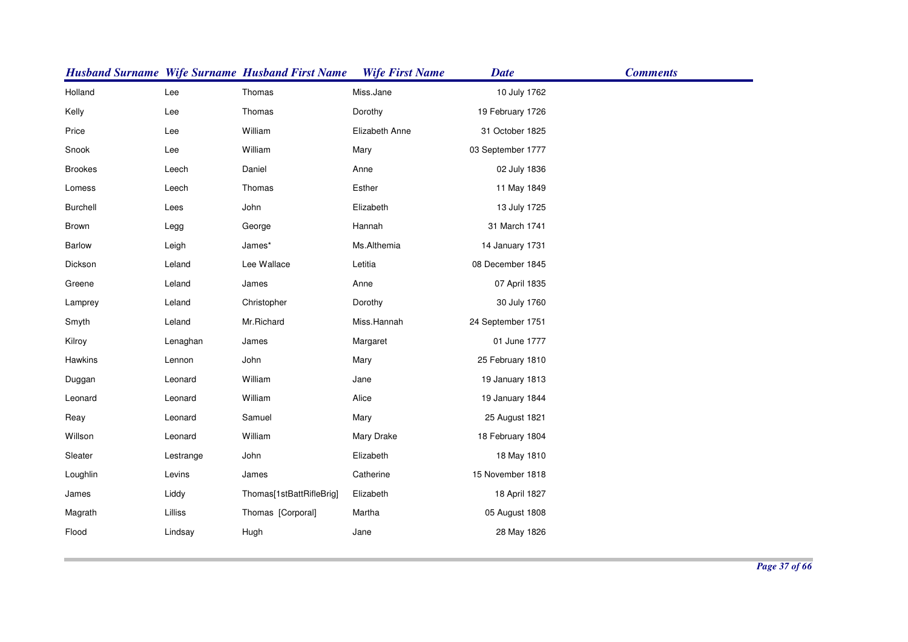|                |           | <b>Husband Surname Wife Surname Husband First Name</b> | <b>Wife First Name</b> | <b>Date</b>       | <b>Comments</b> |
|----------------|-----------|--------------------------------------------------------|------------------------|-------------------|-----------------|
| Holland        | Lee       | Thomas                                                 | Miss.Jane              | 10 July 1762      |                 |
| Kelly          | Lee       | Thomas                                                 | Dorothy                | 19 February 1726  |                 |
| Price          | Lee       | William                                                | Elizabeth Anne         | 31 October 1825   |                 |
| Snook          | Lee       | William                                                | Mary                   | 03 September 1777 |                 |
| <b>Brookes</b> | Leech     | Daniel                                                 | Anne                   | 02 July 1836      |                 |
| Lomess         | Leech     | Thomas                                                 | Esther                 | 11 May 1849       |                 |
| Burchell       | Lees      | John                                                   | Elizabeth              | 13 July 1725      |                 |
| Brown          | Legg      | George                                                 | Hannah                 | 31 March 1741     |                 |
| <b>Barlow</b>  | Leigh     | James*                                                 | Ms.Althemia            | 14 January 1731   |                 |
| Dickson        | Leland    | Lee Wallace                                            | Letitia                | 08 December 1845  |                 |
| Greene         | Leland    | James                                                  | Anne                   | 07 April 1835     |                 |
| Lamprey        | Leland    | Christopher                                            | Dorothy                | 30 July 1760      |                 |
| Smyth          | Leland    | Mr.Richard                                             | Miss.Hannah            | 24 September 1751 |                 |
| Kilroy         | Lenaghan  | James                                                  | Margaret               | 01 June 1777      |                 |
| Hawkins        | Lennon    | John                                                   | Mary                   | 25 February 1810  |                 |
| Duggan         | Leonard   | William                                                | Jane                   | 19 January 1813   |                 |
| Leonard        | Leonard   | William                                                | Alice                  | 19 January 1844   |                 |
| Reay           | Leonard   | Samuel                                                 | Mary                   | 25 August 1821    |                 |
| Willson        | Leonard   | William                                                | Mary Drake             | 18 February 1804  |                 |
| Sleater        | Lestrange | John                                                   | Elizabeth              | 18 May 1810       |                 |
| Loughlin       | Levins    | James                                                  | Catherine              | 15 November 1818  |                 |
| James          | Liddy     | Thomas[1stBattRifleBrig]                               | Elizabeth              | 18 April 1827     |                 |
| Magrath        | Lilliss   | Thomas [Corporal]                                      | Martha                 | 05 August 1808    |                 |
| Flood          | Lindsay   | Hugh                                                   | Jane                   | 28 May 1826       |                 |
|                |           |                                                        |                        |                   |                 |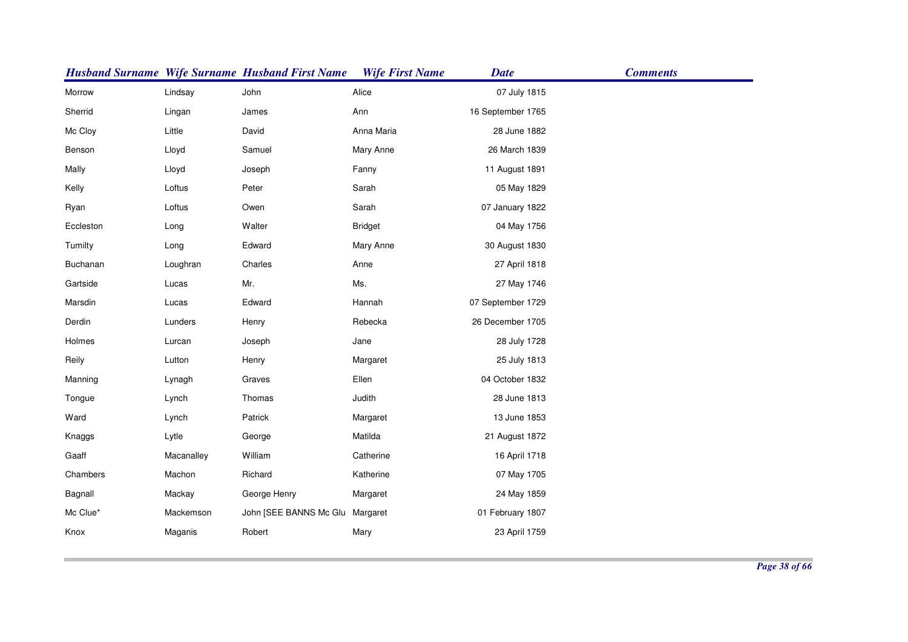|           |            | <b>Husband Surname Wife Surname Husband First Name</b> | <b>Wife First Name</b> | <b>Date</b>       | <b>Comments</b> |
|-----------|------------|--------------------------------------------------------|------------------------|-------------------|-----------------|
| Morrow    | Lindsay    | John                                                   | Alice                  | 07 July 1815      |                 |
| Sherrid   | Lingan     | James                                                  | Ann                    | 16 September 1765 |                 |
| Mc Cloy   | Little     | David                                                  | Anna Maria             | 28 June 1882      |                 |
| Benson    | Lloyd      | Samuel                                                 | Mary Anne              | 26 March 1839     |                 |
| Mally     | Lloyd      | Joseph                                                 | Fanny                  | 11 August 1891    |                 |
| Kelly     | Loftus     | Peter                                                  | Sarah                  | 05 May 1829       |                 |
| Ryan      | Loftus     | Owen                                                   | Sarah                  | 07 January 1822   |                 |
| Eccleston | Long       | Walter                                                 | <b>Bridget</b>         | 04 May 1756       |                 |
| Tumilty   | Long       | Edward                                                 | Mary Anne              | 30 August 1830    |                 |
| Buchanan  | Loughran   | Charles                                                | Anne                   | 27 April 1818     |                 |
| Gartside  | Lucas      | Mr.                                                    | Ms.                    | 27 May 1746       |                 |
| Marsdin   | Lucas      | Edward                                                 | Hannah                 | 07 September 1729 |                 |
| Derdin    | Lunders    | Henry                                                  | Rebecka                | 26 December 1705  |                 |
| Holmes    | Lurcan     | Joseph                                                 | Jane                   | 28 July 1728      |                 |
| Reily     | Lutton     | Henry                                                  | Margaret               | 25 July 1813      |                 |
| Manning   | Lynagh     | Graves                                                 | Ellen                  | 04 October 1832   |                 |
| Tongue    | Lynch      | Thomas                                                 | Judith                 | 28 June 1813      |                 |
| Ward      | Lynch      | Patrick                                                | Margaret               | 13 June 1853      |                 |
| Knaggs    | Lytle      | George                                                 | Matilda                | 21 August 1872    |                 |
| Gaaff     | Macanalley | William                                                | Catherine              | 16 April 1718     |                 |
| Chambers  | Machon     | Richard                                                | Katherine              | 07 May 1705       |                 |
| Bagnall   | Mackay     | George Henry                                           | Margaret               | 24 May 1859       |                 |
| Mc Clue*  | Mackemson  | John [SEE BANNS Mc Glu Margaret                        |                        | 01 February 1807  |                 |
| Knox      | Maganis    | Robert                                                 | Mary                   | 23 April 1759     |                 |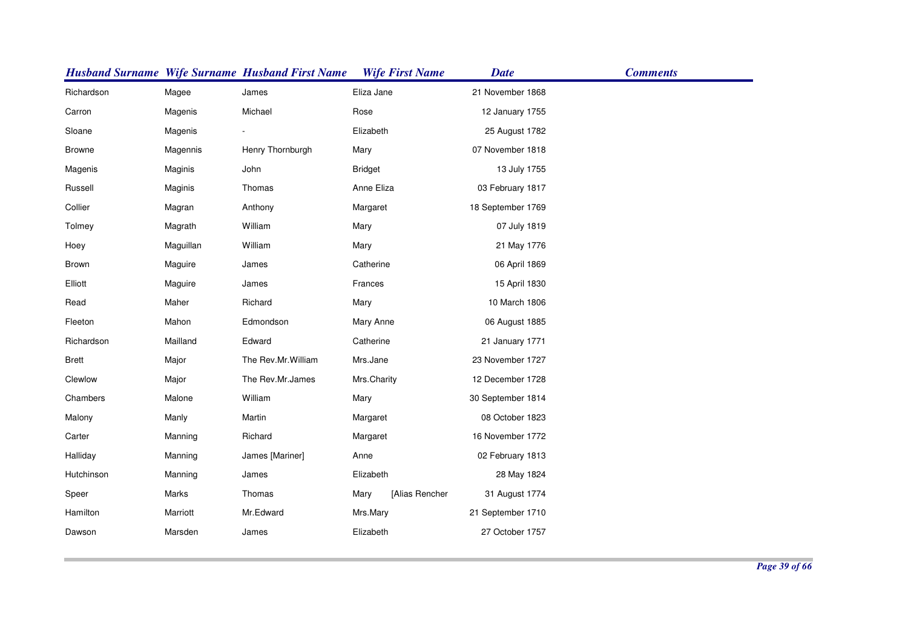|               |           | <b>Husband Surname Wife Surname Husband First Name</b> | <b>Wife First Name</b> | <b>Date</b>       | <b>Comments</b> |
|---------------|-----------|--------------------------------------------------------|------------------------|-------------------|-----------------|
| Richardson    | Magee     | James                                                  | Eliza Jane             | 21 November 1868  |                 |
| Carron        | Magenis   | Michael                                                | Rose                   | 12 January 1755   |                 |
| Sloane        | Magenis   |                                                        | Elizabeth              | 25 August 1782    |                 |
| <b>Browne</b> | Magennis  | Henry Thornburgh                                       | Mary                   | 07 November 1818  |                 |
| Magenis       | Maginis   | John                                                   | <b>Bridget</b>         | 13 July 1755      |                 |
| Russell       | Maginis   | Thomas                                                 | Anne Eliza             | 03 February 1817  |                 |
| Collier       | Magran    | Anthony                                                | Margaret               | 18 September 1769 |                 |
| Tolmey        | Magrath   | William                                                | Mary                   | 07 July 1819      |                 |
| Hoey          | Maguillan | William                                                | Mary                   | 21 May 1776       |                 |
| <b>Brown</b>  | Maguire   | James                                                  | Catherine              | 06 April 1869     |                 |
| Elliott       | Maguire   | James                                                  | Frances                | 15 April 1830     |                 |
| Read          | Maher     | Richard                                                | Mary                   | 10 March 1806     |                 |
| Fleeton       | Mahon     | Edmondson                                              | Mary Anne              | 06 August 1885    |                 |
| Richardson    | Mailland  | Edward                                                 | Catherine              | 21 January 1771   |                 |
| <b>Brett</b>  | Major     | The Rev.Mr.William                                     | Mrs.Jane               | 23 November 1727  |                 |
| Clewlow       | Major     | The Rev.Mr.James                                       | Mrs.Charity            | 12 December 1728  |                 |
| Chambers      | Malone    | William                                                | Mary                   | 30 September 1814 |                 |
| Malony        | Manly     | Martin                                                 | Margaret               | 08 October 1823   |                 |
| Carter        | Manning   | Richard                                                | Margaret               | 16 November 1772  |                 |
| Halliday      | Manning   | James [Mariner]                                        | Anne                   | 02 February 1813  |                 |
| Hutchinson    | Manning   | James                                                  | Elizabeth              | 28 May 1824       |                 |
| Speer         | Marks     | Thomas                                                 | [Alias Rencher<br>Mary | 31 August 1774    |                 |
| Hamilton      | Marriott  | Mr.Edward                                              | Mrs.Mary               | 21 September 1710 |                 |
| Dawson        | Marsden   | James                                                  | Elizabeth              | 27 October 1757   |                 |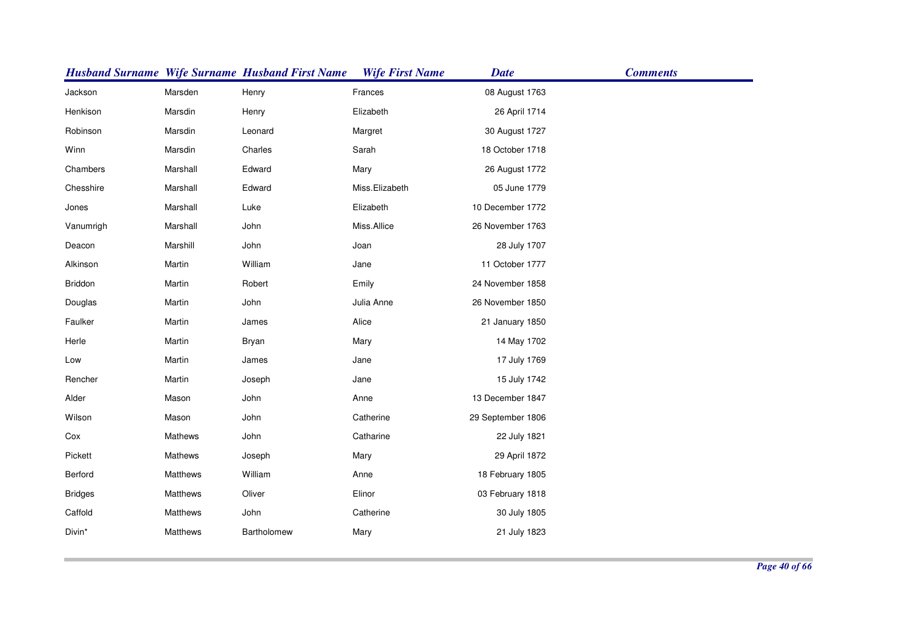|                |                 | <b>Husband Surname Wife Surname Husband First Name</b> | <b>Wife First Name</b> | <b>Date</b>       | <b>Comments</b> |
|----------------|-----------------|--------------------------------------------------------|------------------------|-------------------|-----------------|
| Jackson        | Marsden         | Henry                                                  | Frances                | 08 August 1763    |                 |
| Henkison       | Marsdin         | Henry                                                  | Elizabeth              | 26 April 1714     |                 |
| Robinson       | Marsdin         | Leonard                                                | Margret                | 30 August 1727    |                 |
| Winn           | Marsdin         | Charles                                                | Sarah                  | 18 October 1718   |                 |
| Chambers       | Marshall        | Edward                                                 | Mary                   | 26 August 1772    |                 |
| Chesshire      | Marshall        | Edward                                                 | Miss.Elizabeth         | 05 June 1779      |                 |
| Jones          | Marshall        | Luke                                                   | Elizabeth              | 10 December 1772  |                 |
| Vanumrigh      | Marshall        | John                                                   | Miss.Allice            | 26 November 1763  |                 |
| Deacon         | Marshill        | John                                                   | Joan                   | 28 July 1707      |                 |
| Alkinson       | Martin          | William                                                | Jane                   | 11 October 1777   |                 |
| Briddon        | Martin          | Robert                                                 | Emily                  | 24 November 1858  |                 |
| Douglas        | Martin          | John                                                   | Julia Anne             | 26 November 1850  |                 |
| Faulker        | Martin          | James                                                  | Alice                  | 21 January 1850   |                 |
| Herle          | Martin          | Bryan                                                  | Mary                   | 14 May 1702       |                 |
| Low            | Martin          | James                                                  | Jane                   | 17 July 1769      |                 |
| Rencher        | Martin          | Joseph                                                 | Jane                   | 15 July 1742      |                 |
| Alder          | Mason           | John                                                   | Anne                   | 13 December 1847  |                 |
| Wilson         | Mason           | John                                                   | Catherine              | 29 September 1806 |                 |
| Cox            | Mathews         | John                                                   | Catharine              | 22 July 1821      |                 |
| Pickett        | Mathews         | Joseph                                                 | Mary                   | 29 April 1872     |                 |
| Berford        | Matthews        | William                                                | Anne                   | 18 February 1805  |                 |
| <b>Bridges</b> | <b>Matthews</b> | Oliver                                                 | Elinor                 | 03 February 1818  |                 |
| Caffold        | <b>Matthews</b> | John                                                   | Catherine              | 30 July 1805      |                 |
| Divin*         | <b>Matthews</b> | Bartholomew                                            | Mary                   | 21 July 1823      |                 |
|                |                 |                                                        |                        |                   |                 |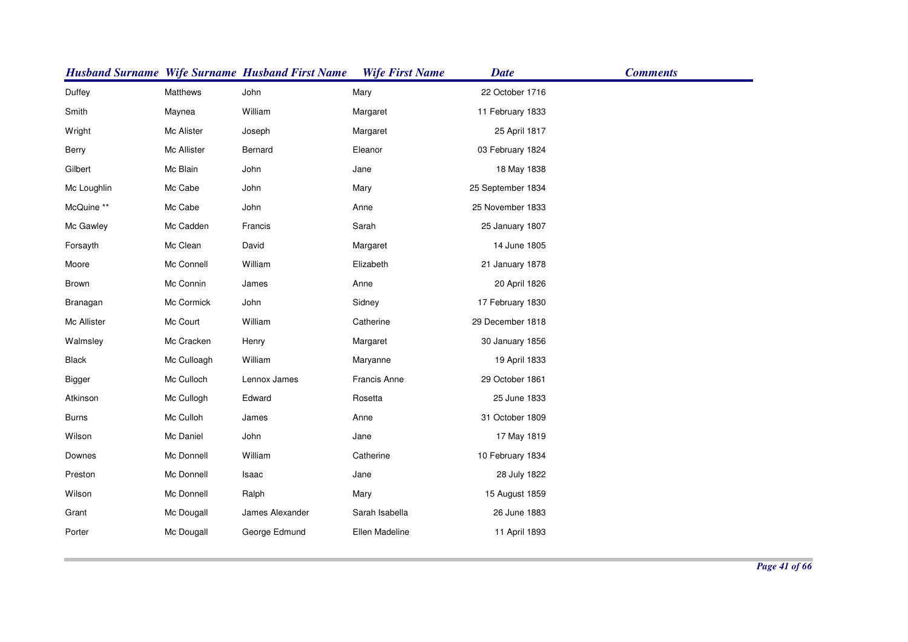|               |             | <b>Husband Surname Wife Surname Husband First Name</b> | <b>Wife First Name</b> | <b>Date</b>       | <b>Comments</b> |
|---------------|-------------|--------------------------------------------------------|------------------------|-------------------|-----------------|
| Duffey        | Matthews    | John                                                   | Mary                   | 22 October 1716   |                 |
| Smith         | Maynea      | William                                                | Margaret               | 11 February 1833  |                 |
| Wright        | Mc Alister  | Joseph                                                 | Margaret               | 25 April 1817     |                 |
| Berry         | Mc Allister | Bernard                                                | Eleanor                | 03 February 1824  |                 |
| Gilbert       | Mc Blain    | John                                                   | Jane                   | 18 May 1838       |                 |
| Mc Loughlin   | Mc Cabe     | John                                                   | Mary                   | 25 September 1834 |                 |
| McQuine **    | Mc Cabe     | John                                                   | Anne                   | 25 November 1833  |                 |
| Mc Gawley     | Mc Cadden   | Francis                                                | Sarah                  | 25 January 1807   |                 |
| Forsayth      | Mc Clean    | David                                                  | Margaret               | 14 June 1805      |                 |
| Moore         | Mc Connell  | William                                                | Elizabeth              | 21 January 1878   |                 |
| <b>Brown</b>  | Mc Connin   | James                                                  | Anne                   | 20 April 1826     |                 |
| Branagan      | Mc Cormick  | John                                                   | Sidney                 | 17 February 1830  |                 |
| Mc Allister   | Mc Court    | William                                                | Catherine              | 29 December 1818  |                 |
| Walmsley      | Mc Cracken  | Henry                                                  | Margaret               | 30 January 1856   |                 |
| Black         | Mc Culloagh | William                                                | Maryanne               | 19 April 1833     |                 |
| <b>Bigger</b> | Mc Culloch  | Lennox James                                           | Francis Anne           | 29 October 1861   |                 |
| Atkinson      | Mc Cullogh  | Edward                                                 | Rosetta                | 25 June 1833      |                 |
| <b>Burns</b>  | Mc Culloh   | James                                                  | Anne                   | 31 October 1809   |                 |
| Wilson        | Mc Daniel   | John                                                   | Jane                   | 17 May 1819       |                 |
| Downes        | Mc Donnell  | William                                                | Catherine              | 10 February 1834  |                 |
| Preston       | Mc Donnell  | Isaac                                                  | Jane                   | 28 July 1822      |                 |
| Wilson        | Mc Donnell  | Ralph                                                  | Mary                   | 15 August 1859    |                 |
| Grant         | Mc Dougall  | James Alexander                                        | Sarah Isabella         | 26 June 1883      |                 |
| Porter        | Mc Dougall  | George Edmund                                          | Ellen Madeline         | 11 April 1893     |                 |
|               |             |                                                        |                        |                   |                 |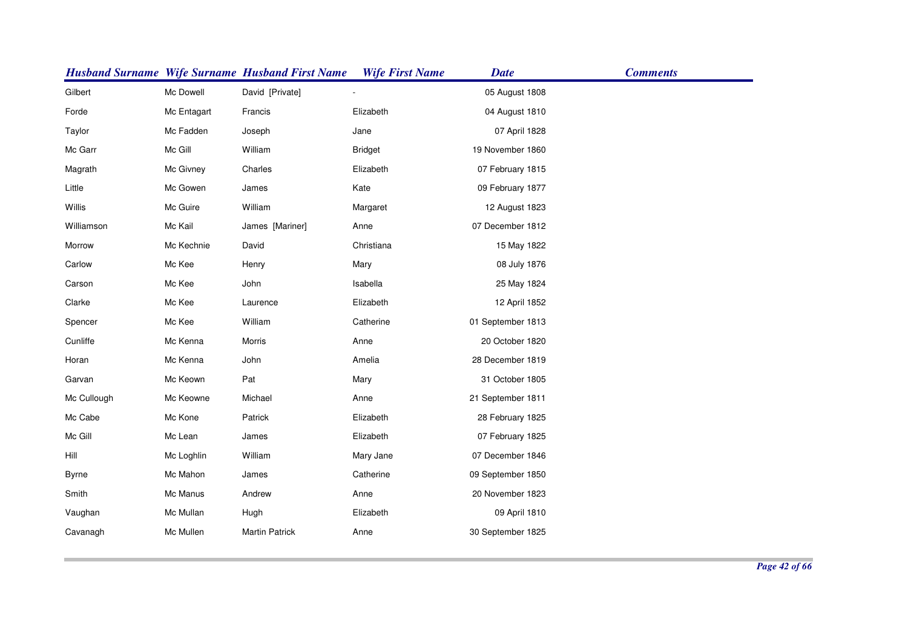|              |             | <b>Husband Surname Wife Surname Husband First Name</b> | <b>Wife First Name</b> | <b>Date</b>       | <b>Comments</b> |
|--------------|-------------|--------------------------------------------------------|------------------------|-------------------|-----------------|
| Gilbert      | Mc Dowell   | David [Private]                                        |                        | 05 August 1808    |                 |
| Forde        | Mc Entagart | Francis                                                | Elizabeth              | 04 August 1810    |                 |
| Taylor       | Mc Fadden   | Joseph                                                 | Jane                   | 07 April 1828     |                 |
| Mc Garr      | Mc Gill     | William                                                | <b>Bridget</b>         | 19 November 1860  |                 |
| Magrath      | Mc Givney   | Charles                                                | Elizabeth              | 07 February 1815  |                 |
| Little       | Mc Gowen    | James                                                  | Kate                   | 09 February 1877  |                 |
| Willis       | Mc Guire    | William                                                | Margaret               | 12 August 1823    |                 |
| Williamson   | Mc Kail     | James [Mariner]                                        | Anne                   | 07 December 1812  |                 |
| Morrow       | Mc Kechnie  | David                                                  | Christiana             | 15 May 1822       |                 |
| Carlow       | Mc Kee      | Henry                                                  | Mary                   | 08 July 1876      |                 |
| Carson       | Mc Kee      | John                                                   | Isabella               | 25 May 1824       |                 |
| Clarke       | Mc Kee      | Laurence                                               | Elizabeth              | 12 April 1852     |                 |
| Spencer      | Mc Kee      | William                                                | Catherine              | 01 September 1813 |                 |
| Cunliffe     | Mc Kenna    | Morris                                                 | Anne                   | 20 October 1820   |                 |
| Horan        | Mc Kenna    | John                                                   | Amelia                 | 28 December 1819  |                 |
| Garvan       | Mc Keown    | Pat                                                    | Mary                   | 31 October 1805   |                 |
| Mc Cullough  | Mc Keowne   | Michael                                                | Anne                   | 21 September 1811 |                 |
| Mc Cabe      | Mc Kone     | Patrick                                                | Elizabeth              | 28 February 1825  |                 |
| Mc Gill      | Mc Lean     | James                                                  | Elizabeth              | 07 February 1825  |                 |
| Hill         | Mc Loghlin  | William                                                | Mary Jane              | 07 December 1846  |                 |
| <b>Byrne</b> | Mc Mahon    | James                                                  | Catherine              | 09 September 1850 |                 |
| Smith        | Mc Manus    | Andrew                                                 | Anne                   | 20 November 1823  |                 |
| Vaughan      | Mc Mullan   | Hugh                                                   | Elizabeth              | 09 April 1810     |                 |
| Cavanagh     | Mc Mullen   | <b>Martin Patrick</b>                                  | Anne                   | 30 September 1825 |                 |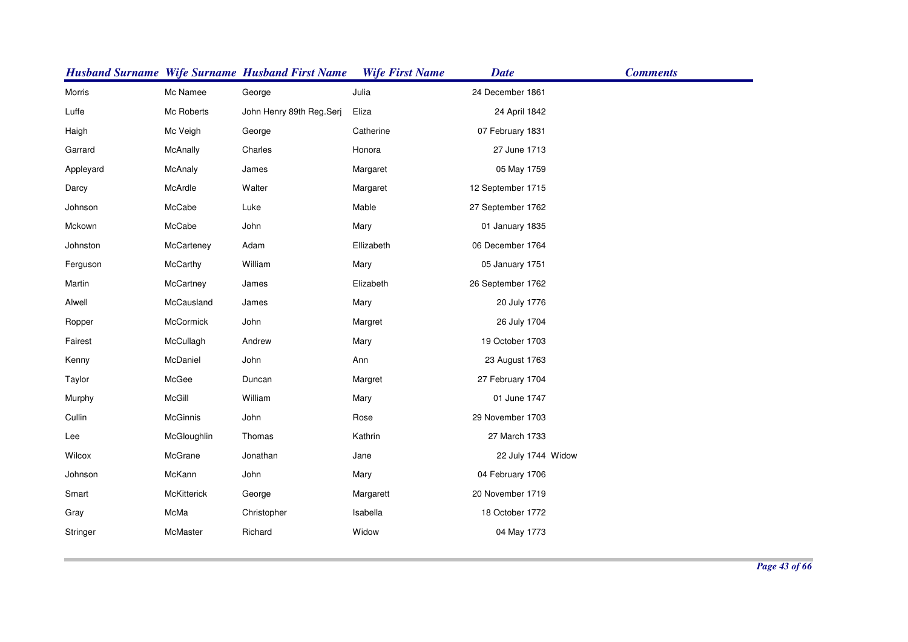|           |                    | <b>Husband Surname Wife Surname Husband First Name</b> | <b>Wife First Name</b> | <b>Date</b>        | <b>Comments</b> |
|-----------|--------------------|--------------------------------------------------------|------------------------|--------------------|-----------------|
| Morris    | Mc Namee           | George                                                 | Julia                  | 24 December 1861   |                 |
| Luffe     | Mc Roberts         | John Henry 89th Reg.Serj                               | Eliza                  | 24 April 1842      |                 |
| Haigh     | Mc Veigh           | George                                                 | Catherine              | 07 February 1831   |                 |
| Garrard   | McAnally           | Charles                                                | Honora                 | 27 June 1713       |                 |
| Appleyard | McAnaly            | James                                                  | Margaret               | 05 May 1759        |                 |
| Darcy     | McArdle            | Walter                                                 | Margaret               | 12 September 1715  |                 |
| Johnson   | McCabe             | Luke                                                   | Mable                  | 27 September 1762  |                 |
| Mckown    | McCabe             | John                                                   | Mary                   | 01 January 1835    |                 |
| Johnston  | McCarteney         | Adam                                                   | Ellizabeth             | 06 December 1764   |                 |
| Ferguson  | McCarthy           | William                                                | Mary                   | 05 January 1751    |                 |
| Martin    | McCartney          | James                                                  | Elizabeth              | 26 September 1762  |                 |
| Alwell    | McCausland         | James                                                  | Mary                   | 20 July 1776       |                 |
| Ropper    | McCormick          | John                                                   | Margret                | 26 July 1704       |                 |
| Fairest   | McCullagh          | Andrew                                                 | Mary                   | 19 October 1703    |                 |
| Kenny     | McDaniel           | John                                                   | Ann                    | 23 August 1763     |                 |
| Taylor    | McGee              | Duncan                                                 | Margret                | 27 February 1704   |                 |
| Murphy    | McGill             | William                                                | Mary                   | 01 June 1747       |                 |
| Cullin    | McGinnis           | John                                                   | Rose                   | 29 November 1703   |                 |
| Lee       | McGloughlin        | Thomas                                                 | Kathrin                | 27 March 1733      |                 |
| Wilcox    | McGrane            | Jonathan                                               | Jane                   | 22 July 1744 Widow |                 |
| Johnson   | McKann             | John                                                   | Mary                   | 04 February 1706   |                 |
| Smart     | <b>McKitterick</b> | George                                                 | Margarett              | 20 November 1719   |                 |
| Gray      | McMa               | Christopher                                            | Isabella               | 18 October 1772    |                 |
| Stringer  | McMaster           | Richard                                                | Widow                  | 04 May 1773        |                 |
|           |                    |                                                        |                        |                    |                 |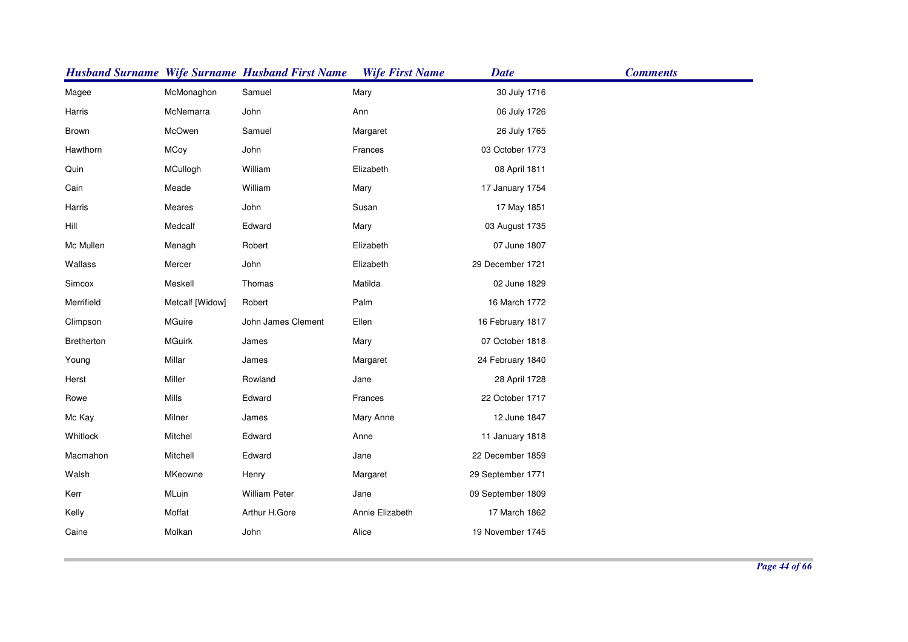|            |                 | <b>Husband Surname Wife Surname Husband First Name</b> | <b>Wife First Name</b> | <b>Date</b>       | <b>Comments</b> |
|------------|-----------------|--------------------------------------------------------|------------------------|-------------------|-----------------|
| Magee      | McMonaghon      | Samuel                                                 | Mary                   | 30 July 1716      |                 |
| Harris     | McNemarra       | John                                                   | Ann                    | 06 July 1726      |                 |
| Brown      | McOwen          | Samuel                                                 | Margaret               | 26 July 1765      |                 |
| Hawthorn   | <b>MCoy</b>     | John                                                   | Frances                | 03 October 1773   |                 |
| Quin       | MCullogh        | William                                                | Elizabeth              | 08 April 1811     |                 |
| Cain       | Meade           | William                                                | Mary                   | 17 January 1754   |                 |
| Harris     | Meares          | John                                                   | Susan                  | 17 May 1851       |                 |
| Hill       | Medcalf         | Edward                                                 | Mary                   | 03 August 1735    |                 |
| Mc Mullen  | Menagh          | Robert                                                 | Elizabeth              | 07 June 1807      |                 |
| Wallass    | Mercer          | John                                                   | Elizabeth              | 29 December 1721  |                 |
| Simcox     | Meskell         | Thomas                                                 | Matilda                | 02 June 1829      |                 |
| Merrifield | Metcalf [Widow] | Robert                                                 | Palm                   | 16 March 1772     |                 |
| Climpson   | MGuire          | John James Clement                                     | Ellen                  | 16 February 1817  |                 |
| Bretherton | <b>MGuirk</b>   | James                                                  | Mary                   | 07 October 1818   |                 |
| Young      | Millar          | James                                                  | Margaret               | 24 February 1840  |                 |
| Herst      | Miller          | Rowland                                                | Jane                   | 28 April 1728     |                 |
| Rowe       | Mills           | Edward                                                 | Frances                | 22 October 1717   |                 |
| Mc Kay     | Milner          | James                                                  | Mary Anne              | 12 June 1847      |                 |
| Whitlock   | Mitchel         | Edward                                                 | Anne                   | 11 January 1818   |                 |
| Macmahon   | Mitchell        | Edward                                                 | Jane                   | 22 December 1859  |                 |
| Walsh      | <b>MKeowne</b>  | Henry                                                  | Margaret               | 29 September 1771 |                 |
| Kerr       | MLuin           | William Peter                                          | Jane                   | 09 September 1809 |                 |
| Kelly      | Moffat          | Arthur H.Gore                                          | Annie Elizabeth        | 17 March 1862     |                 |
| Caine      | Molkan          | John                                                   | Alice                  | 19 November 1745  |                 |
|            |                 |                                                        |                        |                   |                 |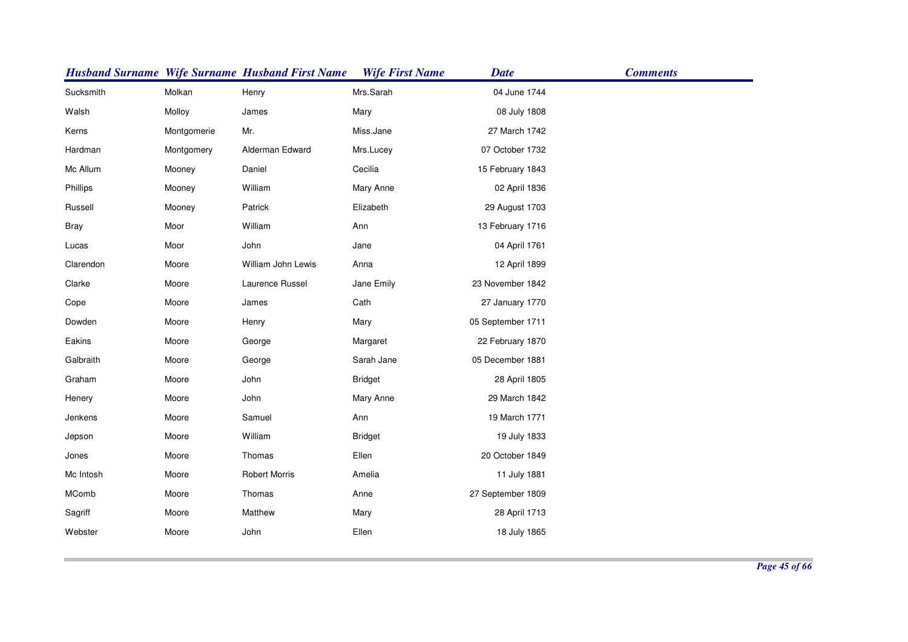|             |             | <b>Husband Surname Wife Surname Husband First Name</b> | <b>Wife First Name</b> | <b>Date</b>       | <b>Comments</b> |
|-------------|-------------|--------------------------------------------------------|------------------------|-------------------|-----------------|
| Sucksmith   | Molkan      | Henry                                                  | Mrs.Sarah              | 04 June 1744      |                 |
| Walsh       | Molloy      | James                                                  | Mary                   | 08 July 1808      |                 |
| Kerns       | Montgomerie | Mr.                                                    | Miss.Jane              | 27 March 1742     |                 |
| Hardman     | Montgomery  | Alderman Edward                                        | Mrs.Lucey              | 07 October 1732   |                 |
| Mc Allum    | Mooney      | Daniel                                                 | Cecilia                | 15 February 1843  |                 |
| Phillips    | Mooney      | William                                                | Mary Anne              | 02 April 1836     |                 |
| Russell     | Mooney      | Patrick                                                | Elizabeth              | 29 August 1703    |                 |
| <b>Bray</b> | Moor        | William                                                | Ann                    | 13 February 1716  |                 |
| Lucas       | Moor        | John                                                   | Jane                   | 04 April 1761     |                 |
| Clarendon   | Moore       | William John Lewis                                     | Anna                   | 12 April 1899     |                 |
| Clarke      | Moore       | Laurence Russel                                        | Jane Emily             | 23 November 1842  |                 |
| Cope        | Moore       | James                                                  | Cath                   | 27 January 1770   |                 |
| Dowden      | Moore       | Henry                                                  | Mary                   | 05 September 1711 |                 |
| Eakins      | Moore       | George                                                 | Margaret               | 22 February 1870  |                 |
| Galbraith   | Moore       | George                                                 | Sarah Jane             | 05 December 1881  |                 |
| Graham      | Moore       | John                                                   | <b>Bridget</b>         | 28 April 1805     |                 |
| Henery      | Moore       | John                                                   | Mary Anne              | 29 March 1842     |                 |
| Jenkens     | Moore       | Samuel                                                 | Ann                    | 19 March 1771     |                 |
| Jepson      | Moore       | William                                                | <b>Bridget</b>         | 19 July 1833      |                 |
| Jones       | Moore       | Thomas                                                 | Ellen                  | 20 October 1849   |                 |
| Mc Intosh   | Moore       | <b>Robert Morris</b>                                   | Amelia                 | 11 July 1881      |                 |
| MComb       | Moore       | Thomas                                                 | Anne                   | 27 September 1809 |                 |
| Sagriff     | Moore       | Matthew                                                | Mary                   | 28 April 1713     |                 |
| Webster     | Moore       | John                                                   | Ellen                  | 18 July 1865      |                 |
|             |             |                                                        |                        |                   |                 |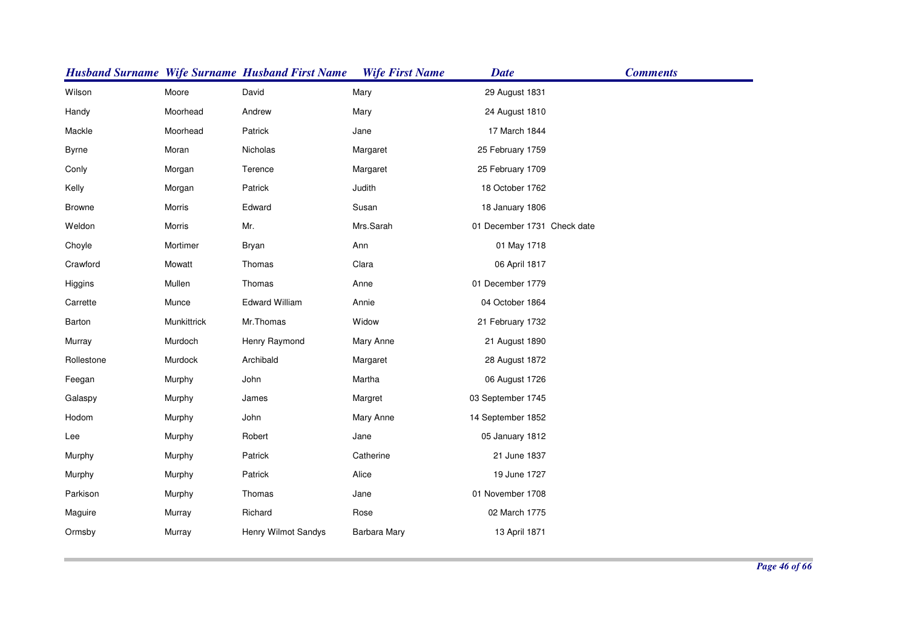|               |             | <b>Husband Surname Wife Surname Husband First Name</b> | <b>Wife First Name</b> | <b>Date</b>                 | <b>Comments</b> |
|---------------|-------------|--------------------------------------------------------|------------------------|-----------------------------|-----------------|
| Wilson        | Moore       | David                                                  | Mary                   | 29 August 1831              |                 |
| Handy         | Moorhead    | Andrew                                                 | Mary                   | 24 August 1810              |                 |
| Mackle        | Moorhead    | Patrick                                                | Jane                   | 17 March 1844               |                 |
| <b>Byrne</b>  | Moran       | Nicholas                                               | Margaret               | 25 February 1759            |                 |
| Conly         | Morgan      | Terence                                                | Margaret               | 25 February 1709            |                 |
| Kelly         | Morgan      | Patrick                                                | Judith                 | 18 October 1762             |                 |
| <b>Browne</b> | Morris      | Edward                                                 | Susan                  | 18 January 1806             |                 |
| Weldon        | Morris      | Mr.                                                    | Mrs.Sarah              | 01 December 1731 Check date |                 |
| Choyle        | Mortimer    | Bryan                                                  | Ann                    | 01 May 1718                 |                 |
| Crawford      | Mowatt      | Thomas                                                 | Clara                  | 06 April 1817               |                 |
| Higgins       | Mullen      | Thomas                                                 | Anne                   | 01 December 1779            |                 |
| Carrette      | Munce       | <b>Edward William</b>                                  | Annie                  | 04 October 1864             |                 |
| Barton        | Munkittrick | Mr.Thomas                                              | Widow                  | 21 February 1732            |                 |
| Murray        | Murdoch     | Henry Raymond                                          | Mary Anne              | 21 August 1890              |                 |
| Rollestone    | Murdock     | Archibald                                              | Margaret               | 28 August 1872              |                 |
| Feegan        | Murphy      | John                                                   | Martha                 | 06 August 1726              |                 |
| Galaspy       | Murphy      | James                                                  | Margret                | 03 September 1745           |                 |
| Hodom         | Murphy      | John                                                   | Mary Anne              | 14 September 1852           |                 |
| Lee           | Murphy      | Robert                                                 | Jane                   | 05 January 1812             |                 |
| Murphy        | Murphy      | Patrick                                                | Catherine              | 21 June 1837                |                 |
| Murphy        | Murphy      | Patrick                                                | Alice                  | 19 June 1727                |                 |
| Parkison      | Murphy      | Thomas                                                 | Jane                   | 01 November 1708            |                 |
| Maguire       | Murray      | Richard                                                | Rose                   | 02 March 1775               |                 |
| Ormsby        | Murray      | Henry Wilmot Sandys                                    | Barbara Mary           | 13 April 1871               |                 |
|               |             |                                                        |                        |                             |                 |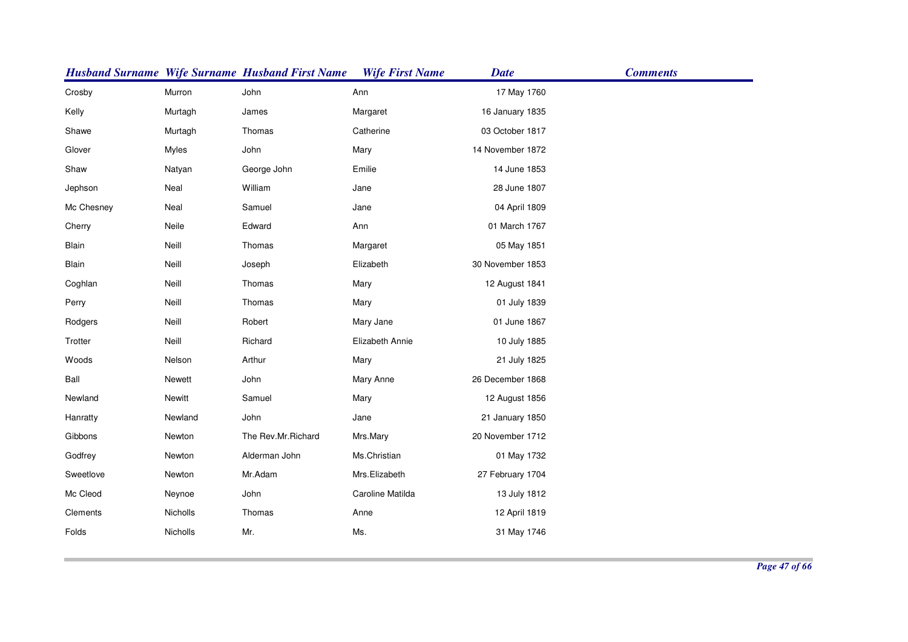|            |          | <b>Husband Surname Wife Surname Husband First Name</b> | <b>Wife First Name</b> | <b>Date</b>      | <b>Comments</b> |
|------------|----------|--------------------------------------------------------|------------------------|------------------|-----------------|
| Crosby     | Murron   | John                                                   | Ann                    | 17 May 1760      |                 |
| Kelly      | Murtagh  | James                                                  | Margaret               | 16 January 1835  |                 |
| Shawe      | Murtagh  | Thomas                                                 | Catherine              | 03 October 1817  |                 |
| Glover     | Myles    | John                                                   | Mary                   | 14 November 1872 |                 |
| Shaw       | Natyan   | George John                                            | Emilie                 | 14 June 1853     |                 |
| Jephson    | Neal     | William                                                | Jane                   | 28 June 1807     |                 |
| Mc Chesney | Neal     | Samuel                                                 | Jane                   | 04 April 1809    |                 |
| Cherry     | Neile    | Edward                                                 | Ann                    | 01 March 1767    |                 |
| Blain      | Neill    | Thomas                                                 | Margaret               | 05 May 1851      |                 |
| Blain      | Neill    | Joseph                                                 | Elizabeth              | 30 November 1853 |                 |
| Coghlan    | Neill    | Thomas                                                 | Mary                   | 12 August 1841   |                 |
| Perry      | Neill    | Thomas                                                 | Mary                   | 01 July 1839     |                 |
| Rodgers    | Neill    | Robert                                                 | Mary Jane              | 01 June 1867     |                 |
| Trotter    | Neill    | Richard                                                | Elizabeth Annie        | 10 July 1885     |                 |
| Woods      | Nelson   | Arthur                                                 | Mary                   | 21 July 1825     |                 |
| Ball       | Newett   | John                                                   | Mary Anne              | 26 December 1868 |                 |
| Newland    | Newitt   | Samuel                                                 | Mary                   | 12 August 1856   |                 |
| Hanratty   | Newland  | John                                                   | Jane                   | 21 January 1850  |                 |
| Gibbons    | Newton   | The Rev.Mr.Richard                                     | Mrs.Mary               | 20 November 1712 |                 |
| Godfrey    | Newton   | Alderman John                                          | Ms.Christian           | 01 May 1732      |                 |
| Sweetlove  | Newton   | Mr.Adam                                                | Mrs.Elizabeth          | 27 February 1704 |                 |
| Mc Cleod   | Neynoe   | John                                                   | Caroline Matilda       | 13 July 1812     |                 |
| Clements   | Nicholls | Thomas                                                 | Anne                   | 12 April 1819    |                 |
| Folds      | Nicholls | Mr.                                                    | Ms.                    | 31 May 1746      |                 |
|            |          |                                                        |                        |                  |                 |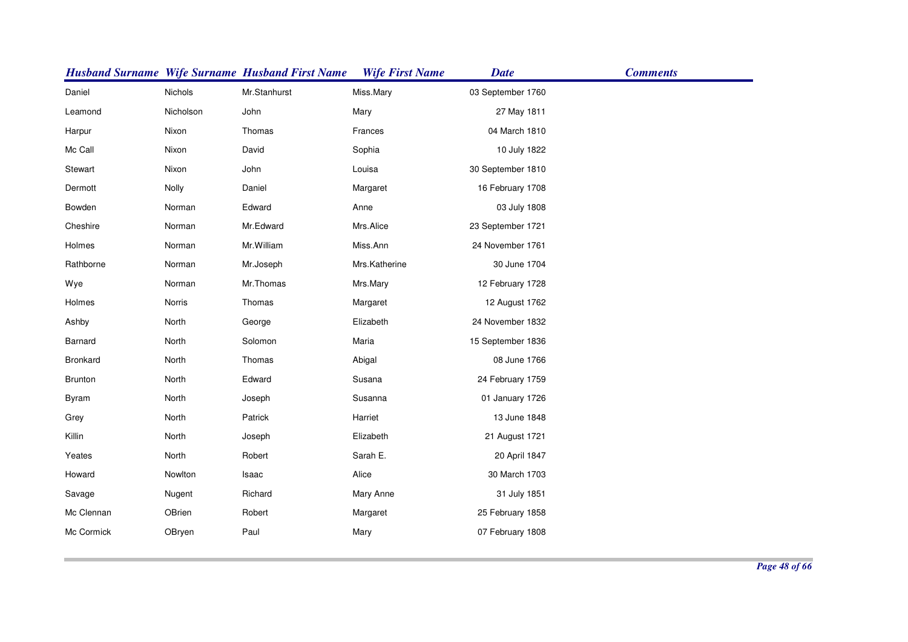|            |           | <b>Husband Surname Wife Surname Husband First Name</b> | <b>Wife First Name</b> | <b>Date</b>       | <b>Comments</b> |
|------------|-----------|--------------------------------------------------------|------------------------|-------------------|-----------------|
| Daniel     | Nichols   | Mr.Stanhurst                                           | Miss.Mary              | 03 September 1760 |                 |
| Leamond    | Nicholson | John                                                   | Mary                   | 27 May 1811       |                 |
| Harpur     | Nixon     | Thomas                                                 | Frances                | 04 March 1810     |                 |
| Mc Call    | Nixon     | David                                                  | Sophia                 | 10 July 1822      |                 |
| Stewart    | Nixon     | John                                                   | Louisa                 | 30 September 1810 |                 |
| Dermott    | Nolly     | Daniel                                                 | Margaret               | 16 February 1708  |                 |
| Bowden     | Norman    | Edward                                                 | Anne                   | 03 July 1808      |                 |
| Cheshire   | Norman    | Mr.Edward                                              | Mrs.Alice              | 23 September 1721 |                 |
| Holmes     | Norman    | Mr. William                                            | Miss.Ann               | 24 November 1761  |                 |
| Rathborne  | Norman    | Mr.Joseph                                              | Mrs.Katherine          | 30 June 1704      |                 |
| Wye        | Norman    | Mr.Thomas                                              | Mrs.Mary               | 12 February 1728  |                 |
| Holmes     | Norris    | Thomas                                                 | Margaret               | 12 August 1762    |                 |
| Ashby      | North     | George                                                 | Elizabeth              | 24 November 1832  |                 |
| Barnard    | North     | Solomon                                                | Maria                  | 15 September 1836 |                 |
| Bronkard   | North     | Thomas                                                 | Abigal                 | 08 June 1766      |                 |
| Brunton    | North     | Edward                                                 | Susana                 | 24 February 1759  |                 |
| Byram      | North     | Joseph                                                 | Susanna                | 01 January 1726   |                 |
| Grey       | North     | Patrick                                                | Harriet                | 13 June 1848      |                 |
| Killin     | North     | Joseph                                                 | Elizabeth              | 21 August 1721    |                 |
| Yeates     | North     | Robert                                                 | Sarah E.               | 20 April 1847     |                 |
| Howard     | Nowlton   | Isaac                                                  | Alice                  | 30 March 1703     |                 |
| Savage     | Nugent    | Richard                                                | Mary Anne              | 31 July 1851      |                 |
| Mc Clennan | OBrien    | Robert                                                 | Margaret               | 25 February 1858  |                 |
| Mc Cormick | OBryen    | Paul                                                   | Mary                   | 07 February 1808  |                 |
|            |           |                                                        |                        |                   |                 |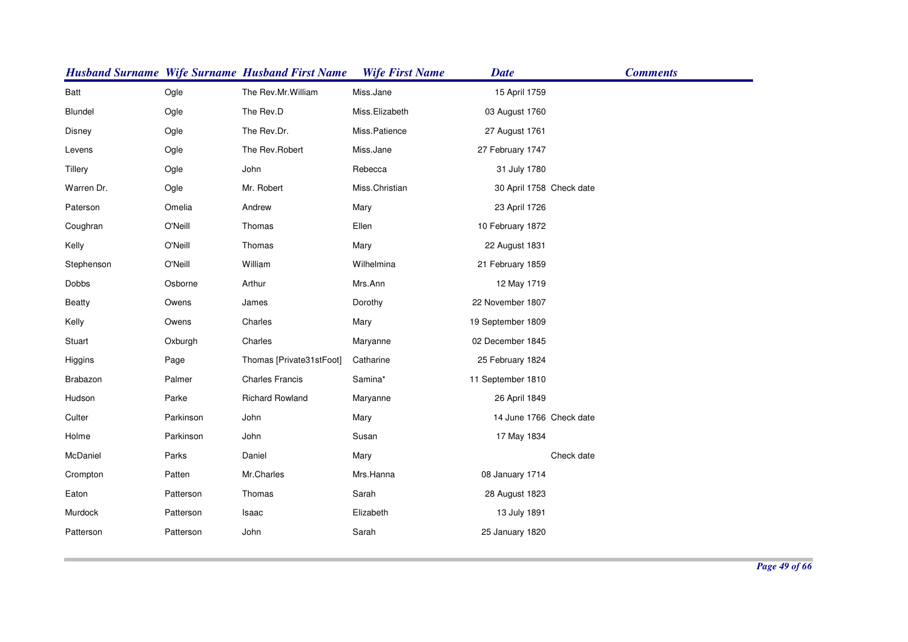|               |           | <b>Husband Surname Wife Surname Husband First Name</b> | <b>Wife First Name</b> | <b>Date</b>              | <b>Comments</b> |
|---------------|-----------|--------------------------------------------------------|------------------------|--------------------------|-----------------|
| Batt          | Ogle      | The Rev.Mr.William                                     | Miss.Jane              | 15 April 1759            |                 |
| Blundel       | Ogle      | The Rev.D                                              | Miss.Elizabeth         | 03 August 1760           |                 |
| Disney        | Ogle      | The Rev.Dr.                                            | Miss.Patience          | 27 August 1761           |                 |
| Levens        | Ogle      | The Rev.Robert                                         | Miss.Jane              | 27 February 1747         |                 |
| Tillery       | Ogle      | John                                                   | Rebecca                | 31 July 1780             |                 |
| Warren Dr.    | Ogle      | Mr. Robert                                             | Miss.Christian         | 30 April 1758 Check date |                 |
| Paterson      | Omelia    | Andrew                                                 | Mary                   | 23 April 1726            |                 |
| Coughran      | O'Neill   | Thomas                                                 | Ellen                  | 10 February 1872         |                 |
| Kelly         | O'Neill   | Thomas                                                 | Mary                   | 22 August 1831           |                 |
| Stephenson    | O'Neill   | William                                                | Wilhelmina             | 21 February 1859         |                 |
| Dobbs         | Osborne   | Arthur                                                 | Mrs.Ann                | 12 May 1719              |                 |
| <b>Beatty</b> | Owens     | James                                                  | Dorothy                | 22 November 1807         |                 |
| Kelly         | Owens     | Charles                                                | Mary                   | 19 September 1809        |                 |
| Stuart        | Oxburgh   | Charles                                                | Maryanne               | 02 December 1845         |                 |
| Higgins       | Page      | Thomas [Private31stFoot]                               | Catharine              | 25 February 1824         |                 |
| Brabazon      | Palmer    | <b>Charles Francis</b>                                 | Samina*                | 11 September 1810        |                 |
| Hudson        | Parke     | <b>Richard Rowland</b>                                 | Maryanne               | 26 April 1849            |                 |
| Culter        | Parkinson | John                                                   | Mary                   | 14 June 1766 Check date  |                 |
| Holme         | Parkinson | John                                                   | Susan                  | 17 May 1834              |                 |
| McDaniel      | Parks     | Daniel                                                 | Mary                   |                          | Check date      |
| Crompton      | Patten    | Mr.Charles                                             | Mrs.Hanna              | 08 January 1714          |                 |
| Eaton         | Patterson | Thomas                                                 | Sarah                  | 28 August 1823           |                 |
| Murdock       | Patterson | Isaac                                                  | Elizabeth              | 13 July 1891             |                 |
| Patterson     | Patterson | John                                                   | Sarah                  | 25 January 1820          |                 |
|               |           |                                                        |                        |                          |                 |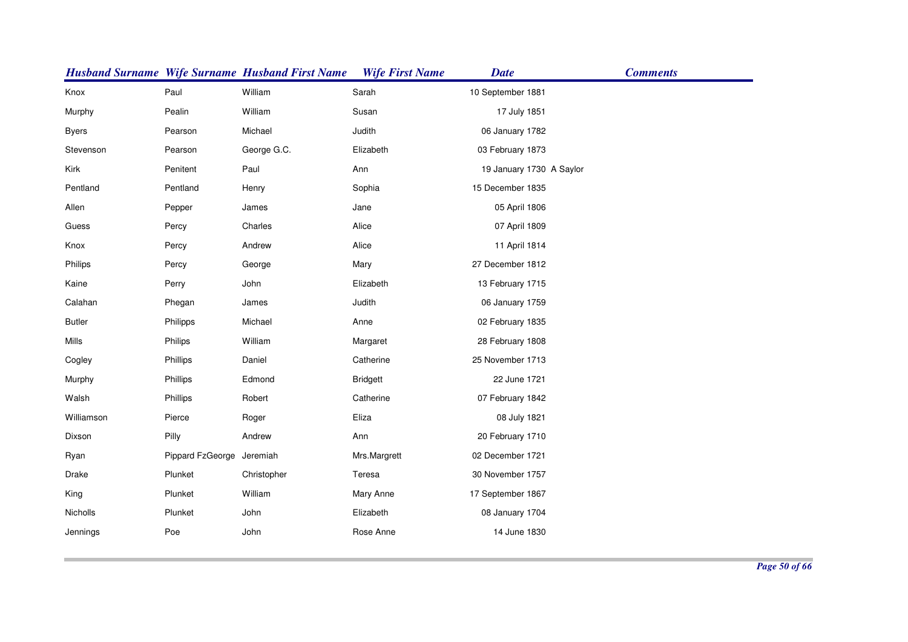|               |                           | <b>Husband Surname Wife Surname Husband First Name</b> | <b>Wife First Name</b> | <b>Date</b>              | <b>Comments</b> |
|---------------|---------------------------|--------------------------------------------------------|------------------------|--------------------------|-----------------|
| Knox          | Paul                      | William                                                | Sarah                  | 10 September 1881        |                 |
| Murphy        | Pealin                    | William                                                | Susan                  | 17 July 1851             |                 |
| <b>Byers</b>  | Pearson                   | Michael                                                | Judith                 | 06 January 1782          |                 |
| Stevenson     | Pearson                   | George G.C.                                            | Elizabeth              | 03 February 1873         |                 |
| Kirk          | Penitent                  | Paul                                                   | Ann                    | 19 January 1730 A Saylor |                 |
| Pentland      | Pentland                  | Henry                                                  | Sophia                 | 15 December 1835         |                 |
| Allen         | Pepper                    | James                                                  | Jane                   | 05 April 1806            |                 |
| Guess         | Percy                     | Charles                                                | Alice                  | 07 April 1809            |                 |
| Knox          | Percy                     | Andrew                                                 | Alice                  | 11 April 1814            |                 |
| Philips       | Percy                     | George                                                 | Mary                   | 27 December 1812         |                 |
| Kaine         | Perry                     | John                                                   | Elizabeth              | 13 February 1715         |                 |
| Calahan       | Phegan                    | James                                                  | Judith                 | 06 January 1759          |                 |
| <b>Butler</b> | Philipps                  | Michael                                                | Anne                   | 02 February 1835         |                 |
| Mills         | Philips                   | William                                                | Margaret               | 28 February 1808         |                 |
| Cogley        | Phillips                  | Daniel                                                 | Catherine              | 25 November 1713         |                 |
| Murphy        | Phillips                  | Edmond                                                 | <b>Bridgett</b>        | 22 June 1721             |                 |
| Walsh         | Phillips                  | Robert                                                 | Catherine              | 07 February 1842         |                 |
| Williamson    | Pierce                    | Roger                                                  | Eliza                  | 08 July 1821             |                 |
| Dixson        | Pilly                     | Andrew                                                 | Ann                    | 20 February 1710         |                 |
| Ryan          | Pippard FzGeorge Jeremiah |                                                        | Mrs.Margrett           | 02 December 1721         |                 |
| Drake         | Plunket                   | Christopher                                            | Teresa                 | 30 November 1757         |                 |
| King          | Plunket                   | William                                                | Mary Anne              | 17 September 1867        |                 |
| Nicholls      | Plunket                   | John                                                   | Elizabeth              | 08 January 1704          |                 |
| Jennings      | Poe                       | John                                                   | Rose Anne              | 14 June 1830             |                 |
|               |                           |                                                        |                        |                          |                 |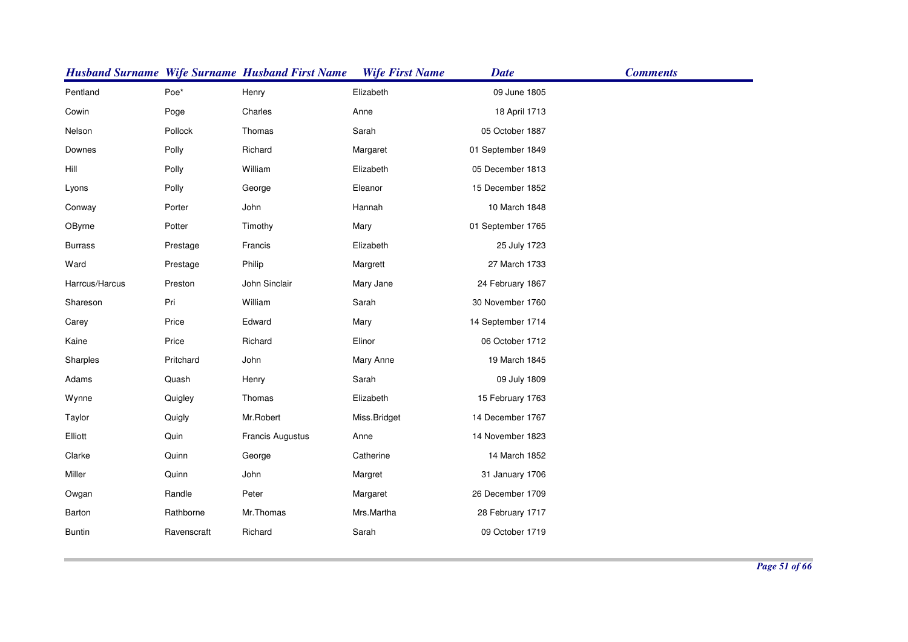|                |             | <b>Husband Surname Wife Surname Husband First Name</b> | <b>Wife First Name</b> | <b>Date</b>       | <b>Comments</b> |
|----------------|-------------|--------------------------------------------------------|------------------------|-------------------|-----------------|
| Pentland       | Poe*        | Henry                                                  | Elizabeth              | 09 June 1805      |                 |
| Cowin          | Poge        | Charles                                                | Anne                   | 18 April 1713     |                 |
| Nelson         | Pollock     | Thomas                                                 | Sarah                  | 05 October 1887   |                 |
| Downes         | Polly       | Richard                                                | Margaret               | 01 September 1849 |                 |
| Hill           | Polly       | William                                                | Elizabeth              | 05 December 1813  |                 |
| Lyons          | Polly       | George                                                 | Eleanor                | 15 December 1852  |                 |
| Conway         | Porter      | John                                                   | Hannah                 | 10 March 1848     |                 |
| OByrne         | Potter      | Timothy                                                | Mary                   | 01 September 1765 |                 |
| <b>Burrass</b> | Prestage    | Francis                                                | Elizabeth              | 25 July 1723      |                 |
| Ward           | Prestage    | Philip                                                 | Margrett               | 27 March 1733     |                 |
| Harrcus/Harcus | Preston     | John Sinclair                                          | Mary Jane              | 24 February 1867  |                 |
| Shareson       | Pri         | William                                                | Sarah                  | 30 November 1760  |                 |
| Carey          | Price       | Edward                                                 | Mary                   | 14 September 1714 |                 |
| Kaine          | Price       | Richard                                                | Elinor                 | 06 October 1712   |                 |
| Sharples       | Pritchard   | John                                                   | Mary Anne              | 19 March 1845     |                 |
| Adams          | Quash       | Henry                                                  | Sarah                  | 09 July 1809      |                 |
| Wynne          | Quigley     | Thomas                                                 | Elizabeth              | 15 February 1763  |                 |
| Taylor         | Quigly      | Mr.Robert                                              | Miss.Bridget           | 14 December 1767  |                 |
| Elliott        | Quin        | Francis Augustus                                       | Anne                   | 14 November 1823  |                 |
| Clarke         | Quinn       | George                                                 | Catherine              | 14 March 1852     |                 |
| Miller         | Quinn       | John                                                   | Margret                | 31 January 1706   |                 |
| Owgan          | Randle      | Peter                                                  | Margaret               | 26 December 1709  |                 |
| Barton         | Rathborne   | Mr.Thomas                                              | Mrs.Martha             | 28 February 1717  |                 |
| <b>Buntin</b>  | Ravenscraft | Richard                                                | Sarah                  | 09 October 1719   |                 |
|                |             |                                                        |                        |                   |                 |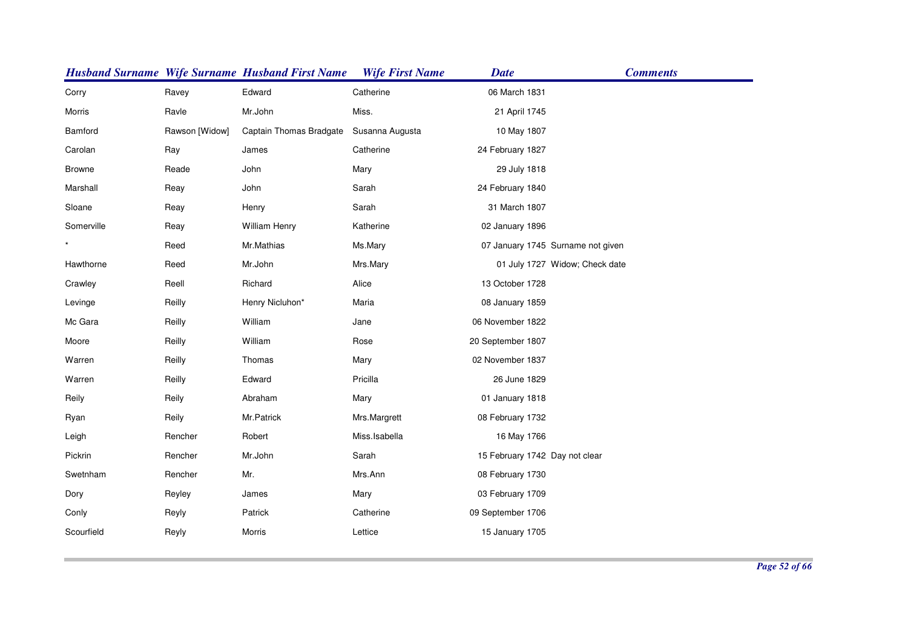|               |                | <b>Husband Surname Wife Surname Husband First Name</b> | <b>Wife First Name</b> | <b>Date</b>                    | <b>Comments</b>                   |
|---------------|----------------|--------------------------------------------------------|------------------------|--------------------------------|-----------------------------------|
| Corry         | Ravey          | Edward                                                 | Catherine              | 06 March 1831                  |                                   |
| Morris        | Ravle          | Mr.John                                                | Miss.                  | 21 April 1745                  |                                   |
| Bamford       | Rawson [Widow] | Captain Thomas Bradgate                                | Susanna Augusta        | 10 May 1807                    |                                   |
| Carolan       | Ray            | James                                                  | Catherine              | 24 February 1827               |                                   |
| <b>Browne</b> | Reade          | John                                                   | Mary                   | 29 July 1818                   |                                   |
| Marshall      | Reay           | John                                                   | Sarah                  | 24 February 1840               |                                   |
| Sloane        | Reay           | Henry                                                  | Sarah                  | 31 March 1807                  |                                   |
| Somerville    | Reay           | William Henry                                          | Katherine              | 02 January 1896                |                                   |
|               | Reed           | Mr.Mathias                                             | Ms.Mary                |                                | 07 January 1745 Surname not given |
| Hawthorne     | Reed           | Mr.John                                                | Mrs.Mary               |                                | 01 July 1727 Widow; Check date    |
| Crawley       | Reell          | Richard                                                | Alice                  | 13 October 1728                |                                   |
| Levinge       | Reilly         | Henry Nicluhon*                                        | Maria                  | 08 January 1859                |                                   |
| Mc Gara       | Reilly         | William                                                | Jane                   | 06 November 1822               |                                   |
| Moore         | Reilly         | William                                                | Rose                   | 20 September 1807              |                                   |
| Warren        | Reilly         | Thomas                                                 | Mary                   | 02 November 1837               |                                   |
| Warren        | Reilly         | Edward                                                 | Pricilla               | 26 June 1829                   |                                   |
| Reily         | Reily          | Abraham                                                | Mary                   | 01 January 1818                |                                   |
| Ryan          | Reily          | Mr.Patrick                                             | Mrs.Margrett           | 08 February 1732               |                                   |
| Leigh         | Rencher        | Robert                                                 | Miss.Isabella          | 16 May 1766                    |                                   |
| Pickrin       | Rencher        | Mr.John                                                | Sarah                  | 15 February 1742 Day not clear |                                   |
| Swetnham      | Rencher        | Mr.                                                    | Mrs.Ann                | 08 February 1730               |                                   |
| Dory          | Reyley         | James                                                  | Mary                   | 03 February 1709               |                                   |
| Conly         | Reyly          | Patrick                                                | Catherine              | 09 September 1706              |                                   |
| Scourfield    | Reyly          | Morris                                                 | Lettice                | 15 January 1705                |                                   |
|               |                |                                                        |                        |                                |                                   |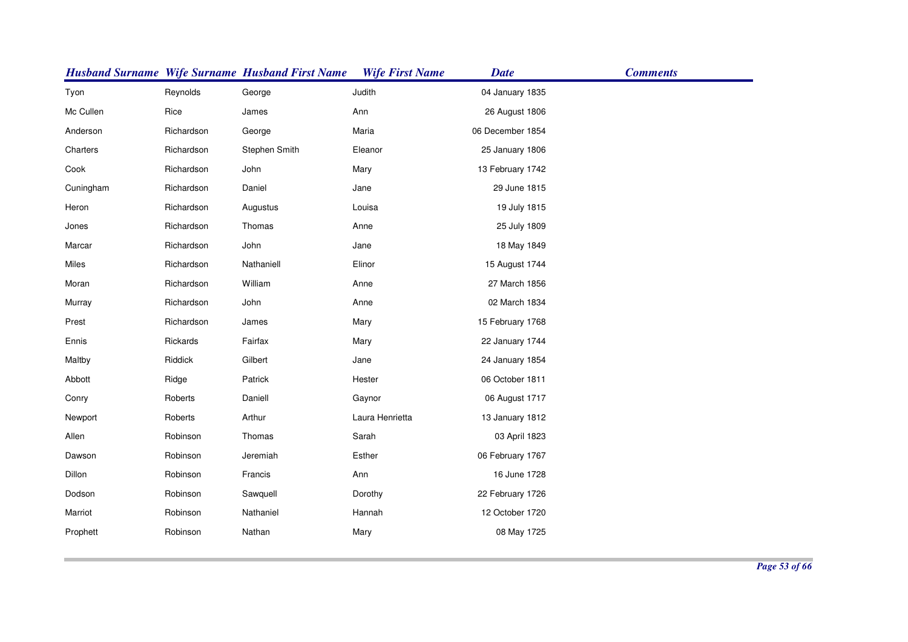|           |            | <b>Husband Surname Wife Surname Husband First Name</b> | <b>Wife First Name</b> | <b>Date</b>      | <b>Comments</b> |
|-----------|------------|--------------------------------------------------------|------------------------|------------------|-----------------|
| Tyon      | Reynolds   | George                                                 | Judith                 | 04 January 1835  |                 |
| Mc Cullen | Rice       | James                                                  | Ann                    | 26 August 1806   |                 |
| Anderson  | Richardson | George                                                 | Maria                  | 06 December 1854 |                 |
| Charters  | Richardson | Stephen Smith                                          | Eleanor                | 25 January 1806  |                 |
| Cook      | Richardson | John                                                   | Mary                   | 13 February 1742 |                 |
| Cuningham | Richardson | Daniel                                                 | Jane                   | 29 June 1815     |                 |
| Heron     | Richardson | Augustus                                               | Louisa                 | 19 July 1815     |                 |
| Jones     | Richardson | Thomas                                                 | Anne                   | 25 July 1809     |                 |
| Marcar    | Richardson | John                                                   | Jane                   | 18 May 1849      |                 |
| Miles     | Richardson | Nathaniell                                             | Elinor                 | 15 August 1744   |                 |
| Moran     | Richardson | William                                                | Anne                   | 27 March 1856    |                 |
| Murray    | Richardson | John                                                   | Anne                   | 02 March 1834    |                 |
| Prest     | Richardson | James                                                  | Mary                   | 15 February 1768 |                 |
| Ennis     | Rickards   | Fairfax                                                | Mary                   | 22 January 1744  |                 |
| Maltby    | Riddick    | Gilbert                                                | Jane                   | 24 January 1854  |                 |
| Abbott    | Ridge      | Patrick                                                | Hester                 | 06 October 1811  |                 |
| Conry     | Roberts    | Daniell                                                | Gaynor                 | 06 August 1717   |                 |
| Newport   | Roberts    | Arthur                                                 | Laura Henrietta        | 13 January 1812  |                 |
| Allen     | Robinson   | Thomas                                                 | Sarah                  | 03 April 1823    |                 |
| Dawson    | Robinson   | Jeremiah                                               | Esther                 | 06 February 1767 |                 |
| Dillon    | Robinson   | Francis                                                | Ann                    | 16 June 1728     |                 |
| Dodson    | Robinson   | Sawquell                                               | Dorothy                | 22 February 1726 |                 |
| Marriot   | Robinson   | Nathaniel                                              | Hannah                 | 12 October 1720  |                 |
| Prophett  | Robinson   | Nathan                                                 | Mary                   | 08 May 1725      |                 |
|           |            |                                                        |                        |                  |                 |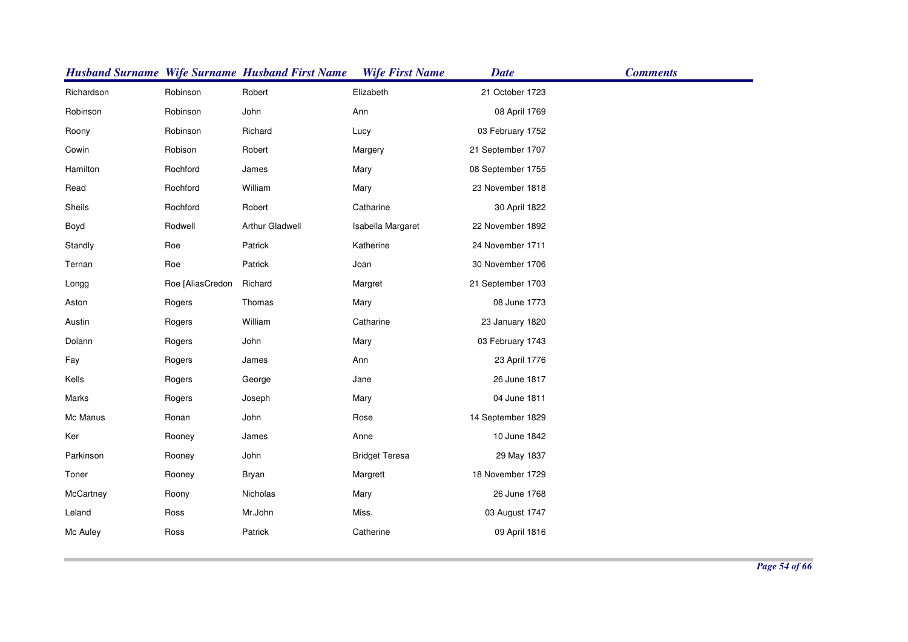|            |                  | <b>Husband Surname Wife Surname Husband First Name</b> | <b>Wife First Name</b> | <b>Date</b>       | <b>Comments</b> |
|------------|------------------|--------------------------------------------------------|------------------------|-------------------|-----------------|
| Richardson | Robinson         | Robert                                                 | Elizabeth              | 21 October 1723   |                 |
| Robinson   | Robinson         | John                                                   | Ann                    | 08 April 1769     |                 |
| Roony      | Robinson         | Richard                                                | Lucy                   | 03 February 1752  |                 |
| Cowin      | Robison          | Robert                                                 | Margery                | 21 September 1707 |                 |
| Hamilton   | Rochford         | James                                                  | Mary                   | 08 September 1755 |                 |
| Read       | Rochford         | William                                                | Mary                   | 23 November 1818  |                 |
| Sheils     | Rochford         | Robert                                                 | Catharine              | 30 April 1822     |                 |
| Boyd       | Rodwell          | <b>Arthur Gladwell</b>                                 | Isabella Margaret      | 22 November 1892  |                 |
| Standly    | Roe              | Patrick                                                | Katherine              | 24 November 1711  |                 |
| Ternan     | Roe              | Patrick                                                | Joan                   | 30 November 1706  |                 |
| Longg      | Roe [AliasCredon | Richard                                                | Margret                | 21 September 1703 |                 |
| Aston      | Rogers           | Thomas                                                 | Mary                   | 08 June 1773      |                 |
| Austin     | Rogers           | William                                                | Catharine              | 23 January 1820   |                 |
| Dolann     | Rogers           | John                                                   | Mary                   | 03 February 1743  |                 |
| Fay        | Rogers           | James                                                  | Ann                    | 23 April 1776     |                 |
| Kells      | Rogers           | George                                                 | Jane                   | 26 June 1817      |                 |
| Marks      | Rogers           | Joseph                                                 | Mary                   | 04 June 1811      |                 |
| Mc Manus   | Ronan            | John                                                   | Rose                   | 14 September 1829 |                 |
| Ker        | Rooney           | James                                                  | Anne                   | 10 June 1842      |                 |
| Parkinson  | Rooney           | John                                                   | <b>Bridget Teresa</b>  | 29 May 1837       |                 |
| Toner      | Rooney           | Bryan                                                  | Margrett               | 18 November 1729  |                 |
| McCartney  | Roony            | Nicholas                                               | Mary                   | 26 June 1768      |                 |
| Leland     | Ross             | Mr.John                                                | Miss.                  | 03 August 1747    |                 |
| Mc Auley   | Ross             | Patrick                                                | Catherine              | 09 April 1816     |                 |
|            |                  |                                                        |                        |                   |                 |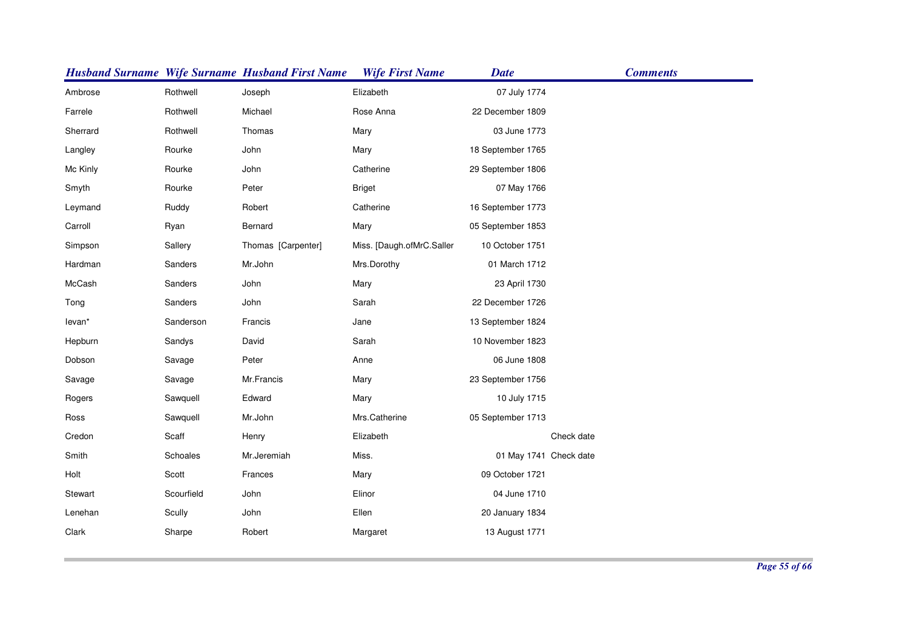|          |                 | <b>Husband Surname Wife Surname Husband First Name</b> | <b>Wife First Name</b>    | <b>Date</b>            | <b>Comments</b> |
|----------|-----------------|--------------------------------------------------------|---------------------------|------------------------|-----------------|
| Ambrose  | Rothwell        | Joseph                                                 | Elizabeth                 | 07 July 1774           |                 |
| Farrele  | Rothwell        | Michael                                                | Rose Anna                 | 22 December 1809       |                 |
| Sherrard | Rothwell        | Thomas                                                 | Mary                      | 03 June 1773           |                 |
| Langley  | Rourke          | John                                                   | Mary                      | 18 September 1765      |                 |
| Mc Kinly | Rourke          | John                                                   | Catherine                 | 29 September 1806      |                 |
| Smyth    | Rourke          | Peter                                                  | <b>Briget</b>             | 07 May 1766            |                 |
| Leymand  | Ruddy           | Robert                                                 | Catherine                 | 16 September 1773      |                 |
| Carroll  | Ryan            | Bernard                                                | Mary                      | 05 September 1853      |                 |
| Simpson  | Sallery         | Thomas [Carpenter]                                     | Miss. [Daugh.ofMrC.Saller | 10 October 1751        |                 |
| Hardman  | Sanders         | Mr.John                                                | Mrs.Dorothy               | 01 March 1712          |                 |
| McCash   | Sanders         | John                                                   | Mary                      | 23 April 1730          |                 |
| Tong     | Sanders         | John                                                   | Sarah                     | 22 December 1726       |                 |
| levan*   | Sanderson       | Francis                                                | Jane                      | 13 September 1824      |                 |
| Hepburn  | Sandys          | David                                                  | Sarah                     | 10 November 1823       |                 |
| Dobson   | Savage          | Peter                                                  | Anne                      | 06 June 1808           |                 |
| Savage   | Savage          | Mr.Francis                                             | Mary                      | 23 September 1756      |                 |
| Rogers   | Sawquell        | Edward                                                 | Mary                      | 10 July 1715           |                 |
| Ross     | Sawquell        | Mr.John                                                | Mrs.Catherine             | 05 September 1713      |                 |
| Credon   | Scaff           | Henry                                                  | Elizabeth                 |                        | Check date      |
| Smith    | <b>Schoales</b> | Mr.Jeremiah                                            | Miss.                     | 01 May 1741 Check date |                 |
| Holt     | Scott           | Frances                                                | Mary                      | 09 October 1721        |                 |
| Stewart  | Scourfield      | John                                                   | Elinor                    | 04 June 1710           |                 |
| Lenehan  | Scully          | John                                                   | Ellen                     | 20 January 1834        |                 |
| Clark    | Sharpe          | Robert                                                 | Margaret                  | 13 August 1771         |                 |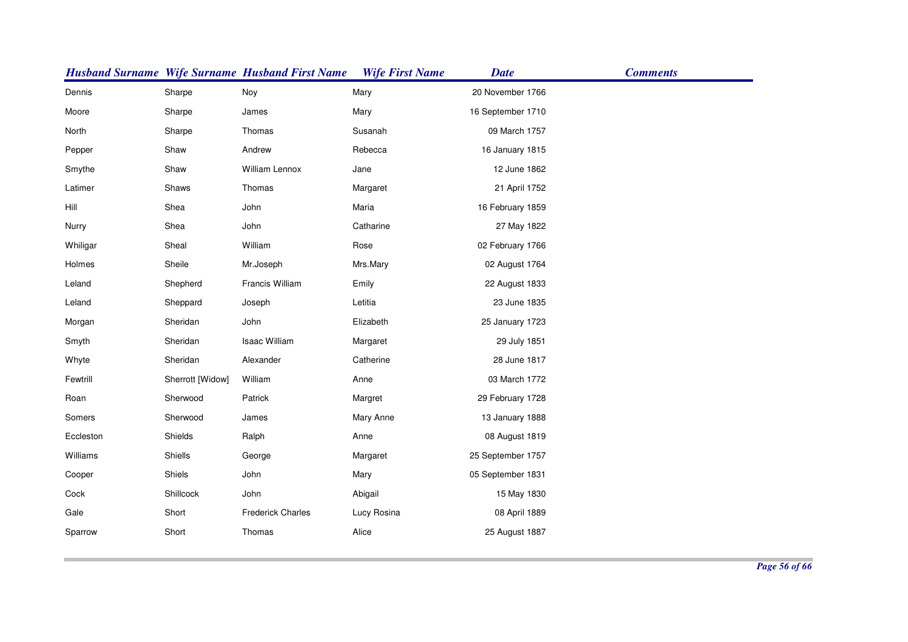|           |                  | <b>Husband Surname Wife Surname Husband First Name</b> | <b>Wife First Name</b> | <b>Date</b>       | <b>Comments</b> |
|-----------|------------------|--------------------------------------------------------|------------------------|-------------------|-----------------|
| Dennis    | Sharpe           | Noy                                                    | Mary                   | 20 November 1766  |                 |
| Moore     | Sharpe           | James                                                  | Mary                   | 16 September 1710 |                 |
| North     | Sharpe           | Thomas                                                 | Susanah                | 09 March 1757     |                 |
| Pepper    | Shaw             | Andrew                                                 | Rebecca                | 16 January 1815   |                 |
| Smythe    | Shaw             | William Lennox                                         | Jane                   | 12 June 1862      |                 |
| Latimer   | Shaws            | Thomas                                                 | Margaret               | 21 April 1752     |                 |
| Hill      | Shea             | John                                                   | Maria                  | 16 February 1859  |                 |
| Nurry     | Shea             | John                                                   | Catharine              | 27 May 1822       |                 |
| Whiligar  | Sheal            | William                                                | Rose                   | 02 February 1766  |                 |
| Holmes    | Sheile           | Mr.Joseph                                              | Mrs.Mary               | 02 August 1764    |                 |
| Leland    | Shepherd         | Francis William                                        | Emily                  | 22 August 1833    |                 |
| Leland    | Sheppard         | Joseph                                                 | Letitia                | 23 June 1835      |                 |
| Morgan    | Sheridan         | John                                                   | Elizabeth              | 25 January 1723   |                 |
| Smyth     | Sheridan         | Isaac William                                          | Margaret               | 29 July 1851      |                 |
| Whyte     | Sheridan         | Alexander                                              | Catherine              | 28 June 1817      |                 |
| Fewtrill  | Sherrott [Widow] | William                                                | Anne                   | 03 March 1772     |                 |
| Roan      | Sherwood         | Patrick                                                | Margret                | 29 February 1728  |                 |
| Somers    | Sherwood         | James                                                  | Mary Anne              | 13 January 1888   |                 |
| Eccleston | Shields          | Ralph                                                  | Anne                   | 08 August 1819    |                 |
| Williams  | Shiells          | George                                                 | Margaret               | 25 September 1757 |                 |
| Cooper    | Shiels           | John                                                   | Mary                   | 05 September 1831 |                 |
| Cock      | Shillcock        | John                                                   | Abigail                | 15 May 1830       |                 |
| Gale      | Short            | <b>Frederick Charles</b>                               | Lucy Rosina            | 08 April 1889     |                 |
| Sparrow   | Short            | Thomas                                                 | Alice                  | 25 August 1887    |                 |
|           |                  |                                                        |                        |                   |                 |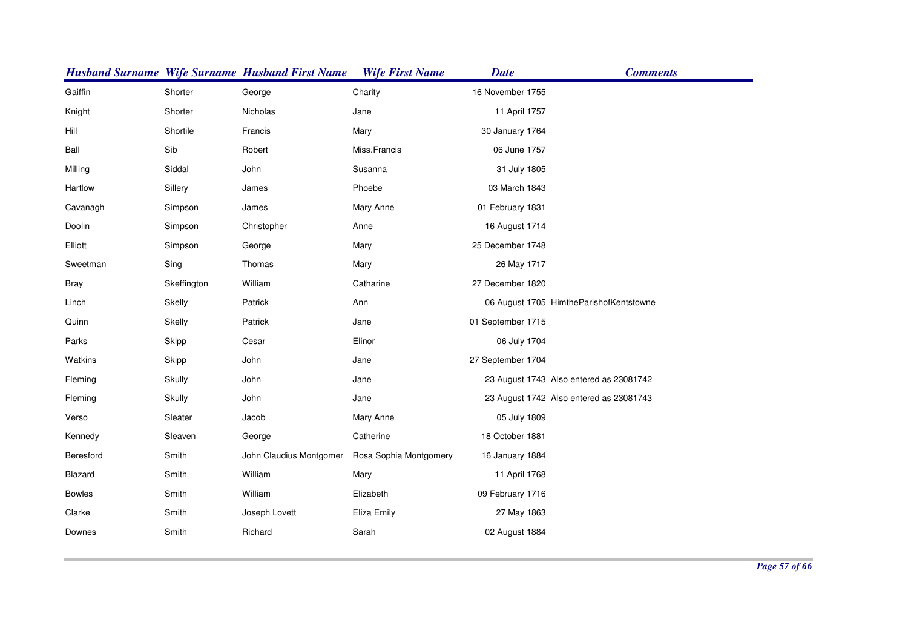|               |             | <b>Husband Surname Wife Surname Husband First Name</b> | <b>Wife First Name</b> | <b>Date</b>       | <b>Comments</b>                         |
|---------------|-------------|--------------------------------------------------------|------------------------|-------------------|-----------------------------------------|
| Gaiffin       | Shorter     | George                                                 | Charity                | 16 November 1755  |                                         |
| Knight        | Shorter     | Nicholas                                               | Jane                   | 11 April 1757     |                                         |
| Hill          | Shortile    | Francis                                                | Mary                   | 30 January 1764   |                                         |
| Ball          | Sib         | Robert                                                 | Miss.Francis           | 06 June 1757      |                                         |
| Milling       | Siddal      | John                                                   | Susanna                | 31 July 1805      |                                         |
| Hartlow       | Sillery     | James                                                  | Phoebe                 | 03 March 1843     |                                         |
| Cavanagh      | Simpson     | James                                                  | Mary Anne              | 01 February 1831  |                                         |
| Doolin        | Simpson     | Christopher                                            | Anne                   | 16 August 1714    |                                         |
| Elliott       | Simpson     | George                                                 | Mary                   | 25 December 1748  |                                         |
| Sweetman      | Sing        | Thomas                                                 | Mary                   | 26 May 1717       |                                         |
| <b>Bray</b>   | Skeffington | William                                                | Catharine              | 27 December 1820  |                                         |
| Linch         | Skelly      | Patrick                                                | Ann                    |                   | 06 August 1705 HimtheParishofKentstowne |
| Quinn         | Skelly      | Patrick                                                | Jane                   | 01 September 1715 |                                         |
| Parks         | Skipp       | Cesar                                                  | Elinor                 | 06 July 1704      |                                         |
| Watkins       | Skipp       | John                                                   | Jane                   | 27 September 1704 |                                         |
| Fleming       | Skully      | John                                                   | Jane                   |                   | 23 August 1743 Also entered as 23081742 |
| Fleming       | Skully      | John                                                   | Jane                   |                   | 23 August 1742 Also entered as 23081743 |
| Verso         | Sleater     | Jacob                                                  | Mary Anne              | 05 July 1809      |                                         |
| Kennedy       | Sleaven     | George                                                 | Catherine              | 18 October 1881   |                                         |
| Beresford     | Smith       | John Claudius Montgomer                                | Rosa Sophia Montgomery | 16 January 1884   |                                         |
| Blazard       | Smith       | William                                                | Mary                   | 11 April 1768     |                                         |
| <b>Bowles</b> | Smith       | William                                                | Elizabeth              | 09 February 1716  |                                         |
| Clarke        | Smith       | Joseph Lovett                                          | Eliza Emily            | 27 May 1863       |                                         |
| Downes        | Smith       | Richard                                                | Sarah                  | 02 August 1884    |                                         |
|               |             |                                                        |                        |                   |                                         |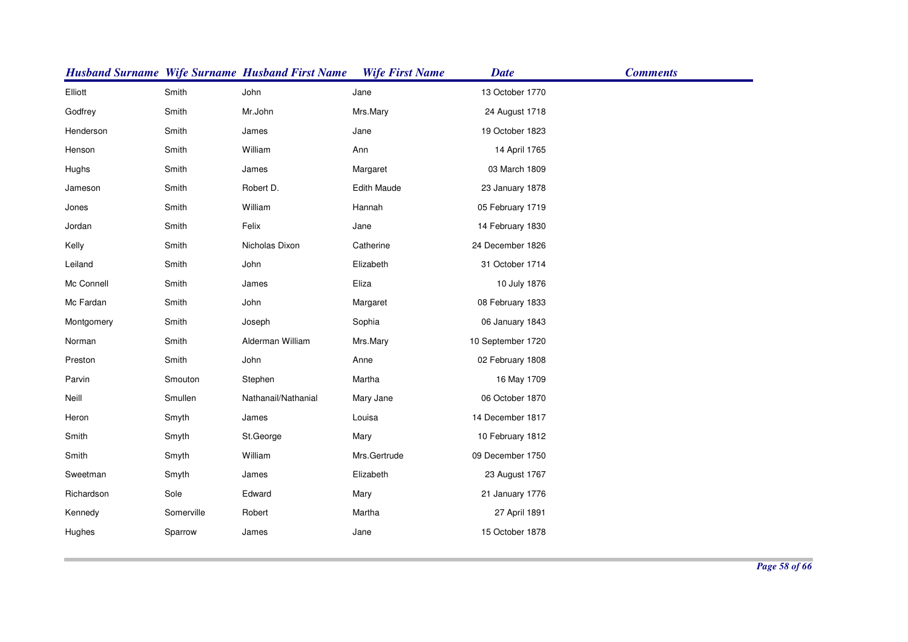|            |            | <b>Husband Surname Wife Surname Husband First Name</b> | <b>Wife First Name</b> | <b>Date</b>       | <b>Comments</b> |
|------------|------------|--------------------------------------------------------|------------------------|-------------------|-----------------|
| Elliott    | Smith      | John                                                   | Jane                   | 13 October 1770   |                 |
| Godfrey    | Smith      | Mr.John                                                | Mrs.Mary               | 24 August 1718    |                 |
| Henderson  | Smith      | James                                                  | Jane                   | 19 October 1823   |                 |
| Henson     | Smith      | William                                                | Ann                    | 14 April 1765     |                 |
| Hughs      | Smith      | James                                                  | Margaret               | 03 March 1809     |                 |
| Jameson    | Smith      | Robert D.                                              | <b>Edith Maude</b>     | 23 January 1878   |                 |
| Jones      | Smith      | William                                                | Hannah                 | 05 February 1719  |                 |
| Jordan     | Smith      | Felix                                                  | Jane                   | 14 February 1830  |                 |
| Kelly      | Smith      | Nicholas Dixon                                         | Catherine              | 24 December 1826  |                 |
| Leiland    | Smith      | John                                                   | Elizabeth              | 31 October 1714   |                 |
| Mc Connell | Smith      | James                                                  | Eliza                  | 10 July 1876      |                 |
| Mc Fardan  | Smith      | John                                                   | Margaret               | 08 February 1833  |                 |
| Montgomery | Smith      | Joseph                                                 | Sophia                 | 06 January 1843   |                 |
| Norman     | Smith      | Alderman William                                       | Mrs.Mary               | 10 September 1720 |                 |
| Preston    | Smith      | John                                                   | Anne                   | 02 February 1808  |                 |
| Parvin     | Smouton    | Stephen                                                | Martha                 | 16 May 1709       |                 |
| Neill      | Smullen    | Nathanail/Nathanial                                    | Mary Jane              | 06 October 1870   |                 |
| Heron      | Smyth      | James                                                  | Louisa                 | 14 December 1817  |                 |
| Smith      | Smyth      | St.George                                              | Mary                   | 10 February 1812  |                 |
| Smith      | Smyth      | William                                                | Mrs.Gertrude           | 09 December 1750  |                 |
| Sweetman   | Smyth      | James                                                  | Elizabeth              | 23 August 1767    |                 |
| Richardson | Sole       | Edward                                                 | Mary                   | 21 January 1776   |                 |
| Kennedy    | Somerville | Robert                                                 | Martha                 | 27 April 1891     |                 |
| Hughes     | Sparrow    | James                                                  | Jane                   | 15 October 1878   |                 |
|            |            |                                                        |                        |                   |                 |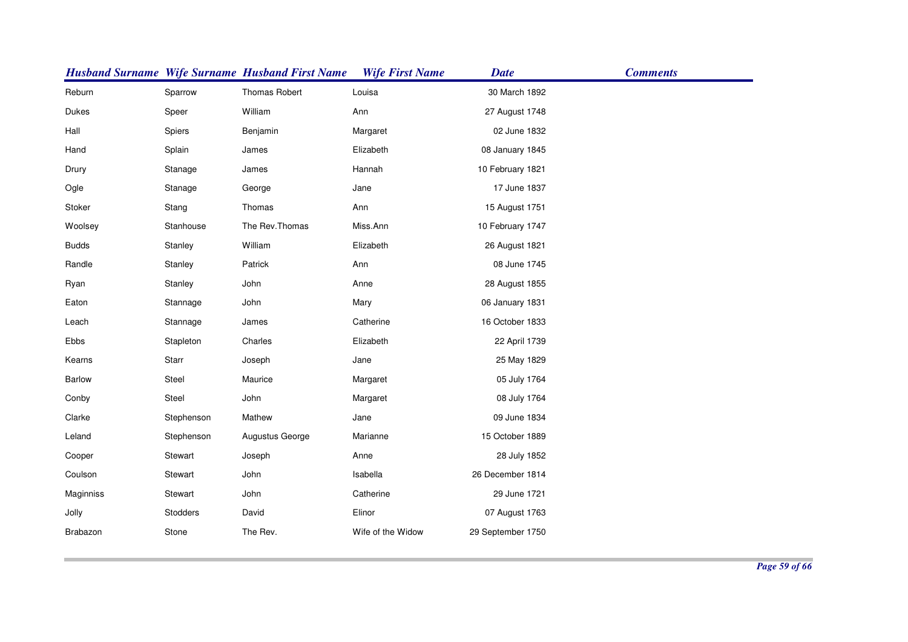|               |            | <b>Husband Surname Wife Surname Husband First Name</b> | <b>Wife First Name</b> | <b>Date</b>       | <b>Comments</b> |
|---------------|------------|--------------------------------------------------------|------------------------|-------------------|-----------------|
| Reburn        | Sparrow    | <b>Thomas Robert</b>                                   | Louisa                 | 30 March 1892     |                 |
| Dukes         | Speer      | William                                                | Ann                    | 27 August 1748    |                 |
| Hall          | Spiers     | Benjamin                                               | Margaret               | 02 June 1832      |                 |
| Hand          | Splain     | James                                                  | Elizabeth              | 08 January 1845   |                 |
| Drury         | Stanage    | James                                                  | Hannah                 | 10 February 1821  |                 |
| Ogle          | Stanage    | George                                                 | Jane                   | 17 June 1837      |                 |
| Stoker        | Stang      | Thomas                                                 | Ann                    | 15 August 1751    |                 |
| Woolsey       | Stanhouse  | The Rev.Thomas                                         | Miss.Ann               | 10 February 1747  |                 |
| <b>Budds</b>  | Stanley    | William                                                | Elizabeth              | 26 August 1821    |                 |
| Randle        | Stanley    | Patrick                                                | Ann                    | 08 June 1745      |                 |
| Ryan          | Stanley    | John                                                   | Anne                   | 28 August 1855    |                 |
| Eaton         | Stannage   | John                                                   | Mary                   | 06 January 1831   |                 |
| Leach         | Stannage   | James                                                  | Catherine              | 16 October 1833   |                 |
| Ebbs          | Stapleton  | Charles                                                | Elizabeth              | 22 April 1739     |                 |
| Kearns        | Starr      | Joseph                                                 | Jane                   | 25 May 1829       |                 |
| <b>Barlow</b> | Steel      | Maurice                                                | Margaret               | 05 July 1764      |                 |
| Conby         | Steel      | John                                                   | Margaret               | 08 July 1764      |                 |
| Clarke        | Stephenson | Mathew                                                 | Jane                   | 09 June 1834      |                 |
| Leland        | Stephenson | Augustus George                                        | Marianne               | 15 October 1889   |                 |
| Cooper        | Stewart    | Joseph                                                 | Anne                   | 28 July 1852      |                 |
| Coulson       | Stewart    | John                                                   | Isabella               | 26 December 1814  |                 |
| Maginniss     | Stewart    | John                                                   | Catherine              | 29 June 1721      |                 |
| Jolly         | Stodders   | David                                                  | Elinor                 | 07 August 1763    |                 |
| Brabazon      | Stone      | The Rev.                                               | Wife of the Widow      | 29 September 1750 |                 |
|               |            |                                                        |                        |                   |                 |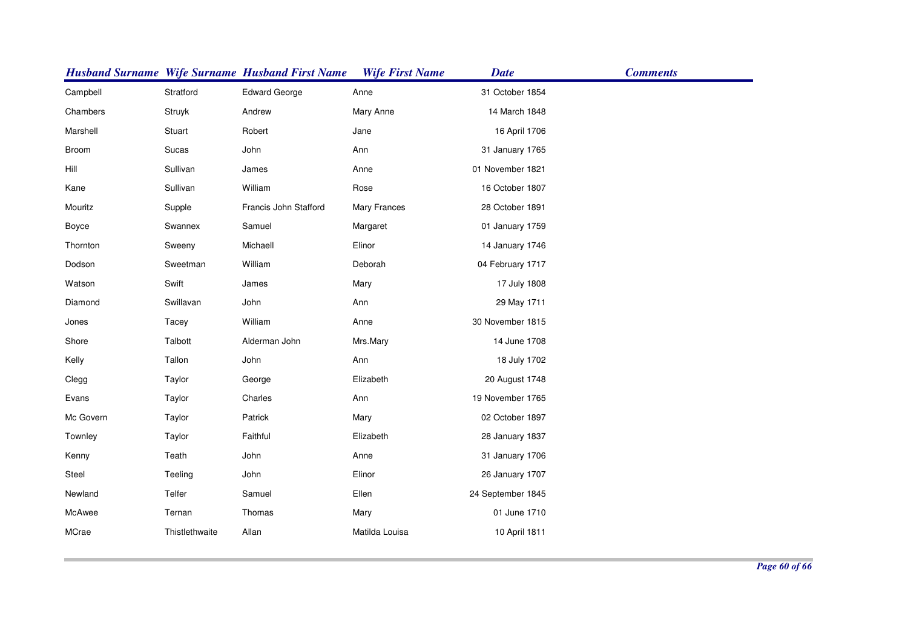|           |                | <b>Husband Surname Wife Surname Husband First Name</b> | <b>Wife First Name</b> | <b>Date</b>       | <b>Comments</b> |
|-----------|----------------|--------------------------------------------------------|------------------------|-------------------|-----------------|
| Campbell  | Stratford      | <b>Edward George</b>                                   | Anne                   | 31 October 1854   |                 |
| Chambers  | Struyk         | Andrew                                                 | Mary Anne              | 14 March 1848     |                 |
| Marshell  | Stuart         | Robert                                                 | Jane                   | 16 April 1706     |                 |
| Broom     | Sucas          | John                                                   | Ann                    | 31 January 1765   |                 |
| Hill      | Sullivan       | James                                                  | Anne                   | 01 November 1821  |                 |
| Kane      | Sullivan       | William                                                | Rose                   | 16 October 1807   |                 |
| Mouritz   | Supple         | Francis John Stafford                                  | Mary Frances           | 28 October 1891   |                 |
| Boyce     | Swannex        | Samuel                                                 | Margaret               | 01 January 1759   |                 |
| Thornton  | Sweeny         | Michaell                                               | Elinor                 | 14 January 1746   |                 |
| Dodson    | Sweetman       | William                                                | Deborah                | 04 February 1717  |                 |
| Watson    | Swift          | James                                                  | Mary                   | 17 July 1808      |                 |
| Diamond   | Swillavan      | John                                                   | Ann                    | 29 May 1711       |                 |
| Jones     | Tacey          | William                                                | Anne                   | 30 November 1815  |                 |
| Shore     | Talbott        | Alderman John                                          | Mrs.Mary               | 14 June 1708      |                 |
| Kelly     | Tallon         | John                                                   | Ann                    | 18 July 1702      |                 |
| Clegg     | Taylor         | George                                                 | Elizabeth              | 20 August 1748    |                 |
| Evans     | Taylor         | Charles                                                | Ann                    | 19 November 1765  |                 |
| Mc Govern | Taylor         | Patrick                                                | Mary                   | 02 October 1897   |                 |
| Townley   | Taylor         | Faithful                                               | Elizabeth              | 28 January 1837   |                 |
| Kenny     | Teath          | John                                                   | Anne                   | 31 January 1706   |                 |
| Steel     | Teeling        | John                                                   | Elinor                 | 26 January 1707   |                 |
| Newland   | Telfer         | Samuel                                                 | Ellen                  | 24 September 1845 |                 |
| McAwee    | Ternan         | Thomas                                                 | Mary                   | 01 June 1710      |                 |
| MCrae     | Thistlethwaite | Allan                                                  | Matilda Louisa         | 10 April 1811     |                 |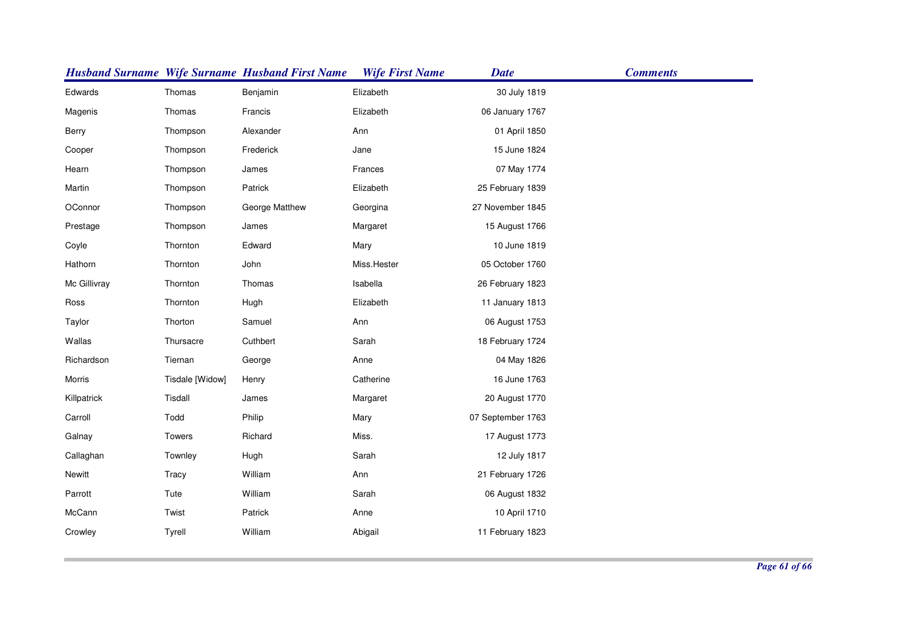|              |                 | <b>Husband Surname Wife Surname Husband First Name</b> | <b>Wife First Name</b> | <b>Date</b>       | <b>Comments</b> |
|--------------|-----------------|--------------------------------------------------------|------------------------|-------------------|-----------------|
| Edwards      | Thomas          | Benjamin                                               | Elizabeth              | 30 July 1819      |                 |
| Magenis      | Thomas          | Francis                                                | Elizabeth              | 06 January 1767   |                 |
| Berry        | Thompson        | Alexander                                              | Ann                    | 01 April 1850     |                 |
| Cooper       | Thompson        | Frederick                                              | Jane                   | 15 June 1824      |                 |
| Hearn        | Thompson        | James                                                  | Frances                | 07 May 1774       |                 |
| Martin       | Thompson        | Patrick                                                | Elizabeth              | 25 February 1839  |                 |
| OConnor      | Thompson        | George Matthew                                         | Georgina               | 27 November 1845  |                 |
| Prestage     | Thompson        | James                                                  | Margaret               | 15 August 1766    |                 |
| Coyle        | Thornton        | Edward                                                 | Mary                   | 10 June 1819      |                 |
| Hathorn      | Thornton        | John                                                   | Miss.Hester            | 05 October 1760   |                 |
| Mc Gillivray | Thornton        | Thomas                                                 | Isabella               | 26 February 1823  |                 |
| Ross         | Thornton        | Hugh                                                   | Elizabeth              | 11 January 1813   |                 |
| Taylor       | Thorton         | Samuel                                                 | Ann                    | 06 August 1753    |                 |
| Wallas       | Thursacre       | Cuthbert                                               | Sarah                  | 18 February 1724  |                 |
| Richardson   | Tiernan         | George                                                 | Anne                   | 04 May 1826       |                 |
| Morris       | Tisdale [Widow] | Henry                                                  | Catherine              | 16 June 1763      |                 |
| Killpatrick  | Tisdall         | James                                                  | Margaret               | 20 August 1770    |                 |
| Carroll      | Todd            | Philip                                                 | Mary                   | 07 September 1763 |                 |
| Galnay       | Towers          | Richard                                                | Miss.                  | 17 August 1773    |                 |
| Callaghan    | Townley         | Hugh                                                   | Sarah                  | 12 July 1817      |                 |
| Newitt       | Tracy           | William                                                | Ann                    | 21 February 1726  |                 |
| Parrott      | Tute            | William                                                | Sarah                  | 06 August 1832    |                 |
| McCann       | Twist           | Patrick                                                | Anne                   | 10 April 1710     |                 |
| Crowley      | Tyrell          | William                                                | Abigail                | 11 February 1823  |                 |
|              |                 |                                                        |                        |                   |                 |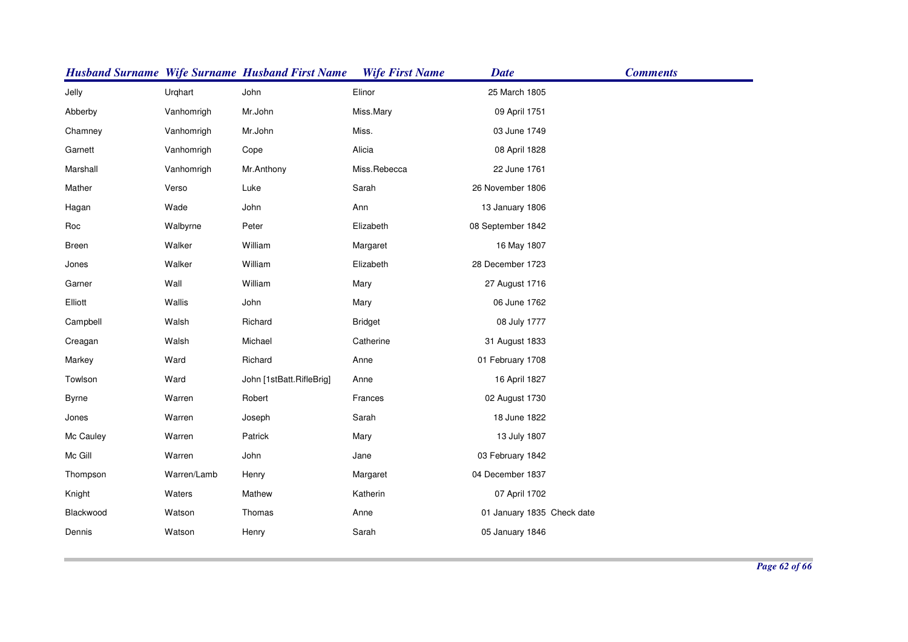|              |             | <b>Husband Surname Wife Surname Husband First Name</b> | <b>Wife First Name</b> | <b>Date</b>                | <b>Comments</b> |
|--------------|-------------|--------------------------------------------------------|------------------------|----------------------------|-----------------|
| Jelly        | Urqhart     | John                                                   | Elinor                 | 25 March 1805              |                 |
| Abberby      | Vanhomrigh  | Mr.John                                                | Miss.Mary              | 09 April 1751              |                 |
| Chamney      | Vanhomrigh  | Mr.John                                                | Miss.                  | 03 June 1749               |                 |
| Garnett      | Vanhomrigh  | Cope                                                   | Alicia                 | 08 April 1828              |                 |
| Marshall     | Vanhomrigh  | Mr.Anthony                                             | Miss.Rebecca           | 22 June 1761               |                 |
| Mather       | Verso       | Luke                                                   | Sarah                  | 26 November 1806           |                 |
| Hagan        | Wade        | John                                                   | Ann                    | 13 January 1806            |                 |
| Roc          | Walbyrne    | Peter                                                  | Elizabeth              | 08 September 1842          |                 |
| Breen        | Walker      | William                                                | Margaret               | 16 May 1807                |                 |
| Jones        | Walker      | William                                                | Elizabeth              | 28 December 1723           |                 |
| Garner       | Wall        | William                                                | Mary                   | 27 August 1716             |                 |
| Elliott      | Wallis      | John                                                   | Mary                   | 06 June 1762               |                 |
| Campbell     | Walsh       | Richard                                                | <b>Bridget</b>         | 08 July 1777               |                 |
| Creagan      | Walsh       | Michael                                                | Catherine              | 31 August 1833             |                 |
| Markey       | Ward        | Richard                                                | Anne                   | 01 February 1708           |                 |
| Towlson      | Ward        | John [1stBatt.RifleBrig]                               | Anne                   | 16 April 1827              |                 |
| <b>Byrne</b> | Warren      | Robert                                                 | Frances                | 02 August 1730             |                 |
| Jones        | Warren      | Joseph                                                 | Sarah                  | 18 June 1822               |                 |
| Mc Cauley    | Warren      | Patrick                                                | Mary                   | 13 July 1807               |                 |
| Mc Gill      | Warren      | John                                                   | Jane                   | 03 February 1842           |                 |
| Thompson     | Warren/Lamb | Henry                                                  | Margaret               | 04 December 1837           |                 |
| Knight       | Waters      | Mathew                                                 | Katherin               | 07 April 1702              |                 |
| Blackwood    | Watson      | Thomas                                                 | Anne                   | 01 January 1835 Check date |                 |
| Dennis       | Watson      | Henry                                                  | Sarah                  | 05 January 1846            |                 |
|              |             |                                                        |                        |                            |                 |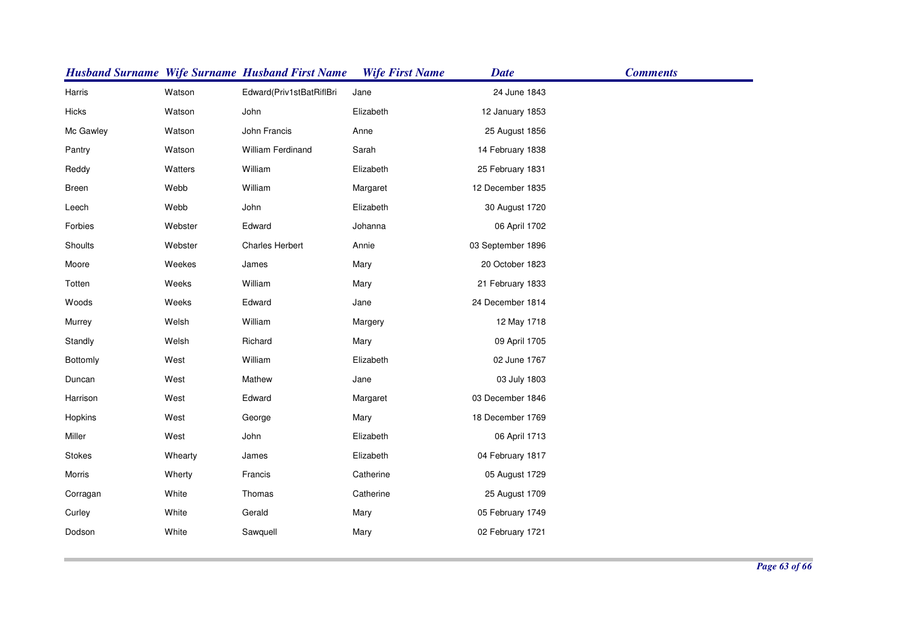|              |         | <b>Husband Surname Wife Surname Husband First Name</b> | <b>Wife First Name</b> | <b>Date</b>       | <b>Comments</b> |
|--------------|---------|--------------------------------------------------------|------------------------|-------------------|-----------------|
| Harris       | Watson  | Edward(Priv1stBatRiflBri                               | Jane                   | 24 June 1843      |                 |
| Hicks        | Watson  | John                                                   | Elizabeth              | 12 January 1853   |                 |
| Mc Gawley    | Watson  | John Francis                                           | Anne                   | 25 August 1856    |                 |
| Pantry       | Watson  | <b>William Ferdinand</b>                               | Sarah                  | 14 February 1838  |                 |
| Reddy        | Watters | William                                                | Elizabeth              | 25 February 1831  |                 |
| <b>Breen</b> | Webb    | William                                                | Margaret               | 12 December 1835  |                 |
| Leech        | Webb    | John                                                   | Elizabeth              | 30 August 1720    |                 |
| Forbies      | Webster | Edward                                                 | Johanna                | 06 April 1702     |                 |
| Shoults      | Webster | <b>Charles Herbert</b>                                 | Annie                  | 03 September 1896 |                 |
| Moore        | Weekes  | James                                                  | Mary                   | 20 October 1823   |                 |
| Totten       | Weeks   | William                                                | Mary                   | 21 February 1833  |                 |
| Woods        | Weeks   | Edward                                                 | Jane                   | 24 December 1814  |                 |
| Murrey       | Welsh   | William                                                | Margery                | 12 May 1718       |                 |
| Standly      | Welsh   | Richard                                                | Mary                   | 09 April 1705     |                 |
| Bottomly     | West    | William                                                | Elizabeth              | 02 June 1767      |                 |
| Duncan       | West    | Mathew                                                 | Jane                   | 03 July 1803      |                 |
| Harrison     | West    | Edward                                                 | Margaret               | 03 December 1846  |                 |
| Hopkins      | West    | George                                                 | Mary                   | 18 December 1769  |                 |
| Miller       | West    | John                                                   | Elizabeth              | 06 April 1713     |                 |
| Stokes       | Whearty | James                                                  | Elizabeth              | 04 February 1817  |                 |
| Morris       | Wherty  | Francis                                                | Catherine              | 05 August 1729    |                 |
| Corragan     | White   | Thomas                                                 | Catherine              | 25 August 1709    |                 |
| Curley       | White   | Gerald                                                 | Mary                   | 05 February 1749  |                 |
| Dodson       | White   | Sawquell                                               | Mary                   | 02 February 1721  |                 |
|              |         |                                                        |                        |                   |                 |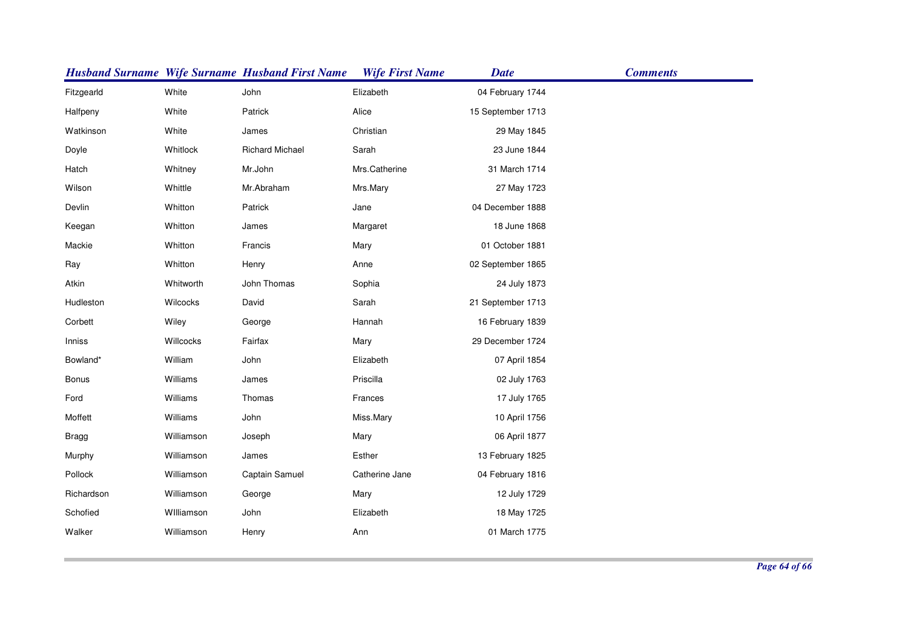|              |            | <b>Husband Surname Wife Surname Husband First Name</b> | <b>Wife First Name</b> | <b>Date</b>       | <b>Comments</b> |
|--------------|------------|--------------------------------------------------------|------------------------|-------------------|-----------------|
| Fitzgearld   | White      | John                                                   | Elizabeth              | 04 February 1744  |                 |
| Halfpeny     | White      | Patrick                                                | Alice                  | 15 September 1713 |                 |
| Watkinson    | White      | James                                                  | Christian              | 29 May 1845       |                 |
| Doyle        | Whitlock   | <b>Richard Michael</b>                                 | Sarah                  | 23 June 1844      |                 |
| Hatch        | Whitney    | Mr.John                                                | Mrs.Catherine          | 31 March 1714     |                 |
| Wilson       | Whittle    | Mr.Abraham                                             | Mrs.Mary               | 27 May 1723       |                 |
| Devlin       | Whitton    | Patrick                                                | Jane                   | 04 December 1888  |                 |
| Keegan       | Whitton    | James                                                  | Margaret               | 18 June 1868      |                 |
| Mackie       | Whitton    | Francis                                                | Mary                   | 01 October 1881   |                 |
| Ray          | Whitton    | Henry                                                  | Anne                   | 02 September 1865 |                 |
| Atkin        | Whitworth  | John Thomas                                            | Sophia                 | 24 July 1873      |                 |
| Hudleston    | Wilcocks   | David                                                  | Sarah                  | 21 September 1713 |                 |
| Corbett      | Wiley      | George                                                 | Hannah                 | 16 February 1839  |                 |
| Inniss       | Willcocks  | Fairfax                                                | Mary                   | 29 December 1724  |                 |
| Bowland*     | William    | John                                                   | Elizabeth              | 07 April 1854     |                 |
| Bonus        | Williams   | James                                                  | Priscilla              | 02 July 1763      |                 |
| Ford         | Williams   | Thomas                                                 | Frances                | 17 July 1765      |                 |
| Moffett      | Williams   | John                                                   | Miss.Mary              | 10 April 1756     |                 |
| <b>Bragg</b> | Williamson | Joseph                                                 | Mary                   | 06 April 1877     |                 |
| Murphy       | Williamson | James                                                  | Esther                 | 13 February 1825  |                 |
| Pollock      | Williamson | Captain Samuel                                         | Catherine Jane         | 04 February 1816  |                 |
| Richardson   | Williamson | George                                                 | Mary                   | 12 July 1729      |                 |
| Schofied     | Williamson | John                                                   | Elizabeth              | 18 May 1725       |                 |
| Walker       | Williamson | Henry                                                  | Ann                    | 01 March 1775     |                 |
|              |            |                                                        |                        |                   |                 |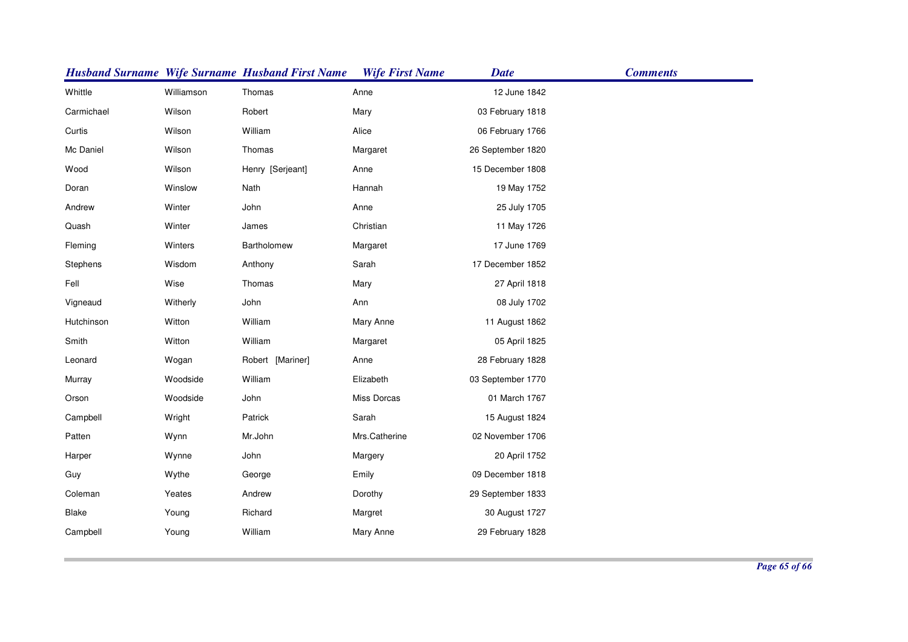|            |            | <b>Husband Surname Wife Surname Husband First Name</b> | <b>Wife First Name</b> | <b>Date</b>       | <b>Comments</b> |
|------------|------------|--------------------------------------------------------|------------------------|-------------------|-----------------|
| Whittle    | Williamson | Thomas                                                 | Anne                   | 12 June 1842      |                 |
| Carmichael | Wilson     | Robert                                                 | Mary                   | 03 February 1818  |                 |
| Curtis     | Wilson     | William                                                | Alice                  | 06 February 1766  |                 |
| Mc Daniel  | Wilson     | Thomas                                                 | Margaret               | 26 September 1820 |                 |
| Wood       | Wilson     | Henry [Serjeant]                                       | Anne                   | 15 December 1808  |                 |
| Doran      | Winslow    | Nath                                                   | Hannah                 | 19 May 1752       |                 |
| Andrew     | Winter     | John                                                   | Anne                   | 25 July 1705      |                 |
| Quash      | Winter     | James                                                  | Christian              | 11 May 1726       |                 |
| Fleming    | Winters    | Bartholomew                                            | Margaret               | 17 June 1769      |                 |
| Stephens   | Wisdom     | Anthony                                                | Sarah                  | 17 December 1852  |                 |
| Fell       | Wise       | Thomas                                                 | Mary                   | 27 April 1818     |                 |
| Vigneaud   | Witherly   | John                                                   | Ann                    | 08 July 1702      |                 |
| Hutchinson | Witton     | William                                                | Mary Anne              | 11 August 1862    |                 |
| Smith      | Witton     | William                                                | Margaret               | 05 April 1825     |                 |
| Leonard    | Wogan      | Robert [Mariner]                                       | Anne                   | 28 February 1828  |                 |
| Murray     | Woodside   | William                                                | Elizabeth              | 03 September 1770 |                 |
| Orson      | Woodside   | John                                                   | Miss Dorcas            | 01 March 1767     |                 |
| Campbell   | Wright     | Patrick                                                | Sarah                  | 15 August 1824    |                 |
| Patten     | Wynn       | Mr.John                                                | Mrs.Catherine          | 02 November 1706  |                 |
| Harper     | Wynne      | John                                                   | Margery                | 20 April 1752     |                 |
| Guy        | Wythe      | George                                                 | Emily                  | 09 December 1818  |                 |
| Coleman    | Yeates     | Andrew                                                 | Dorothy                | 29 September 1833 |                 |
| Blake      | Young      | Richard                                                | Margret                | 30 August 1727    |                 |
| Campbell   | Young      | William                                                | Mary Anne              | 29 February 1828  |                 |